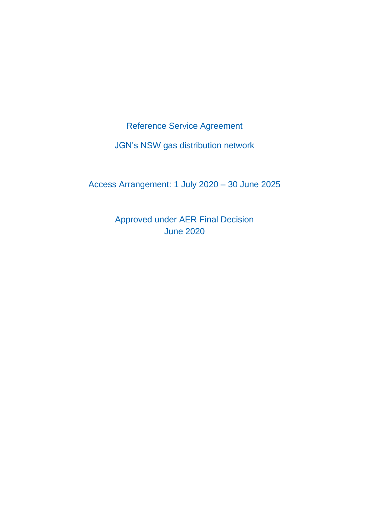Reference Service Agreement

JGN's NSW gas distribution network

Access Arrangement: 1 July 2020 – 30 June 2025

Approved under AER Final Decision June 2020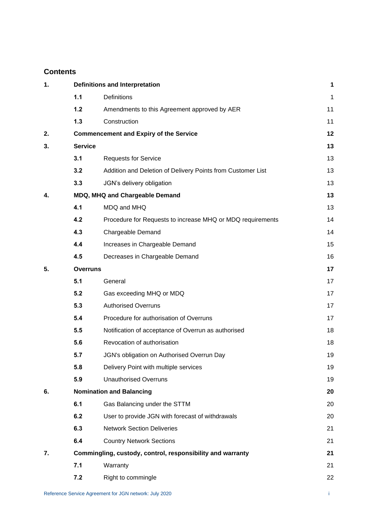# **Contents**

| 1. | <b>Definitions and Interpretation</b>                      |                                                             | 1  |
|----|------------------------------------------------------------|-------------------------------------------------------------|----|
|    | 1.1                                                        | Definitions                                                 | 1  |
|    | $1.2$                                                      | Amendments to this Agreement approved by AER                | 11 |
|    | 1.3                                                        | Construction                                                | 11 |
| 2. |                                                            | <b>Commencement and Expiry of the Service</b>               | 12 |
| 3. | <b>Service</b>                                             |                                                             | 13 |
|    | 3.1                                                        | <b>Requests for Service</b>                                 | 13 |
|    | 3.2                                                        | Addition and Deletion of Delivery Points from Customer List | 13 |
|    | 3.3                                                        | JGN's delivery obligation                                   | 13 |
| 4. | MDQ, MHQ and Chargeable Demand                             |                                                             |    |
|    | 4.1                                                        | MDQ and MHQ                                                 | 13 |
|    | 4.2                                                        | Procedure for Requests to increase MHQ or MDQ requirements  | 14 |
|    | 4.3                                                        | Chargeable Demand                                           | 14 |
|    | 4.4                                                        | Increases in Chargeable Demand                              | 15 |
|    | 4.5                                                        | Decreases in Chargeable Demand                              | 16 |
| 5. | <b>Overruns</b>                                            |                                                             |    |
|    | 5.1                                                        | General                                                     | 17 |
|    | 5.2                                                        | Gas exceeding MHQ or MDQ                                    | 17 |
|    | 5.3                                                        | <b>Authorised Overruns</b>                                  | 17 |
|    | 5.4                                                        | Procedure for authorisation of Overruns                     | 17 |
|    | 5.5                                                        | Notification of acceptance of Overrun as authorised         | 18 |
|    | 5.6                                                        | Revocation of authorisation                                 | 18 |
|    | 5.7                                                        | JGN's obligation on Authorised Overrun Day                  | 19 |
|    | 5.8                                                        | Delivery Point with multiple services                       | 19 |
|    | 5.9                                                        | <b>Unauthorised Overruns</b>                                | 19 |
| 6. | <b>Nomination and Balancing</b>                            |                                                             |    |
|    | 6.1                                                        | Gas Balancing under the STTM                                | 20 |
|    | 6.2                                                        | User to provide JGN with forecast of withdrawals            | 20 |
|    | 6.3                                                        | <b>Network Section Deliveries</b>                           | 21 |
|    | 6.4                                                        | <b>Country Network Sections</b>                             | 21 |
| 7. | Commingling, custody, control, responsibility and warranty |                                                             |    |
|    | 7.1                                                        | Warranty                                                    | 21 |
|    | 7.2                                                        | Right to commingle                                          | 22 |
|    |                                                            |                                                             |    |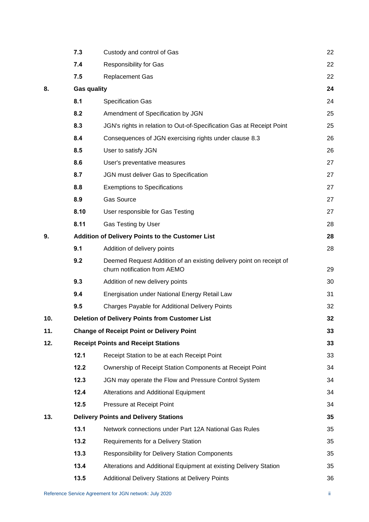|     | 7.3                                              | Custody and control of Gas                                                                          | 22 |  |
|-----|--------------------------------------------------|-----------------------------------------------------------------------------------------------------|----|--|
|     | 7.4                                              | <b>Responsibility for Gas</b>                                                                       | 22 |  |
|     | 7.5                                              | <b>Replacement Gas</b>                                                                              | 22 |  |
| 8.  | <b>Gas quality</b>                               |                                                                                                     |    |  |
|     | 8.1                                              | <b>Specification Gas</b>                                                                            | 24 |  |
|     | 8.2                                              | Amendment of Specification by JGN                                                                   | 25 |  |
|     | 8.3                                              | JGN's rights in relation to Out-of-Specification Gas at Receipt Point                               | 25 |  |
|     | 8.4                                              | Consequences of JGN exercising rights under clause 8.3                                              | 26 |  |
|     | 8.5                                              | User to satisfy JGN                                                                                 | 26 |  |
|     | 8.6                                              | User's preventative measures                                                                        | 27 |  |
|     | 8.7                                              | JGN must deliver Gas to Specification                                                               | 27 |  |
|     | 8.8                                              | <b>Exemptions to Specifications</b>                                                                 | 27 |  |
|     | 8.9                                              | <b>Gas Source</b>                                                                                   | 27 |  |
|     | 8.10                                             | User responsible for Gas Testing                                                                    | 27 |  |
|     | 8.11                                             | Gas Testing by User                                                                                 | 28 |  |
| 9.  | Addition of Delivery Points to the Customer List |                                                                                                     |    |  |
|     | 9.1                                              | Addition of delivery points                                                                         | 28 |  |
|     | 9.2                                              | Deemed Request Addition of an existing delivery point on receipt of<br>churn notification from AEMO | 29 |  |
|     | 9.3                                              | Addition of new delivery points                                                                     | 30 |  |
|     | 9.4                                              | Energisation under National Energy Retail Law                                                       | 31 |  |
|     | 9.5                                              | Charges Payable for Additional Delivery Points                                                      | 32 |  |
| 10. |                                                  | <b>Deletion of Delivery Points from Customer List</b>                                               | 32 |  |
| 11. |                                                  | <b>Change of Receipt Point or Delivery Point</b>                                                    | 33 |  |
| 12. | <b>Receipt Points and Receipt Stations</b>       |                                                                                                     | 33 |  |
|     | 12.1                                             | Receipt Station to be at each Receipt Point                                                         | 33 |  |
|     | 12.2                                             | Ownership of Receipt Station Components at Receipt Point                                            | 34 |  |
|     | 12.3                                             | JGN may operate the Flow and Pressure Control System                                                | 34 |  |
|     | 12.4                                             | Alterations and Additional Equipment                                                                | 34 |  |
|     | 12.5                                             | Pressure at Receipt Point                                                                           | 34 |  |
| 13. |                                                  | <b>Delivery Points and Delivery Stations</b>                                                        |    |  |
|     | 13.1                                             | Network connections under Part 12A National Gas Rules                                               | 35 |  |
|     | 13.2                                             | Requirements for a Delivery Station                                                                 | 35 |  |
|     | 13.3                                             | <b>Responsibility for Delivery Station Components</b>                                               | 35 |  |
|     | 13.4                                             | Alterations and Additional Equipment at existing Delivery Station                                   | 35 |  |
|     | 13.5                                             | Additional Delivery Stations at Delivery Points                                                     | 36 |  |
|     |                                                  |                                                                                                     |    |  |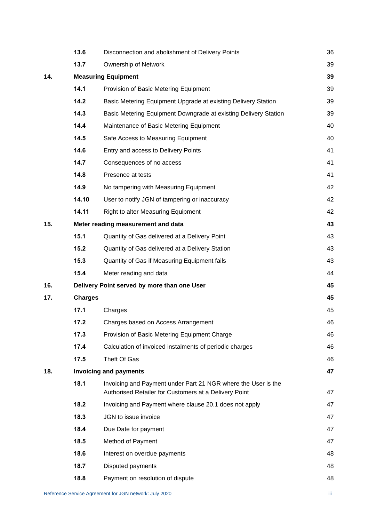|     | 13.6                               | Disconnection and abolishment of Delivery Points                                                                       | 36 |
|-----|------------------------------------|------------------------------------------------------------------------------------------------------------------------|----|
|     | 13.7                               | Ownership of Network                                                                                                   | 39 |
| 14. | <b>Measuring Equipment</b>         |                                                                                                                        |    |
|     | 14.1                               | Provision of Basic Metering Equipment                                                                                  | 39 |
|     | 14.2                               | Basic Metering Equipment Upgrade at existing Delivery Station                                                          | 39 |
|     | 14.3                               | Basic Metering Equipment Downgrade at existing Delivery Station                                                        | 39 |
|     | 14.4                               | Maintenance of Basic Metering Equipment                                                                                | 40 |
|     | 14.5                               | Safe Access to Measuring Equipment                                                                                     | 40 |
|     | 14.6                               | Entry and access to Delivery Points                                                                                    | 41 |
|     | 14.7                               | Consequences of no access                                                                                              | 41 |
|     | 14.8                               | Presence at tests                                                                                                      | 41 |
|     | 14.9                               | No tampering with Measuring Equipment                                                                                  | 42 |
|     | 14.10                              | User to notify JGN of tampering or inaccuracy                                                                          | 42 |
|     | 14.11                              | Right to alter Measuring Equipment                                                                                     | 42 |
| 15. | Meter reading measurement and data |                                                                                                                        |    |
|     | 15.1                               | Quantity of Gas delivered at a Delivery Point                                                                          | 43 |
|     | 15.2                               | Quantity of Gas delivered at a Delivery Station                                                                        | 43 |
|     | 15.3                               | Quantity of Gas if Measuring Equipment fails                                                                           | 43 |
|     | 15.4                               | Meter reading and data                                                                                                 | 44 |
| 16. |                                    | Delivery Point served by more than one User                                                                            | 45 |
| 17. | <b>Charges</b>                     |                                                                                                                        | 45 |
|     | 17.1                               | Charges                                                                                                                | 45 |
|     | 17.2                               | Charges based on Access Arrangement                                                                                    | 46 |
|     | 17.3                               | Provision of Basic Metering Equipment Charge                                                                           | 46 |
|     | 17.4                               | Calculation of invoiced instalments of periodic charges                                                                | 46 |
|     | 17.5                               | Theft Of Gas                                                                                                           | 46 |
| 18. |                                    | <b>Invoicing and payments</b>                                                                                          | 47 |
|     | 18.1                               | Invoicing and Payment under Part 21 NGR where the User is the<br>Authorised Retailer for Customers at a Delivery Point | 47 |
|     | 18.2                               | Invoicing and Payment where clause 20.1 does not apply                                                                 | 47 |
|     | 18.3                               | JGN to issue invoice                                                                                                   | 47 |
|     | 18.4                               | Due Date for payment                                                                                                   | 47 |
|     | 18.5                               | Method of Payment                                                                                                      | 47 |
|     | 18.6                               | Interest on overdue payments                                                                                           | 48 |
|     | 18.7                               | Disputed payments                                                                                                      | 48 |
|     | 18.8                               | Payment on resolution of dispute                                                                                       | 48 |
|     |                                    |                                                                                                                        |    |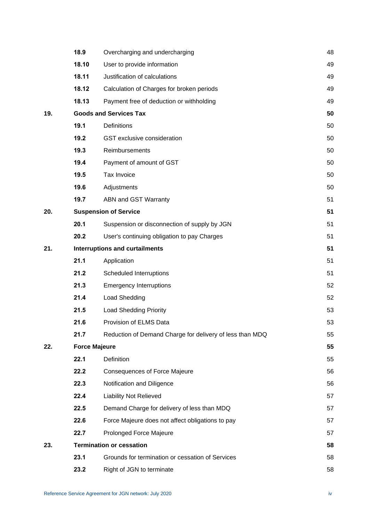|     | 18.9                                  | Overcharging and undercharging                           | 48 |
|-----|---------------------------------------|----------------------------------------------------------|----|
|     | 18.10                                 | User to provide information                              | 49 |
|     | 18.11                                 | Justification of calculations                            | 49 |
|     | 18.12                                 | Calculation of Charges for broken periods                | 49 |
|     | 18.13                                 | Payment free of deduction or withholding                 | 49 |
| 19. |                                       | <b>Goods and Services Tax</b>                            | 50 |
|     | 19.1                                  | Definitions                                              | 50 |
|     | 19.2                                  | GST exclusive consideration                              | 50 |
|     | 19.3                                  | Reimbursements                                           | 50 |
|     | 19.4                                  | Payment of amount of GST                                 | 50 |
|     | 19.5                                  | Tax Invoice                                              | 50 |
|     | 19.6                                  | Adjustments                                              | 50 |
|     | 19.7                                  | ABN and GST Warranty                                     | 51 |
| 20. | <b>Suspension of Service</b>          |                                                          | 51 |
|     | 20.1                                  | Suspension or disconnection of supply by JGN             | 51 |
|     | 20.2                                  | User's continuing obligation to pay Charges              | 51 |
| 21. | <b>Interruptions and curtailments</b> |                                                          |    |
|     | 21.1                                  | Application                                              | 51 |
|     | 21.2                                  | Scheduled Interruptions                                  | 51 |
|     | 21.3                                  | <b>Emergency Interruptions</b>                           | 52 |
|     | 21.4                                  | Load Shedding                                            | 52 |
|     | 21.5                                  | <b>Load Shedding Priority</b>                            | 53 |
|     | 21.6                                  | Provision of ELMS Data                                   | 53 |
|     | 21.7                                  | Reduction of Demand Charge for delivery of less than MDQ | 55 |
| 22. | <b>Force Majeure</b>                  |                                                          |    |
|     | 22.1                                  | Definition                                               | 55 |
|     | 22.2                                  | <b>Consequences of Force Majeure</b>                     | 56 |
|     | 22.3                                  | Notification and Diligence                               | 56 |
|     | 22.4                                  | <b>Liability Not Relieved</b>                            | 57 |
|     | 22.5                                  | Demand Charge for delivery of less than MDQ              | 57 |
|     | 22.6                                  | Force Majeure does not affect obligations to pay         | 57 |
|     | 22.7                                  | Prolonged Force Majeure                                  | 57 |
| 23. |                                       | <b>Termination or cessation</b>                          | 58 |
|     | 23.1                                  | Grounds for termination or cessation of Services         | 58 |
|     | 23.2                                  | Right of JGN to terminate                                | 58 |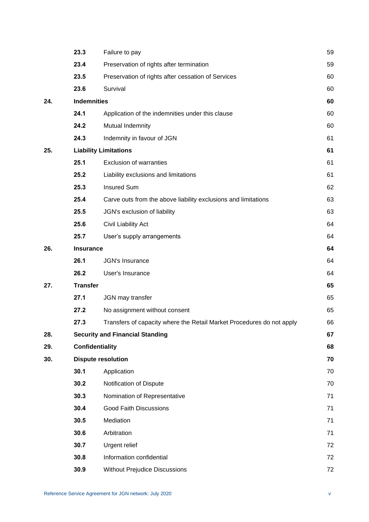|     | 23.3                      | Failure to pay                                                        | 59 |
|-----|---------------------------|-----------------------------------------------------------------------|----|
|     | 23.4                      | Preservation of rights after termination                              | 59 |
|     | 23.5                      | Preservation of rights after cessation of Services                    | 60 |
|     | 23.6                      | Survival                                                              | 60 |
| 24. | <b>Indemnities</b>        |                                                                       |    |
|     | 24.1                      | Application of the indemnities under this clause                      | 60 |
|     | 24.2                      | Mutual Indemnity                                                      | 60 |
|     | 24.3                      | Indemnity in favour of JGN                                            | 61 |
| 25. |                           | <b>Liability Limitations</b>                                          | 61 |
|     | 25.1                      | <b>Exclusion of warranties</b>                                        | 61 |
|     | 25.2                      | Liability exclusions and limitations                                  | 61 |
|     | 25.3                      | <b>Insured Sum</b>                                                    | 62 |
|     | 25.4                      | Carve outs from the above liability exclusions and limitations        | 63 |
|     | 25.5                      | JGN's exclusion of liability                                          | 63 |
|     | 25.6                      | Civil Liability Act                                                   | 64 |
|     | 25.7                      | User's supply arrangements                                            | 64 |
| 26. | <b>Insurance</b>          |                                                                       |    |
|     | 26.1                      | <b>JGN's Insurance</b>                                                | 64 |
|     | 26.2                      | User's Insurance                                                      | 64 |
| 27. | <b>Transfer</b>           |                                                                       | 65 |
|     | 27.1                      | JGN may transfer                                                      | 65 |
|     | 27.2                      | No assignment without consent                                         | 65 |
|     | 27.3                      | Transfers of capacity where the Retail Market Procedures do not apply | 66 |
| 28. |                           | <b>Security and Financial Standing</b>                                | 67 |
| 29. | <b>Confidentiality</b>    |                                                                       | 68 |
| 30. | <b>Dispute resolution</b> |                                                                       | 70 |
|     | 30.1                      | Application                                                           | 70 |
|     | 30.2                      | Notification of Dispute                                               | 70 |
|     | 30.3                      | Nomination of Representative                                          | 71 |
|     | 30.4                      | <b>Good Faith Discussions</b>                                         | 71 |
|     | 30.5                      | Mediation                                                             | 71 |
|     | 30.6                      | Arbitration                                                           | 71 |
|     | 30.7                      | Urgent relief                                                         | 72 |
|     | 30.8                      | Information confidential                                              | 72 |
|     | 30.9                      | <b>Without Prejudice Discussions</b>                                  | 72 |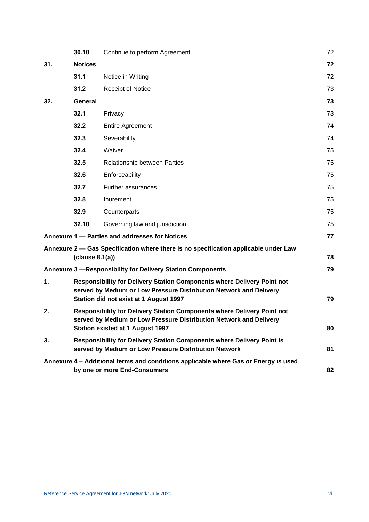|     | 30.10                                                                                                                                                                                    | Continue to perform Agreement                                                                                       | 72 |
|-----|------------------------------------------------------------------------------------------------------------------------------------------------------------------------------------------|---------------------------------------------------------------------------------------------------------------------|----|
| 31. | <b>Notices</b>                                                                                                                                                                           |                                                                                                                     | 72 |
|     | 31.1                                                                                                                                                                                     | Notice in Writing                                                                                                   | 72 |
|     | 31.2                                                                                                                                                                                     | <b>Receipt of Notice</b>                                                                                            | 73 |
| 32. | <b>General</b>                                                                                                                                                                           |                                                                                                                     | 73 |
|     | 32.1                                                                                                                                                                                     | Privacy                                                                                                             | 73 |
|     | 32.2                                                                                                                                                                                     | <b>Entire Agreement</b>                                                                                             | 74 |
|     | 32.3                                                                                                                                                                                     | Severability                                                                                                        | 74 |
|     | 32.4                                                                                                                                                                                     | Waiver                                                                                                              | 75 |
|     | 32.5                                                                                                                                                                                     | Relationship between Parties                                                                                        | 75 |
|     | 32.6                                                                                                                                                                                     | Enforceability                                                                                                      | 75 |
|     | 32.7                                                                                                                                                                                     | Further assurances                                                                                                  | 75 |
|     | 32.8                                                                                                                                                                                     | Inurement                                                                                                           | 75 |
|     | 32.9                                                                                                                                                                                     | Counterparts                                                                                                        | 75 |
|     | 32.10                                                                                                                                                                                    | Governing law and jurisdiction                                                                                      | 75 |
|     |                                                                                                                                                                                          | Annexure 1 - Parties and addresses for Notices                                                                      | 77 |
|     | clause 8.1(a)                                                                                                                                                                            | Annexure 2 - Gas Specification where there is no specification applicable under Law                                 | 78 |
|     |                                                                                                                                                                                          | <b>Annexure 3 - Responsibility for Delivery Station Components</b>                                                  | 79 |
| 1.  | Responsibility for Delivery Station Components where Delivery Point not<br>served by Medium or Low Pressure Distribution Network and Delivery<br>Station did not exist at 1 August 1997  |                                                                                                                     | 79 |
| 2.  | Responsibility for Delivery Station Components where Delivery Point not<br>served by Medium or Low Pressure Distribution Network and Delivery<br><b>Station existed at 1 August 1997</b> |                                                                                                                     | 80 |
| 3.  | Responsibility for Delivery Station Components where Delivery Point is<br>served by Medium or Low Pressure Distribution Network                                                          |                                                                                                                     |    |
|     |                                                                                                                                                                                          | Annexure 4 - Additional terms and conditions applicable where Gas or Energy is used<br>by one or more End-Consumers | 82 |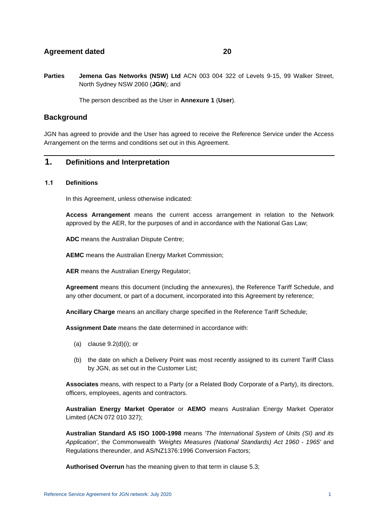# **Agreement dated 20**

**Parties Jemena Gas Networks (NSW) Ltd** ACN 003 004 322 of Levels 9-15, 99 Walker Street, North Sydney NSW 2060 (**JGN**); and

The person described as the User in **[Annexure 1](#page-83-0)** (**User**).

# **Background**

JGN has agreed to provide and the User has agreed to receive the Reference Service under the Access Arrangement on the terms and conditions set out in this Agreement.

# <span id="page-7-1"></span><span id="page-7-0"></span>**1. Definitions and Interpretation**

#### **1.1 Definitions**

In this Agreement, unless otherwise indicated:

**Access Arrangement** means the current access arrangement in relation to the Network approved by the AER, for the purposes of and in accordance with the National Gas Law;

**ADC** means the Australian Dispute Centre;

**AEMC** means the Australian Energy Market Commission;

**AER** means the Australian Energy Regulator;

**Agreement** means this document (including the annexures), the Reference Tariff Schedule, and any other document, or part of a document, incorporated into this Agreement by reference;

**Ancillary Charge** means an ancillary charge specified in the Reference Tariff Schedule;

**Assignment Date** means the date determined in accordance with:

- (a) clause  $9.2(d)(i)$ ; or
- (b) the date on which a Delivery Point was most recently assigned to its current Tariff Class by JGN, as set out in the Customer List;

**Associates** means, with respect to a Party (or a Related Body Corporate of a Party), its directors, officers, employees, agents and contractors.

**Australian Energy Market Operator** or **AEMO** means Australian Energy Market Operator Limited (ACN 072 010 327);

**Australian Standard AS ISO 1000-1998** means *'The International System of Units (SI) and its Application'*, the Commonwealth *'Weights Measures (National Standards) Act 1960 - 1965'* and Regulations thereunder, and AS/NZ1376:1996 Conversion Factors;

**Authorised Overrun** has the meaning given to that term in clause [5.3;](#page-23-3)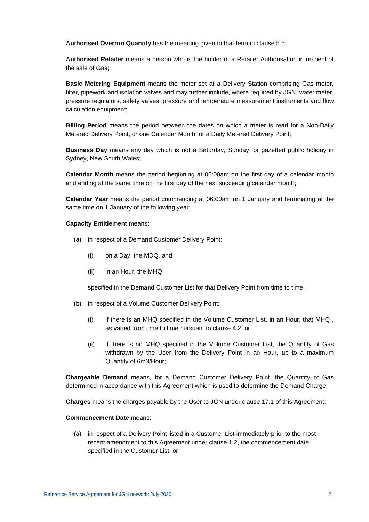**Authorised Overrun Quantity** has the meaning given to that term in clause [5.5;](#page-24-0)

**Authorised Retailer** means a person who is the holder of a Retailer Authorisation in respect of the sale of Gas;

**Basic Metering Equipment** means the meter set at a Delivery Station comprising Gas meter, filter, pipework and isolation valves and may further include, where required by JGN, water meter, pressure regulators, safety valves, pressure and temperature measurement instruments and flow calculation equipment;

**Billing Period** means the period between the dates on which a meter is read for a Non-Daily Metered Delivery Point, or one Calendar Month for a Daily Metered Delivery Point;

**Business Day** means any day which is not a Saturday, Sunday, or gazetted public holiday in Sydney, New South Wales;

**Calendar Month** means the period beginning at 06:00am on the first day of a calendar month and ending at the same time on the first day of the next succeeding calendar month;

**Calendar Year** means the period commencing at 06:00am on 1 January and terminating at the same time on 1 January of the following year;

#### **Capacity Entitlement** means:

- (a) in respect of a Demand Customer Delivery Point:
	- (i) on a Day, the MDQ, and
	- (ii) in an Hour, the MHQ,

specified in the Demand Customer List for that Delivery Point from time to time;

- (b) in respect of a Volume Customer Delivery Point:
	- (i) if there is an MHQ specified in the Volume Customer List, in an Hour, that MHQ , as varied from time to time pursuant to clause [4.2;](#page-20-0) or
	- (ii) if there is no MHQ specified in the Volume Customer List, the Quantity of Gas withdrawn by the User from the Delivery Point in an Hour, up to a maximum Quantity of 6m3/Hour;

**Chargeable Demand** means, for a Demand Customer Delivery Point, the Quantity of Gas determined in accordance with this Agreement which is used to determine the Demand Charge;

**Charges** means the charges payable by the User to JGN under clause [17.1](#page-51-2) of this Agreement;

#### **Commencement Date** means:

(a) in respect of a Delivery Point listed in a Customer List immediately prior to the most recent amendment to this Agreement under clause [1.2,](#page-17-0) the commencement date specified in the Customer List; or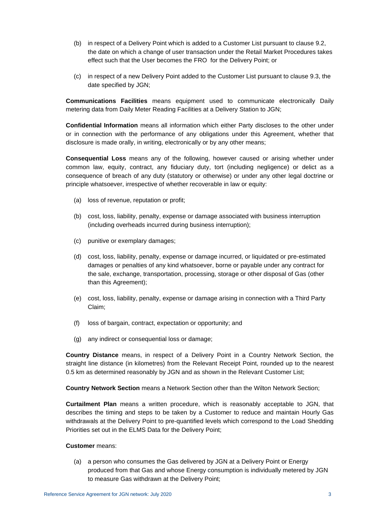- (b) in respect of a Delivery Point which is added to a Customer List pursuant to clause 9.2, the date on which a change of user transaction under the Retail Market Procedure[s tak](#page-35-0)es effect such that the User becomes the FRO for the Delivery Point; or
- (c) in respect of a new Delivery Point added to the Customer List pursuant to clause [9.3,](#page-36-0) the date specified by JGN;

**Communications Facilities** means equipment used to communicate electronically Daily metering data from Daily Meter Reading Facilities at a Delivery Station to JGN;

**Confidential Information** means all information which either Party discloses to the other under or in connection with the performance of any obligations under this Agreement, whether that disclosure is made orally, in writing, electronically or by any other means;

**Consequential Loss** means any of the following, however caused or arising whether under common law, equity, contract, any fiduciary duty, tort (including negligence) or delict as a consequence of breach of any duty (statutory or otherwise) or under any other legal doctrine or principle whatsoever, irrespective of whether recoverable in law or equity:

- (a) loss of revenue, reputation or profit;
- (b) cost, loss, liability, penalty, expense or damage associated with business interruption (including overheads incurred during business interruption);
- (c) punitive or exemplary damages;
- (d) cost, loss, liability, penalty, expense or damage incurred, or liquidated or pre-estimated damages or penalties of any kind whatsoever, borne or payable under any contract for the sale, exchange, transportation, processing, storage or other disposal of Gas (other than this Agreement);
- (e) cost, loss, liability, penalty, expense or damage arising in connection with a Third Party Claim;
- (f) loss of bargain, contract, expectation or opportunity; and
- (g) any indirect or consequential loss or damage;

**Country Distance** means, in respect of a Delivery Point in a Country Network Section, the straight line distance (in kilometres) from the Relevant Receipt Point, rounded up to the nearest 0.5 km as determined reasonably by JGN and as shown in the Relevant Customer List;

**Country Network Section** means a Network Section other than the Wilton Network Section;

**Curtailment Plan** means a written procedure, which is reasonably acceptable to JGN, that describes the timing and steps to be taken by a Customer to reduce and maintain Hourly Gas withdrawals at the Delivery Point to pre-quantified levels which correspond to the Load Shedding Priorities set out in the ELMS Data for the Delivery Point;

#### **Customer** means:

(a) a person who consumes the Gas delivered by JGN at a Delivery Point or Energy produced from that Gas and whose Energy consumption is individually metered by JGN to measure Gas withdrawn at the Delivery Point;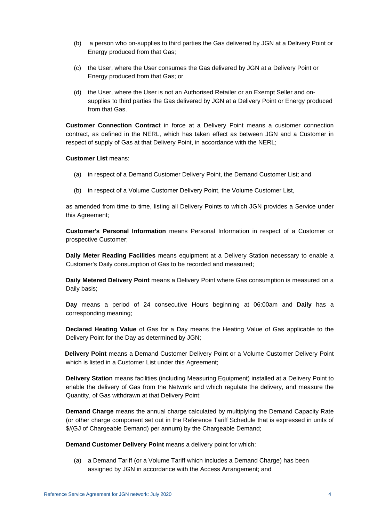- (b) a person who on-supplies to third parties the Gas delivered by JGN at a Delivery Point or Energy produced from that Gas;
- (c) the User, where the User consumes the Gas delivered by JGN at a Delivery Point or Energy produced from that Gas; or
- (d) the User, where the User is not an Authorised Retailer or an Exempt Seller and onsupplies to third parties the Gas delivered by JGN at a Delivery Point or Energy produced from that Gas.

**Customer Connection Contract** in force at a Delivery Point means a customer connection contract, as defined in the NERL, which has taken effect as between JGN and a Customer in respect of supply of Gas at that Delivery Point, in accordance with the NERL;

#### **Customer List** means:

- (a) in respect of a Demand Customer Delivery Point, the Demand Customer List; and
- (b) in respect of a Volume Customer Delivery Point, the Volume Customer List,

as amended from time to time, listing all Delivery Points to which JGN provides a Service under this Agreement;

**Customer's Personal Information** means Personal Information in respect of a Customer or prospective Customer;

**Daily Meter Reading Facilities** means equipment at a Delivery Station necessary to enable a Customer's Daily consumption of Gas to be recorded and measured;

**Daily Metered Delivery Point** means a Delivery Point where Gas consumption is measured on a Daily basis;

**Day** means a period of 24 consecutive Hours beginning at 06:00am and **Daily** has a corresponding meaning;

**Declared Heating Value** of Gas for a Day means the Heating Value of Gas applicable to the Delivery Point for the Day as determined by JGN;

**Delivery Point** means a Demand Customer Delivery Point or a Volume Customer Delivery Point which is listed in a Customer List under this Agreement;

**Delivery Station** means facilities (including Measuring Equipment) installed at a Delivery Point to enable the delivery of Gas from the Network and which regulate the delivery, and measure the Quantity, of Gas withdrawn at that Delivery Point;

**Demand Charge** means the annual charge calculated by multiplying the Demand Capacity Rate (or other charge component set out in the Reference Tariff Schedule that is expressed in units of \$/(GJ of Chargeable Demand) per annum) by the Chargeable Demand;

**Demand Customer Delivery Point** means a delivery point for which:

(a) a Demand Tariff (or a Volume Tariff which includes a Demand Charge) has been assigned by JGN in accordance with the Access Arrangement; and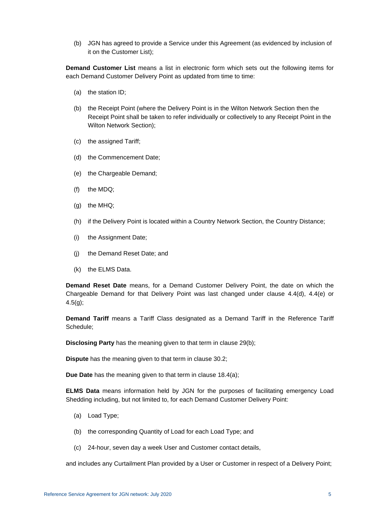(b) JGN has agreed to provide a Service under this Agreement (as evidenced by inclusion of it on the Customer List);

**Demand Customer List** means a list in electronic form which sets out the following items for each Demand Customer Delivery Point as updated from time to time:

- (a) the station ID;
- (b) the Receipt Point (where the Delivery Point is in the Wilton Network Section then the Receipt Point shall be taken to refer individually or collectively to any Receipt Point in the Wilton Network Section);
- (c) the assigned Tariff;
- (d) the Commencement Date;
- (e) the Chargeable Demand;
- (f) the MDQ;
- (g) the MHQ;
- (h) if the Delivery Point is located within a Country Network Section, the Country Distance;
- (i) the Assignment Date;
- (j) the Demand Reset Date; and
- (k) the ELMS Data.

**Demand Reset Date** means, for a Demand Customer Delivery Point, the date on which the Chargeable Demand for that Delivery Point was last changed under clause [4.4\(d\),](#page-21-1) [4.4\(e\)](#page-21-2) or [4.5\(g\);](#page-23-5)

**Demand Tariff** means a Tariff Class designated as a Demand Tariff in the Reference Tariff Schedule;

**Disclosing Party** has the meaning given to that term in clause [29\(b\);](#page-74-1)

**Dispute** has the meaning given to that term in clause [30.2;](#page-76-2)

**Due Date** has the meaning given to that term in clause [18.4\(a\);](#page-53-6)

**ELMS Data** means information held by JGN for the purposes of facilitating emergency Load Shedding including, but not limited to, for each Demand Customer Delivery Point:

- (a) Load Type;
- (b) the corresponding Quantity of Load for each Load Type; and
- (c) 24-hour, seven day a week User and Customer contact details,

and includes any Curtailment Plan provided by a User or Customer in respect of a Delivery Point;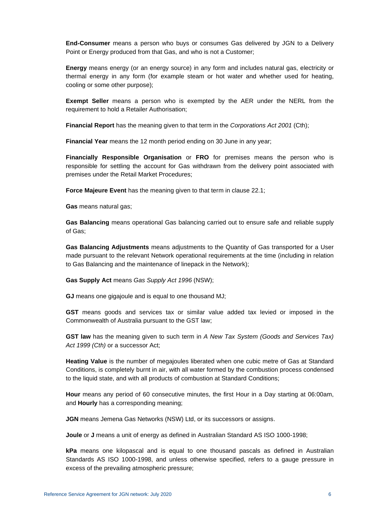**End-Consumer** means a person who buys or consumes Gas delivered by JGN to a Delivery Point or Energy produced from that Gas, and who is not a Customer;

**Energy** means energy (or an energy source) in any form and includes natural gas, electricity or thermal energy in any form (for example steam or hot water and whether used for heating, cooling or some other purpose);

**Exempt Seller** means a person who is exempted by the AER under the NERL from the requirement to hold a Retailer Authorisation;

**Financial Report** has the meaning given to that term in the *Corporations Act 2001* (Cth);

**Financial Year** means the 12 month period ending on 30 June in any year;

**Financially Responsible Organisation** or **FRO** for premises means the person who is responsible for settling the account for Gas withdrawn from the delivery point associated with premises under the Retail Market Procedures;

**Force Majeure Event** has the meaning given to that term in clause [22.1;](#page-61-2)

**Gas** means natural gas;

**Gas Balancing** means operational Gas balancing carried out to ensure safe and reliable supply of Gas;

**Gas Balancing Adjustments** means adjustments to the Quantity of Gas transported for a User made pursuant to the relevant Network operational requirements at the time (including in relation to Gas Balancing and the maintenance of linepack in the Network);

**Gas Supply Act** means *Gas Supply Act 1996* (NSW);

**GJ** means one gigajoule and is equal to one thousand MJ;

**GST** means goods and services tax or similar value added tax levied or imposed in the Commonwealth of Australia pursuant to the GST law;

**GST law** has the meaning given to such term in *A New Tax System (Goods and Services Tax) Act 1999 (Cth)* or a successor Act;

**Heating Value** is the number of megajoules liberated when one cubic metre of Gas at Standard Conditions, is completely burnt in air, with all water formed by the combustion process condensed to the liquid state, and with all products of combustion at Standard Conditions;

**Hour** means any period of 60 consecutive minutes, the first Hour in a Day starting at 06:00am, and **Hourly** has a corresponding meaning;

**JGN** means Jemena Gas Networks (NSW) Ltd, or its successors or assigns.

**Joule** or **J** means a unit of energy as defined in Australian Standard AS ISO 1000-1998;

**kPa** means one kilopascal and is equal to one thousand pascals as defined in Australian Standards AS ISO 1000-1998, and unless otherwise specified, refers to a gauge pressure in excess of the prevailing atmospheric pressure;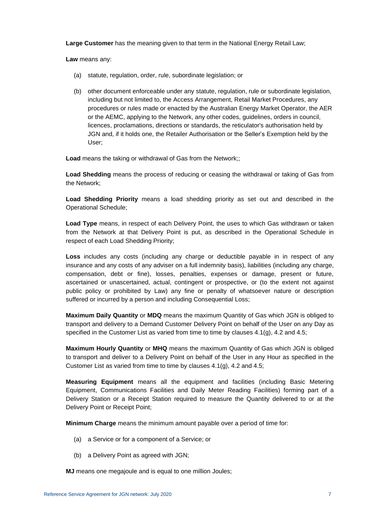**Large Customer** has the meaning given to that term in the National Energy Retail Law;

**Law** means any:

- (a) statute, regulation, order, rule, subordinate legislation; or
- (b) other document enforceable under any statute, regulation, rule or subordinate legislation, including but not limited to, the Access Arrangement, Retail Market Procedures, any procedures or rules made or enacted by the Australian Energy Market Operator, the AER or the AEMC, applying to the Network, any other codes, guidelines, orders in council, licences, proclamations, directions or standards, the reticulator's authorisation held by JGN and, if it holds one, the Retailer Authorisation or the Seller's Exemption held by the User;

**Load** means the taking or withdrawal of Gas from the Network;;

**Load Shedding** means the process of reducing or ceasing the withdrawal or taking of Gas from the Network;

**Load Shedding Priority** means a load shedding priority as set out and described in the Operational Schedule;

**Load Type** means, in respect of each Delivery Point, the uses to which Gas withdrawn or taken from the Network at that Delivery Point is put, as described in the Operational Schedule in respect of each Load Shedding Priority;

**Loss** includes any costs (including any charge or deductible payable in in respect of any insurance and any costs of any adviser on a full indemnity basis), liabilities (including any charge, compensation, debt or fine), losses, penalties, expenses or damage, present or future, ascertained or unascertained, actual, contingent or prospective, or (to the extent not against public policy or prohibited by Law) any fine or penalty of whatsoever nature or description suffered or incurred by a person and including Consequential Loss;

**Maximum Daily Quantity** or **MDQ** means the maximum Quantity of Gas which JGN is obliged to transport and delivery to a Demand Customer Delivery Point on behalf of the User on any Day as specified in the Customer List as varied from time to time by clauses  $4.1(q)$ ,  $4.2$  and  $4.5$ ;

**Maximum Hourly Quantity** or **MHQ** means the maximum Quantity of Gas which JGN is obliged to transport and deliver to a Delivery Point on behalf of the User in any Hour as specified in the Customer List as varied from time to time by clauses [4.1\(g\),](#page-20-2) [4.2](#page-20-0) and [4.5;](#page-22-0)

**Measuring Equipment** means all the equipment and facilities (including Basic Metering Equipment, Communications Facilities and Daily Meter Reading Facilities) forming part of a Delivery Station or a Receipt Station required to measure the Quantity delivered to or at the Delivery Point or Receipt Point;

**Minimum Charge** means the minimum amount payable over a period of time for:

- (a) a Service or for a component of a Service; or
- (b) a Delivery Point as agreed with JGN;

**MJ** means one megajoule and is equal to one million Joules;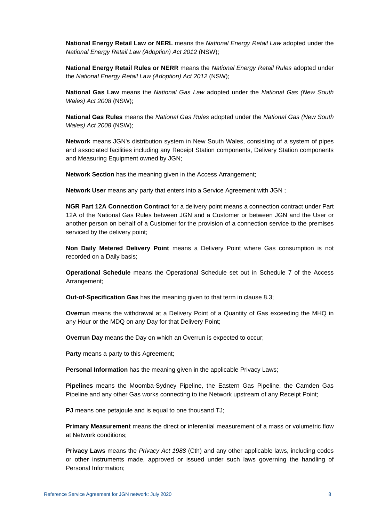**National Energy Retail Law or NERL** means the *National Energy Retail Law* adopted under the *National Energy Retail Law (Adoption) Act 2012* (NSW);

**National Energy Retail Rules or NERR** means the *National Energy Retail Rules* adopted under the *National Energy Retail Law (Adoption) Act 2012* (NSW);

**National Gas Law** means the *National Gas Law* adopted under the *National Gas (New South Wales) Act 2008* (NSW);

**National Gas Rules** means the *National Gas Rules* adopted under the *National Gas (New South Wales) Act 2008* (NSW);

**Network** means JGN's distribution system in New South Wales, consisting of a system of pipes and associated facilities including any Receipt Station components, Delivery Station components and Measuring Equipment owned by JGN;

**Network Section** has the meaning given in the Access Arrangement;

**Network User** means any party that enters into a Service Agreement with JGN ;

**NGR Part 12A Connection Contract** for a delivery point means a connection contract under Part 12A of the National Gas Rules between JGN and a Customer or between JGN and the User or another person on behalf of a Customer for the provision of a connection service to the premises serviced by the delivery point;

**Non Daily Metered Delivery Point** means a Delivery Point where Gas consumption is not recorded on a Daily basis;

**Operational Schedule** means the Operational Schedule set out in Schedule 7 of the Access Arrangement;

**Out-of-Specification Gas** has the meaning given to that term in clause [8.3;](#page-31-1)

**Overrun** means the withdrawal at a Delivery Point of a Quantity of Gas exceeding the MHQ in any Hour or the MDQ on any Day for that Delivery Point;

**Overrun Day** means the Day on which an Overrun is expected to occur;

**Party** means a party to this Agreement;

**Personal Information** has the meaning given in the applicable Privacy Laws;

**Pipelines** means the Moomba-Sydney Pipeline, the Eastern Gas Pipeline, the Camden Gas Pipeline and any other Gas works connecting to the Network upstream of any Receipt Point;

**PJ** means one petajoule and is equal to one thousand TJ;

**Primary Measurement** means the direct or inferential measurement of a mass or volumetric flow at Network conditions;

**Privacy Laws** means the *Privacy Act 1988* (Cth) and any other applicable laws, including codes or other instruments made, approved or issued under such laws governing the handling of Personal Information;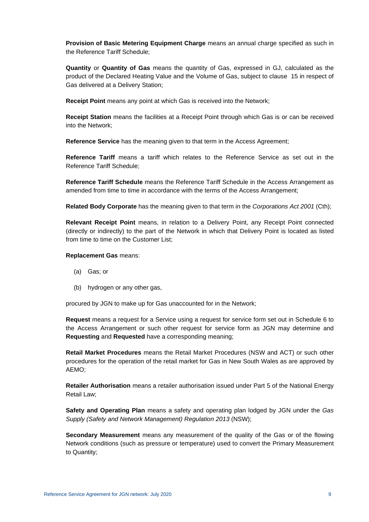**Provision of Basic Metering Equipment Charge** means an annual charge specified as such in the Reference Tariff Schedule;

**Quantity** or **Quantity of Gas** means the quantity of Gas, expressed in GJ, calculated as the product of the Declared Heating Value and the Volume of Gas, subject to clause [15](#page-49-0) in respect of Gas delivered at a Delivery Station;

**Receipt Point** means any point at which Gas is received into the Network;

**Receipt Station** means the facilities at a Receipt Point through which Gas is or can be received into the Network;

**Reference Service** has the meaning given to that term in the Access Agreement;

**Reference Tariff** means a tariff which relates to the Reference Service as set out in the Reference Tariff Schedule;

**Reference Tariff Schedule** means the Reference Tariff Schedule in the Access Arrangement as amended from time to time in accordance with the terms of the Access Arrangement;

**Related Body Corporate** has the meaning given to that term in the *Corporations Act 2001* (Cth);

**Relevant Receipt Point** means, in relation to a Delivery Point, any Receipt Point connected (directly or indirectly) to the part of the Network in which that Delivery Point is located as listed from time to time on the Customer List;

#### **Replacement Gas** means:

- (a) Gas; or
- (b) hydrogen or any other gas,

procured by JGN to make up for Gas unaccounted for in the Network;

**Request** means a request for a Service using a request for service form set out in Schedule 6 to the Access Arrangement or such other request for service form as JGN may determine and **Requesting** and **Requested** have a corresponding meaning;

**Retail Market Procedures** means the Retail Market Procedures (NSW and ACT) or such other procedures for the operation of the retail market for Gas in New South Wales as are approved by AEMO;

**Retailer Authorisation** means a retailer authorisation issued under Part 5 of the National Energy Retail Law;

**Safety and Operating Plan** means a safety and operating plan lodged by JGN under the *Gas Supply (Safety and Network Management) Regulation 2013* (NSW);

**Secondary Measurement** means any measurement of the quality of the Gas or of the flowing Network conditions (such as pressure or temperature) used to convert the Primary Measurement to Quantity;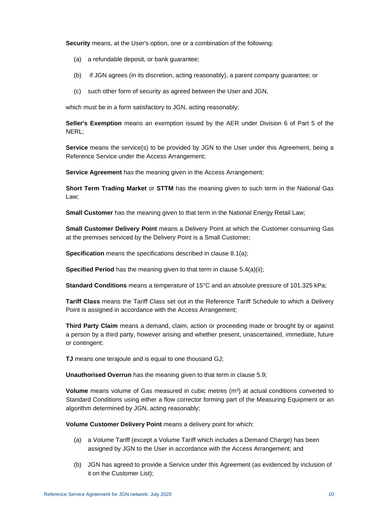**Security** means, at the User's option, one or a combination of the following:

- (a) a refundable deposit, or bank guarantee;
- (b) if JGN agrees (in its discretion, acting reasonably), a parent company guarantee; or
- (c) such other form of security as agreed between the User and JGN,

which must be in a form satisfactory to JGN, acting reasonably:

**Seller's Exemption** means an exemption issued by the AER under Division 6 of Part 5 of the NERL;

**Service** means the service(s) to be provided by JGN to the User under this Agreement, being a Reference Service under the Access Arrangement;

**Service Agreement** has the meaning given in the Access Arrangement;

**Short Term Trading Market** or **STTM** has the meaning given to such term in the National Gas Law;

**Small Customer** has the meaning given to that term in the National Energy Retail Law;

**Small Customer Delivery Point** means a Delivery Point at which the Customer consuming Gas at the premises serviced by the Delivery Point is a Small Customer;

**Specification** means the specifications described in clause [8.1\(a\);](#page-30-2)

**Specified Period** has the meaning given to that term in clause 5.4(a)(ii):

**Standard Conditions** means a temperature of 15°C and an absolute pressure of 101.325 kPa;

**Tariff Class** means the Tariff Class set out in the Reference Tariff Schedule to which a Delivery Point is assigned in accordance with the Access Arrangement;

**Third Party Claim** means a demand, claim, action or proceeding made or brought by or against a person by a third party, however arising and whether present, unascertained, immediate, future or contingent;

**TJ** means one terajoule and is equal to one thousand GJ;

**Unauthorised Overrun** has the meaning given to that term in clause [5.9;](#page-25-2)

**Volume** means volume of Gas measured in cubic metres (m<sup>3</sup>) at actual conditions converted to Standard Conditions using either a flow corrector forming part of the Measuring Equipment or an algorithm determined by JGN, acting reasonably;

**Volume Customer Delivery Point** means a delivery point for which:

- (a) a Volume Tariff (except a Volume Tariff which includes a Demand Charge) has been assigned by JGN to the User in accordance with the Access Arrangement; and
- (b) JGN has agreed to provide a Service under this Agreement (as evidenced by inclusion of it on the Customer List);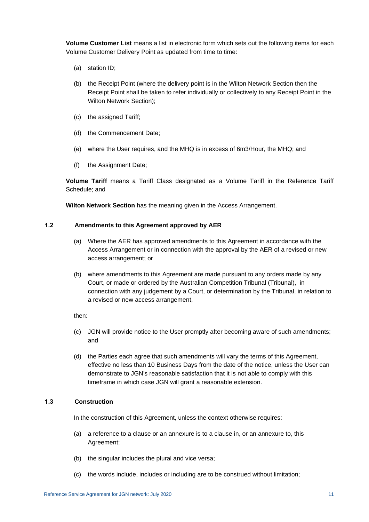**Volume Customer List** means a list in electronic form which sets out the following items for each Volume Customer Delivery Point as updated from time to time:

- (a) station ID;
- (b) the Receipt Point (where the delivery point is in the Wilton Network Section then the Receipt Point shall be taken to refer individually or collectively to any Receipt Point in the Wilton Network Section);
- (c) the assigned Tariff;
- (d) the Commencement Date;
- (e) where the User requires, and the MHQ is in excess of 6m3/Hour, the MHQ; and
- (f) the Assignment Date;

**Volume Tariff** means a Tariff Class designated as a Volume Tariff in the Reference Tariff Schedule; and

**Wilton Network Section** has the meaning given in the Access Arrangement.

#### <span id="page-17-0"></span>**1.2 Amendments to this Agreement approved by AER**

- (a) Where the AER has approved amendments to this Agreement in accordance with the Access Arrangement or in connection with the approval by the AER of a revised or new access arrangement; or
- (b) where amendments to this Agreement are made pursuant to any orders made by any Court, or made or ordered by the Australian Competition Tribunal (Tribunal), in connection with any judgement by a Court, or determination by the Tribunal, in relation to a revised or new access arrangement,

then:

- (c) JGN will provide notice to the User promptly after becoming aware of such amendments; and
- (d) the Parties each agree that such amendments will vary the terms of this Agreement, effective no less than 10 Business Days from the date of the notice, unless the User can demonstrate to JGN's reasonable satisfaction that it is not able to comply with this timeframe in which case JGN will grant a reasonable extension.

### <span id="page-17-1"></span>**1.3 Construction**

In the construction of this Agreement, unless the context otherwise requires:

- (a) a reference to a clause or an annexure is to a clause in, or an annexure to, this Agreement;
- (b) the singular includes the plural and vice versa;
- (c) the words include, includes or including are to be construed without limitation;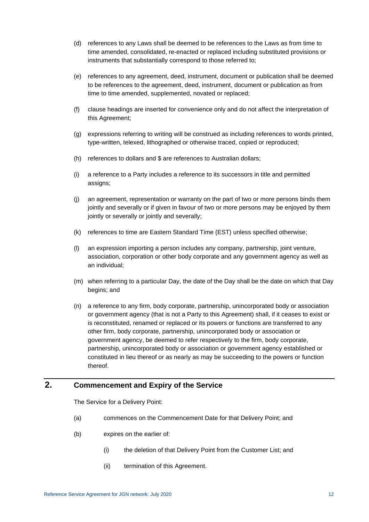- (d) references to any Laws shall be deemed to be references to the Laws as from time to time amended, consolidated, re-enacted or replaced including substituted provisions or instruments that substantially correspond to those referred to;
- (e) references to any agreement, deed, instrument, document or publication shall be deemed to be references to the agreement, deed, instrument, document or publication as from time to time amended, supplemented, novated or replaced;
- (f) clause headings are inserted for convenience only and do not affect the interpretation of this Agreement;
- (g) expressions referring to writing will be construed as including references to words printed, type-written, telexed, lithographed or otherwise traced, copied or reproduced;
- (h) references to dollars and \$ are references to Australian dollars;
- (i) a reference to a Party includes a reference to its successors in title and permitted assigns;
- (j) an agreement, representation or warranty on the part of two or more persons binds them jointly and severally or if given in favour of two or more persons may be enjoyed by them jointly or severally or jointly and severally;
- (k) references to time are Eastern Standard Time (EST) unless specified otherwise;
- (l) an expression importing a person includes any company, partnership, joint venture, association, corporation or other body corporate and any government agency as well as an individual;
- (m) when referring to a particular Day, the date of the Day shall be the date on which that Day begins; and
- (n) a reference to any firm, body corporate, partnership, unincorporated body or association or government agency (that is not a Party to this Agreement) shall, if it ceases to exist or is reconstituted, renamed or replaced or its powers or functions are transferred to any other firm, body corporate, partnership, unincorporated body or association or government agency, be deemed to refer respectively to the firm, body corporate, partnership, unincorporated body or association or government agency established or constituted in lieu thereof or as nearly as may be succeeding to the powers or function thereof.

# <span id="page-18-0"></span>**2. Commencement and Expiry of the Service**

The Service for a Delivery Point:

- (a) commences on the Commencement Date for that Delivery Point; and
- (b) expires on the earlier of:
	- (i) the deletion of that Delivery Point from the Customer List; and
	- (ii) termination of this Agreement.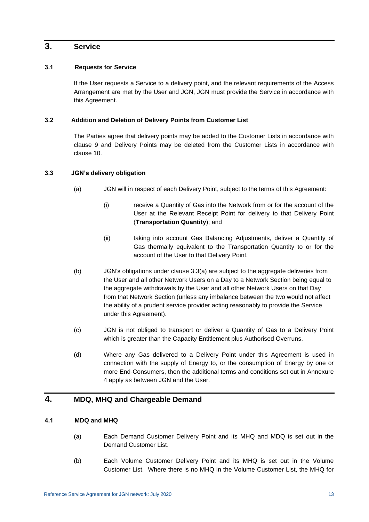# <span id="page-19-1"></span><span id="page-19-0"></span>**3. Service**

## **3.1 Requests for Service**

If the User requests a Service to a delivery point, and the relevant requirements of the Access Arrangement are met by the User and JGN, JGN must provide the Service in accordance with this Agreement.

## <span id="page-19-2"></span>**3.2 Addition and Deletion of Delivery Points from Customer List**

The Parties agree that delivery points may be added to the Customer Lists in accordance with clause [9](#page-34-1) and Delivery Points may be deleted from the Customer Lists in accordance with clause [10.](#page-38-1)

# <span id="page-19-6"></span><span id="page-19-3"></span>**3.3 JGN's delivery obligation**

- (a) JGN will in respect of each Delivery Point, subject to the terms of this Agreement:
	- (i) receive a Quantity of Gas into the Network from or for the account of the User at the Relevant Receipt Point for delivery to that Delivery Point (**Transportation Quantity**); and
	- (ii) taking into account Gas Balancing Adjustments, deliver a Quantity of Gas thermally equivalent to the Transportation Quantity to or for the account of the User to that Delivery Point.
- (b) JGN's obligations under clause [3.3\(a\)](#page-19-6) are subject to the aggregate deliveries from the User and all other Network Users on a Day to a Network Section being equal to the aggregate withdrawals by the User and all other Network Users on that Day from that Network Section (unless any imbalance between the two would not affect the ability of a prudent service provider acting reasonably to provide the Service under this Agreement).
- (c) JGN is not obliged to transport or deliver a Quantity of Gas to a Delivery Point which is greater than the Capacity Entitlement plus Authorised Overruns.
- (d) Where any Gas delivered to a Delivery Point under this Agreement is used in connection with the supply of Energy to, or the consumption of Energy by one or more End-Consumers, then the additional terms and conditions set out in [Annexure](#page-88-0)  [4](#page-88-0) apply as between JGN and the User.

# <span id="page-19-5"></span><span id="page-19-4"></span>**4. MDQ, MHQ and Chargeable Demand**

# **4.1 MDQ and MHQ**

- (a) Each Demand Customer Delivery Point and its MHQ and MDQ is set out in the Demand Customer List.
- (b) Each Volume Customer Delivery Point and its MHQ is set out in the Volume Customer List. Where there is no MHQ in the Volume Customer List, the MHQ for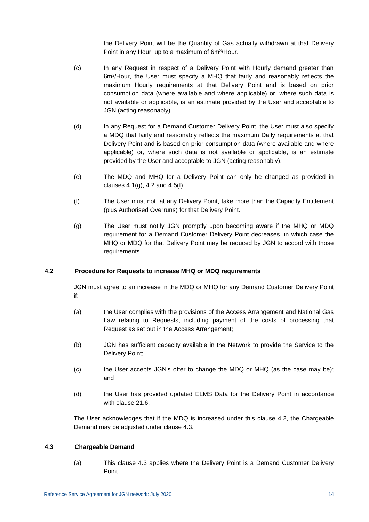the Delivery Point will be the Quantity of Gas actually withdrawn at that Delivery Point in any Hour, up to a maximum of 6m<sup>3</sup>/Hour.

- (c) In any Request in respect of a Delivery Point with Hourly demand greater than 6m<sup>3</sup> /Hour, the User must specify a MHQ that fairly and reasonably reflects the maximum Hourly requirements at that Delivery Point and is based on prior consumption data (where available and where applicable) or, where such data is not available or applicable, is an estimate provided by the User and acceptable to JGN (acting reasonably).
- (d) In any Request for a Demand Customer Delivery Point, the User must also specify a MDQ that fairly and reasonably reflects the maximum Daily requirements at that Delivery Point and is based on prior consumption data (where available and where applicable) or, where such data is not available or applicable, is an estimate provided by the User and acceptable to JGN (acting reasonably).
- (e) The MDQ and MHQ for a Delivery Point can only be changed as provided in clauses  $4.1(q)$ ,  $4.2$  and  $4.5(f)$ .
- (f) The User must not, at any Delivery Point, take more than the Capacity Entitlement (plus Authorised Overruns) for that Delivery Point.
- <span id="page-20-2"></span>(g) The User must notify JGN promptly upon becoming aware if the MHQ or MDQ requirement for a Demand Customer Delivery Point decreases, in which case the MHQ or MDQ for that Delivery Point may be reduced by JGN to accord with those requirements.

### <span id="page-20-0"></span>**4.2 Procedure for Requests to increase MHQ or MDQ requirements**

JGN must agree to an increase in the MDQ or MHQ for any Demand Customer Delivery Point if:

- (a) the User complies with the provisions of the Access Arrangement and National Gas Law relating to Requests, including payment of the costs of processing that Request as set out in the Access Arrangement;
- (b) JGN has sufficient capacity available in the Network to provide the Service to the Delivery Point;
- (c) the User accepts JGN's offer to change the MDQ or MHQ (as the case may be); and
- (d) the User has provided updated ELMS Data for the Delivery Point in accordance with clause [21.6.](#page-59-1)

The User acknowledges that if the MDQ is increased under this clause [4.2,](#page-20-0) the Chargeable Demand may be adjusted under clause [4.3.](#page-20-1)

#### <span id="page-20-1"></span>**4.3 Chargeable Demand**

(a) This clause [4.3](#page-20-1) applies where the Delivery Point is a Demand Customer Delivery Point.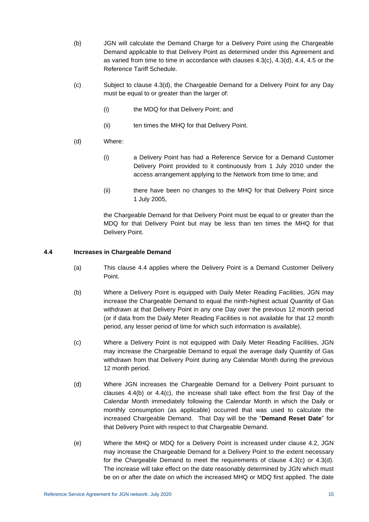- (b) JGN will calculate the Demand Charge for a Delivery Point using the Chargeable Demand applicable to that Delivery Point as determined under this Agreement and as varied from time to time in accordance with clauses [4.3\(c\),](#page-21-3) [4.3\(d\),](#page-21-4) [4.4,](#page-21-0) [4.5](#page-22-0) or the Reference Tariff Schedule.
- <span id="page-21-3"></span>(c) Subject to clause [4.3\(d\),](#page-21-4) the Chargeable Demand for a Delivery Point for any Day must be equal to or greater than the larger of:
	- (i) the MDQ for that Delivery Point; and
	- (ii) ten times the MHQ for that Delivery Point.
- <span id="page-21-4"></span>(d) Where:
	- (i) a Delivery Point has had a Reference Service for a Demand Customer Delivery Point provided to it continuously from 1 July 2010 under the access arrangement applying to the Network from time to time; and
	- (ii) there have been no changes to the MHQ for that Delivery Point since 1 July 2005,

the Chargeable Demand for that Delivery Point must be equal to or greater than the MDQ for that Delivery Point but may be less than ten times the MHQ for that Delivery Point.

### <span id="page-21-5"></span><span id="page-21-0"></span>**4.4 Increases in Chargeable Demand**

- (a) This clause [4.4](#page-21-0) applies where the Delivery Point is a Demand Customer Delivery Point.
- (b) Where a Delivery Point is equipped with Daily Meter Reading Facilities, JGN may increase the Chargeable Demand to equal the ninth-highest actual Quantity of Gas withdrawn at that Delivery Point in any one Day over the previous 12 month period (or if data from the Daily Meter Reading Facilities is not available for that 12 month period, any lesser period of time for which such information is available).
- <span id="page-21-6"></span>(c) Where a Delivery Point is not equipped with Daily Meter Reading Facilities, JGN may increase the Chargeable Demand to equal the average daily Quantity of Gas withdrawn from that Delivery Point during any Calendar Month during the previous 12 month period.
- <span id="page-21-1"></span>(d) Where JGN increases the Chargeable Demand for a Delivery Point pursuant to clauses  $4.4(b)$  or  $4.4(c)$ , the increase shall take effect from the first Day of the Calendar Month immediately following the Calendar Month in which the Daily or monthly consumption (as applicable) occurred that was used to calculate the increased Chargeable Demand. That Day will be the "**Demand Reset Date**" for that Delivery Point with respect to that Chargeable Demand.
- <span id="page-21-2"></span>(e) Where the MHQ or MDQ for a Delivery Point is increased under clause [4.2,](#page-20-0) JGN may increase the Chargeable Demand for a Delivery Point to the extent necessary for the Chargeable Demand to meet the requirements of clause [4.3\(c\)](#page-21-3) or [4.3\(d\).](#page-21-4) The increase will take effect on the date reasonably determined by JGN which must be on or after the date on which the increased MHQ or MDQ first applied. The date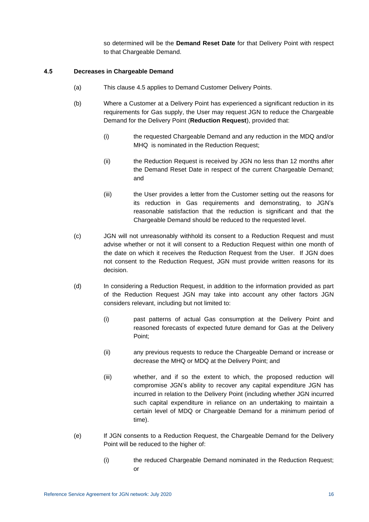so determined will be the **Demand Reset Date** for that Delivery Point with respect to that Chargeable Demand.

#### <span id="page-22-0"></span>**4.5 Decreases in Chargeable Demand**

- (a) This clause [4.5](#page-22-0) applies to Demand Customer Delivery Points.
- <span id="page-22-2"></span>(b) Where a Customer at a Delivery Point has experienced a significant reduction in its requirements for Gas supply, the User may request JGN to reduce the Chargeable Demand for the Delivery Point (**Reduction Request**), provided that:
	- (i) the requested Chargeable Demand and any reduction in the MDQ and/or MHQ is nominated in the Reduction Request;
	- (ii) the Reduction Request is received by JGN no less than 12 months after the Demand Reset Date in respect of the current Chargeable Demand; and
	- (iii) the User provides a letter from the Customer setting out the reasons for its reduction in Gas requirements and demonstrating, to JGN's reasonable satisfaction that the reduction is significant and that the Chargeable Demand should be reduced to the requested level.
- (c) JGN will not unreasonably withhold its consent to a Reduction Request and must advise whether or not it will consent to a Reduction Request within one month of the date on which it receives the Reduction Request from the User. If JGN does not consent to the Reduction Request, JGN must provide written reasons for its decision.
- (d) In considering a Reduction Request, in addition to the information provided as part of the Reduction Request JGN may take into account any other factors JGN considers relevant, including but not limited to:
	- (i) past patterns of actual Gas consumption at the Delivery Point and reasoned forecasts of expected future demand for Gas at the Delivery Point;
	- (ii) any previous requests to reduce the Chargeable Demand or increase or decrease the MHQ or MDQ at the Delivery Point; and
	- (iii) whether, and if so the extent to which, the proposed reduction will compromise JGN's ability to recover any capital expenditure JGN has incurred in relation to the Delivery Point (including whether JGN incurred such capital expenditure in reliance on an undertaking to maintain a certain level of MDQ or Chargeable Demand for a minimum period of time).
- <span id="page-22-1"></span>(e) If JGN consents to a Reduction Request, the Chargeable Demand for the Delivery Point will be reduced to the higher of:
	- (i) the reduced Chargeable Demand nominated in the Reduction Request; or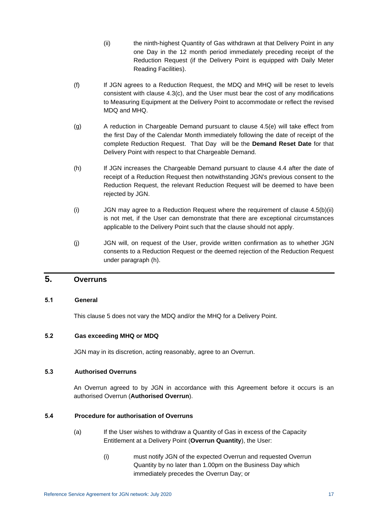- (ii) the ninth-highest Quantity of Gas withdrawn at that Delivery Point in any one Day in the 12 month period immediately preceding receipt of the Reduction Request (if the Delivery Point is equipped with Daily Meter Reading Facilities).
- <span id="page-23-6"></span>(f) If JGN agrees to a Reduction Request, the MDQ and MHQ will be reset to levels consistent with clause [4.3\(c\),](#page-21-3) and the User must bear the cost of any modifications to Measuring Equipment at the Delivery Point to accommodate or reflect the revised MDQ and MHQ.
- <span id="page-23-5"></span>(g) A reduction in Chargeable Demand pursuant to clause [4.5\(e\)](#page-22-1) will take effect from the first Day of the Calendar Month immediately following the date of receipt of the complete Reduction Request. That Day will be the **Demand Reset Date** for that Delivery Point with respect to that Chargeable Demand.
- <span id="page-23-7"></span>(h) If JGN increases the Chargeable Demand pursuant to clause [4.4](#page-21-0) after the date of receipt of a Reduction Request then notwithstanding JGN's previous consent to the Reduction Request, the relevant Reduction Request will be deemed to have been rejected by JGN.
- (i) JGN may agree to a Reduction Request where the requirement of clause [4.5\(b\)\(ii\)](#page-22-2) is not met, if the User can demonstrate that there are exceptional circumstances applicable to the Delivery Point such that the clause should not apply.
- (j) JGN will, on request of the User, provide written confirmation as to whether JGN consents to a Reduction Request or the deemed rejection of the Reduction Request under paragraph [\(h\).](#page-23-7)

# <span id="page-23-1"></span><span id="page-23-0"></span>**5. Overruns**

### **5.1 General**

This clause [5](#page-23-0) does not vary the MDQ and/or the MHQ for a Delivery Point.

### <span id="page-23-2"></span>**5.2 Gas exceeding MHQ or MDQ**

JGN may in its discretion, acting reasonably, agree to an Overrun.

### <span id="page-23-3"></span>**5.3 Authorised Overruns**

An Overrun agreed to by JGN in accordance with this Agreement before it occurs is an authorised Overrun (**Authorised Overrun**).

### <span id="page-23-8"></span><span id="page-23-4"></span>**5.4 Procedure for authorisation of Overruns**

- (a) If the User wishes to withdraw a Quantity of Gas in excess of the Capacity Entitlement at a Delivery Point (**Overrun Quantity**), the User:
	- (i) must notify JGN of the expected Overrun and requested Overrun Quantity by no later than 1.00pm on the Business Day which immediately precedes the Overrun Day; or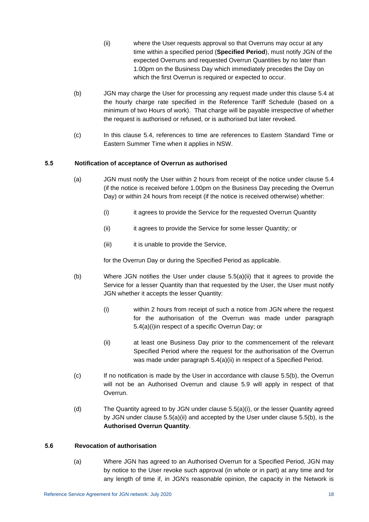- (ii) where the User requests approval so that Overruns may occur at any time within a specified period (**Specified Period**), must notify JGN of the expected Overruns and requested Overrun Quantities by no later than 1.00pm on the Business Day which immediately precedes the Day on which the first Overrun is required or expected to occur.
- <span id="page-24-2"></span>(b) JGN may charge the User for processing any request made under this clause [5.4](#page-23-4) at the hourly charge rate specified in the Reference Tariff Schedule (based on a minimum of two Hours of work). That charge will be payable irrespective of whether the request is authorised or refused, or is authorised but later revoked.
- (c) In this clause [5.4,](#page-23-4) references to time are references to Eastern Standard Time or Eastern Summer Time when it applies in NSW.

# <span id="page-24-0"></span>**5.5 Notification of acceptance of Overrun as authorised**

- <span id="page-24-5"></span><span id="page-24-3"></span>(a) JGN must notify the User within 2 hours from receipt of the notice under clause [5.4](#page-23-4) (if the notice is received before 1.00pm on the Business Day preceding the Overrun Day) or within 24 hours from receipt (if the notice is received otherwise) whether:
	- (i) it agrees to provide the Service for the requested Overrun Quantity
	- (ii) it agrees to provide the Service for some lesser Quantity; or
	- (iii) it is unable to provide the Service,

for the Overrun Day or during the Specified Period as applicable.

- <span id="page-24-4"></span>(b) Where JGN notifies the User under clause [5.5\(a\)\(ii\)](#page-24-3) that it agrees to provide the Service for a lesser Quantity than that requested by the User, the User must notify JGN whether it accepts the lesser Quantity:
	- (i) within 2 hours from receipt of such a notice from JGN where the request for the authorisation of the Overrun was made under paragraph [5.4\(a\)\(i\)in](#page-23-8) respect of a specific Overrun Day; or
	- (ii) at least one Business Day prior to the commencement of the relevant Specified Period where the request for the authorisation of the Overrun was made under paragraph [5.4\(a\)\(ii\)](#page-24-2) in respect of a Specified Period.
- (c) If no notification is made by the User in accordance with clause [5.5\(b\),](#page-24-4) the Overrun will not be an Authorised Overrun and clause [5.9](#page-25-2) will apply in respect of that Overrun.
- (d) The Quantity agreed to by JGN under clause [5.5\(a\)\(i\),](#page-24-5) or the lesser Quantity agreed by JGN under clause [5.5\(a\)\(ii\)](#page-24-3) and accepted by the User under clause [5.5\(b\),](#page-24-4) is the **Authorised Overrun Quantity**.

### <span id="page-24-1"></span>**5.6 Revocation of authorisation**

(a) Where JGN has agreed to an Authorised Overrun for a Specified Period, JGN may by notice to the User revoke such approval (in whole or in part) at any time and for any length of time if, in JGN's reasonable opinion, the capacity in the Network is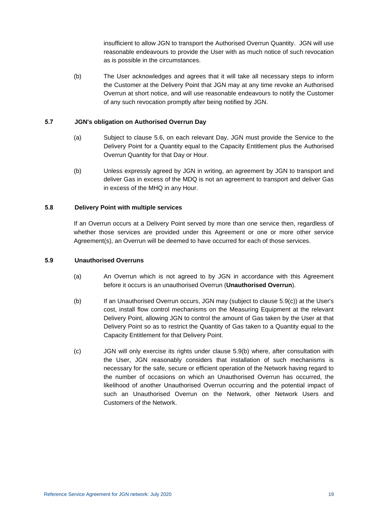insufficient to allow JGN to transport the Authorised Overrun Quantity. JGN will use reasonable endeavours to provide the User with as much notice of such revocation as is possible in the circumstances.

(b) The User acknowledges and agrees that it will take all necessary steps to inform the Customer at the Delivery Point that JGN may at any time revoke an Authorised Overrun at short notice, and will use reasonable endeavours to notify the Customer of any such revocation promptly after being notified by JGN.

## <span id="page-25-0"></span>**5.7 JGN's obligation on Authorised Overrun Day**

- (a) Subject to clause [5.6,](#page-24-1) on each relevant Day, JGN must provide the Service to the Delivery Point for a Quantity equal to the Capacity Entitlement plus the Authorised Overrun Quantity for that Day or Hour.
- (b) Unless expressly agreed by JGN in writing, an agreement by JGN to transport and deliver Gas in excess of the MDQ is not an agreement to transport and deliver Gas in excess of the MHQ in any Hour.

### <span id="page-25-1"></span>**5.8 Delivery Point with multiple services**

If an Overrun occurs at a Delivery Point served by more than one service then, regardless of whether those services are provided under this Agreement or one or more other service Agreement(s), an Overrun will be deemed to have occurred for each of those services.

#### <span id="page-25-2"></span>**5.9 Unauthorised Overruns**

- (a) An Overrun which is not agreed to by JGN in accordance with this Agreement before it occurs is an unauthorised Overrun (**Unauthorised Overrun**).
- <span id="page-25-4"></span>(b) If an Unauthorised Overrun occurs, JGN may (subject to clause [5.9\(c\)\)](#page-25-3) at the User's cost, install flow control mechanisms on the Measuring Equipment at the relevant Delivery Point, allowing JGN to control the amount of Gas taken by the User at that Delivery Point so as to restrict the Quantity of Gas taken to a Quantity equal to the Capacity Entitlement for that Delivery Point.
- <span id="page-25-3"></span>(c) JGN will only exercise its rights under clause [5.9\(b\)](#page-25-4) where, after consultation with the User, JGN reasonably considers that installation of such mechanisms is necessary for the safe, secure or efficient operation of the Network having regard to the number of occasions on which an Unauthorised Overrun has occurred, the likelihood of another Unauthorised Overrun occurring and the potential impact of such an Unauthorised Overrun on the Network, other Network Users and Customers of the Network.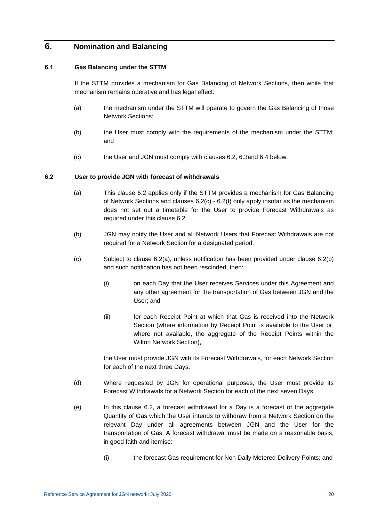# <span id="page-26-1"></span><span id="page-26-0"></span>**6. Nomination and Balancing**

#### **6.1 Gas Balancing under the STTM**

If the STTM provides a mechanism for Gas Balancing of Network Sections, then while that mechanism remains operative and has legal effect:

- (a) the mechanism under the STTM will operate to govern the Gas Balancing of those Network Sections;
- (b) the User must comply with the requirements of the mechanism under the STTM; and
- (c) the User and JGN must comply with clauses [6.2,](#page-26-2) [6.3a](#page-27-0)nd [6.4](#page-27-1) below.

#### <span id="page-26-4"></span><span id="page-26-2"></span>**6.2 User to provide JGN with forecast of withdrawals**

- (a) This clause [6.2](#page-26-2) applies only if the STTM provides a mechanism for Gas Balancing of Network Sections and clauses [6.2\(c\)](#page-26-3) - [6.2\(f\)](#page-27-4) only apply insofar as the mechanism does not set out a timetable for the User to provide Forecast Withdrawals as required under this clause [6.2.](#page-26-2)
- <span id="page-26-5"></span>(b) JGN may notify the User and all Network Users that Forecast Withdrawals are not required for a Network Section for a designated period.
- <span id="page-26-3"></span>(c) Subject to clause [6.2\(a\),](#page-26-4) unless notification has been provided under clause [6.2\(b\)](#page-26-5) and such notification has not been rescinded, then:
	- (i) on each Day that the User receives Services under this Agreement and any other agreement for the transportation of Gas between JGN and the User; and
	- (ii) for each Receipt Point at which that Gas is received into the Network Section (where information by Receipt Point is available to the User or, where not available, the aggregate of the Receipt Points within the Wilton Network Section),

the User must provide JGN with its Forecast Withdrawals, for each Network Section for each of the next three Days.

- (d) Where requested by JGN for operational purposes, the User must provide its Forecast Withdrawals for a Network Section for each of the next seven Days.
- (e) In this clause [6.2,](#page-26-2) a forecast withdrawal for a Day is a forecast of the aggregate Quantity of Gas which the User intends to withdraw from a Network Section on the relevant Day under all agreements between JGN and the User for the transportation of Gas. A forecast withdrawal must be made on a reasonable basis, in good faith and itemise:
	- (i) the forecast Gas requirement for Non Daily Metered Delivery Points; and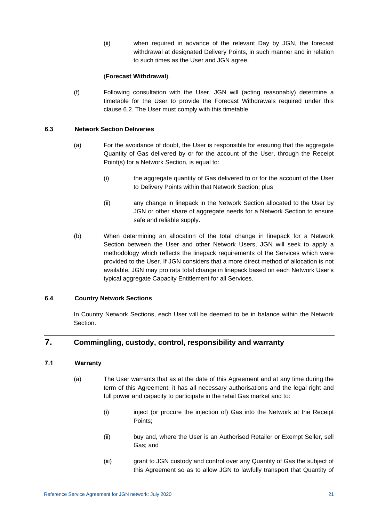(ii) when required in advance of the relevant Day by JGN, the forecast withdrawal at designated Delivery Points, in such manner and in relation to such times as the User and JGN agree,

### (**Forecast Withdrawal**).

<span id="page-27-4"></span>(f) Following consultation with the User, JGN will (acting reasonably) determine a timetable for the User to provide the Forecast Withdrawals required under this clause [6.2.](#page-26-2) The User must comply with this timetable.

## <span id="page-27-0"></span>**6.3 Network Section Deliveries**

- (a) For the avoidance of doubt, the User is responsible for ensuring that the aggregate Quantity of Gas delivered by or for the account of the User, through the Receipt Point(s) for a Network Section, is equal to:
	- (i) the aggregate quantity of Gas delivered to or for the account of the User to Delivery Points within that Network Section; plus
	- (ii) any change in linepack in the Network Section allocated to the User by JGN or other share of aggregate needs for a Network Section to ensure safe and reliable supply.
- (b) When determining an allocation of the total change in linepack for a Network Section between the User and other Network Users, JGN will seek to apply a methodology which reflects the linepack requirements of the Services which were provided to the User. If JGN considers that a more direct method of allocation is not available, JGN may pro rata total change in linepack based on each Network User's typical aggregate Capacity Entitlement for all Services.

### <span id="page-27-1"></span>**6.4 Country Network Sections**

In Country Network Sections, each User will be deemed to be in balance within the Network Section.

# <span id="page-27-3"></span><span id="page-27-2"></span>**7. Commingling, custody, control, responsibility and warranty**

# **7.1 Warranty**

- (a) The User warrants that as at the date of this Agreement and at any time during the term of this Agreement, it has all necessary authorisations and the legal right and full power and capacity to participate in the retail Gas market and to:
	- (i) inject (or procure the injection of) Gas into the Network at the Receipt Points;
	- (ii) buy and, where the User is an Authorised Retailer or Exempt Seller, sell Gas; and
	- (iii) grant to JGN custody and control over any Quantity of Gas the subject of this Agreement so as to allow JGN to lawfully transport that Quantity of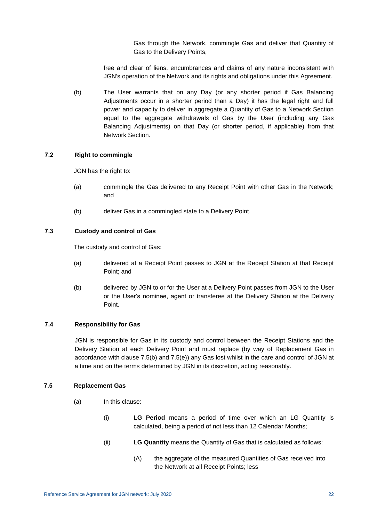Gas through the Network, commingle Gas and deliver that Quantity of Gas to the Delivery Points,

free and clear of liens, encumbrances and claims of any nature inconsistent with JGN's operation of the Network and its rights and obligations under this Agreement.

(b) The User warrants that on any Day (or any shorter period if Gas Balancing Adjustments occur in a shorter period than a Day) it has the legal right and full power and capacity to deliver in aggregate a Quantity of Gas to a Network Section equal to the aggregate withdrawals of Gas by the User (including any Gas Balancing Adjustments) on that Day (or shorter period, if applicable) from that Network Section.

#### <span id="page-28-0"></span>**7.2 Right to commingle**

JGN has the right to:

- (a) commingle the Gas delivered to any Receipt Point with other Gas in the Network; and
- (b) deliver Gas in a commingled state to a Delivery Point.

### <span id="page-28-1"></span>**7.3 Custody and control of Gas**

The custody and control of Gas:

- (a) delivered at a Receipt Point passes to JGN at the Receipt Station at that Receipt Point; and
- (b) delivered by JGN to or for the User at a Delivery Point passes from JGN to the User or the User's nominee, agent or transferee at the Delivery Station at the Delivery Point.

## <span id="page-28-2"></span>**7.4 Responsibility for Gas**

JGN is responsible for Gas in its custody and control between the Receipt Stations and the Delivery Station at each Delivery Point and must replace (by way of Replacement Gas in accordance with clause [7.5\(b\)](#page-29-0) and [7.5\(e\)\)](#page-29-1) any Gas lost whilst in the care and control of JGN at a time and on the terms determined by JGN in its discretion, acting reasonably.

#### <span id="page-28-3"></span>**7.5 Replacement Gas**

- (a) In this clause:
	- (i) **LG Period** means a period of time over which an LG Quantity is calculated, being a period of not less than 12 Calendar Months;
	- (ii) **LG Quantity** means the Quantity of Gas that is calculated as follows:
		- (A) the aggregate of the measured Quantities of Gas received into the Network at all Receipt Points; less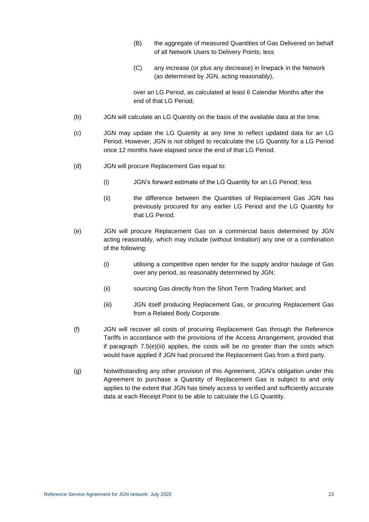- (B) the aggregate of measured Quantities of Gas Delivered on behalf of all Network Users to Delivery Points; less
- (C) any increase (or plus any decrease) in linepack in the Network (as determined by JGN, acting reasonably),

over an LG Period, as calculated at least 6 Calendar Months after the end of that LG Period;

- <span id="page-29-0"></span>(b) JGN will calculate an LG Quantity on the basis of the available data at the time.
- (c) JGN may update the LG Quantity at any time to reflect updated data for an LG Period. However, JGN is not obliged to recalculate the LG Quantity for a LG Period once 12 months have elapsed since the end of that LG Period.
- (d) JGN will procure Replacement Gas equal to:
	- (i) JGN's forward estimate of the LG Quantity for an LG Period; less
	- (ii) the difference between the Quantities of Replacement Gas JGN has previously procured for any earlier LG Period and the LG Quantity for that LG Period.
- <span id="page-29-1"></span>(e) JGN will procure Replacement Gas on a commercial basis determined by JGN acting reasonably, which may include (without limitation) any one or a combination of the following:
	- (i) utilising a competitive open tender for the supply and/or haulage of Gas over any period, as reasonably determined by JGN;
	- (ii) sourcing Gas directly from the Short Term Trading Market; and
	- (iii) JGN itself producing Replacement Gas, or procuring Replacement Gas from a Related Body Corporate.
- <span id="page-29-2"></span>(f) JGN will recover all costs of procuring Replacement Gas through the Reference Tariffs in accordance with the provisions of the Access Arrangement, provided that if paragraph [7.5\(e\)\(iii\)](#page-29-2) applies, the costs will be no greater than the costs which would have applied if JGN had procured the Replacement Gas from a third party.
- (g) Notwithstanding any other provision of this Agreement, JGN's obligation under this Agreement to purchase a Quantity of Replacement Gas is subject to and only applies to the extent that JGN has timely access to verified and sufficiently accurate data at each Receipt Point to be able to calculate the LG Quantity.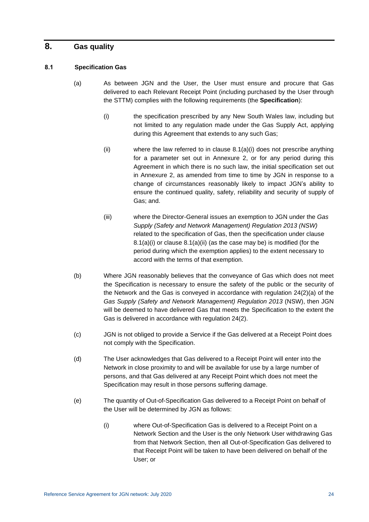# <span id="page-30-1"></span><span id="page-30-0"></span>**8. Gas quality**

## <span id="page-30-2"></span>**8.1 Specification Gas**

- <span id="page-30-4"></span><span id="page-30-3"></span>(a) As between JGN and the User, the User must ensure and procure that Gas delivered to each Relevant Receipt Point (including purchased by the User through the STTM) complies with the following requirements (the **Specification**):
	- (i) the specification prescribed by any New South Wales law, including but not limited to any regulation made under the Gas Supply Act, applying during this Agreement that extends to any such Gas;
	- (ii) where the law referred to in clause  $8.1(a)(i)$  does not prescribe anything for a parameter set out in Annexure 2, or for any period during this Agreement in which there is no such law, the initial specification set out in [Annexure 2,](#page-84-0) as amended from time to time by JGN in response to a change of circumstances reasonably likely to impact JGN's ability to ensure the continued quality, safety, reliability and security of supply of Gas; and.
	- (iii) where the Director-General issues an exemption to JGN under the *Gas Supply (Safety and Network Management) Regulation 2013 (NSW)* related to the specification of Gas, then the specification under clause [8.1\(a\)\(i\)](#page-30-3) or clause [8.1\(a\)\(ii\)](#page-30-4) (as the case may be) is modified (for the period during which the exemption applies) to the extent necessary to accord with the terms of that exemption.
- (b) Where JGN reasonably believes that the conveyance of Gas which does not meet the Specification is necessary to ensure the safety of the public or the security of the Network and the Gas is conveyed in accordance with regulation 24(2)(a) of the *Gas Supply (Safety and Network Management) Regulation 2013* (NSW), then JGN will be deemed to have delivered Gas that meets the Specification to the extent the Gas is delivered in accordance with regulation 24(2).
- (c) JGN is not obliged to provide a Service if the Gas delivered at a Receipt Point does not comply with the Specification.
- (d) The User acknowledges that Gas delivered to a Receipt Point will enter into the Network in close proximity to and will be available for use by a large number of persons, and that Gas delivered at any Receipt Point which does not meet the Specification may result in those persons suffering damage.
- <span id="page-30-5"></span>(e) The quantity of Out-of-Specification Gas delivered to a Receipt Point on behalf of the User will be determined by JGN as follows:
	- (i) where Out-of-Specification Gas is delivered to a Receipt Point on a Network Section and the User is the only Network User withdrawing Gas from that Network Section, then all Out-of-Specification Gas delivered to that Receipt Point will be taken to have been delivered on behalf of the User; or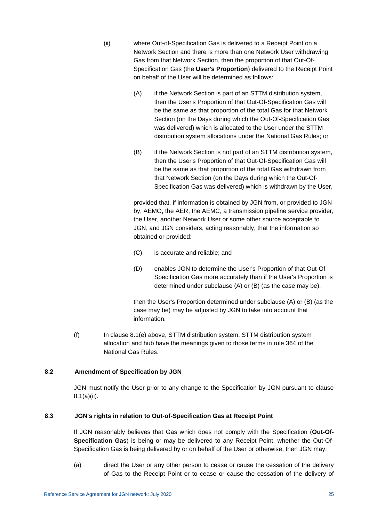- (ii) where Out-of-Specification Gas is delivered to a Receipt Point on a Network Section and there is more than one Network User withdrawing Gas from that Network Section, then the proportion of that Out-Of-Specification Gas (the **User's Proportion**) delivered to the Receipt Point on behalf of the User will be determined as follows:
	- (A) if the Network Section is part of an STTM distribution system, then the User's Proportion of that Out-Of-Specification Gas will be the same as that proportion of the total Gas for that Network Section (on the Days during which the Out-Of-Specification Gas was delivered) which is allocated to the User under the STTM distribution system allocations under the National Gas Rules; or
	- (B) if the Network Section is not part of an STTM distribution system, then the User's Proportion of that Out-Of-Specification Gas will be the same as that proportion of the total Gas withdrawn from that Network Section (on the Days during which the Out-Of-Specification Gas was delivered) which is withdrawn by the User,

provided that, if information is obtained by JGN from, or provided to JGN by, AEMO, the AER, the AEMC, a transmission pipeline service provider, the User, another Network User or some other source acceptable to JGN, and JGN considers, acting reasonably, that the information so obtained or provided:

- (C) is accurate and reliable; and
- (D) enables JGN to determine the User's Proportion of that Out-Of-Specification Gas more accurately than if the User's Proportion is determined under subclause (A) or (B) (as the case may be),

then the User's Proportion determined under subclause (A) or (B) (as the case may be) may be adjusted by JGN to take into account that information.

(f) In clause [8.1\(e\)](#page-30-5) above, STTM distribution system, STTM distribution system allocation and hub have the meanings given to those terms in rule 364 of the National Gas Rules.

# <span id="page-31-0"></span>**8.2 Amendment of Specification by JGN**

JGN must notify the User prior to any change to the Specification by JGN pursuant to clause [8.1\(a\)\(ii\).](#page-30-4)

### <span id="page-31-1"></span>**8.3 JGN's rights in relation to Out-of-Specification Gas at Receipt Point**

If JGN reasonably believes that Gas which does not comply with the Specification (**Out-Of-Specification Gas**) is being or may be delivered to any Receipt Point, whether the Out-Of-Specification Gas is being delivered by or on behalf of the User or otherwise, then JGN may:

<span id="page-31-2"></span>(a) direct the User or any other person to cease or cause the cessation of the delivery of Gas to the Receipt Point or to cease or cause the cessation of the delivery of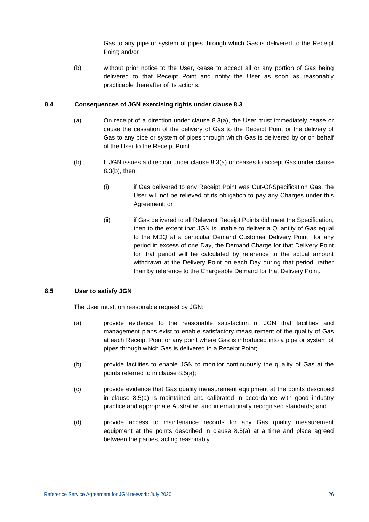Gas to any pipe or system of pipes through which Gas is delivered to the Receipt Point; and/or

<span id="page-32-2"></span>(b) without prior notice to the User, cease to accept all or any portion of Gas being delivered to that Receipt Point and notify the User as soon as reasonably practicable thereafter of its actions.

#### <span id="page-32-0"></span>**8.4 Consequences of JGN exercising rights under clause [8.3](#page-31-1)**

- (a) On receipt of a direction under clause [8.3\(a\),](#page-31-2) the User must immediately cease or cause the cessation of the delivery of Gas to the Receipt Point or the delivery of Gas to any pipe or system of pipes through which Gas is delivered by or on behalf of the User to the Receipt Point.
- (b) If JGN issues a direction under clause [8.3\(a\)](#page-31-2) or ceases to accept Gas under clause [8.3\(b\),](#page-32-2) then:
	- (i) if Gas delivered to any Receipt Point was Out-Of-Specification Gas, the User will not be relieved of its obligation to pay any Charges under this Agreement; or
	- (ii) if Gas delivered to all Relevant Receipt Points did meet the Specification, then to the extent that JGN is unable to deliver a Quantity of Gas equal to the MDQ at a particular Demand Customer Delivery Point for any period in excess of one Day, the Demand Charge for that Delivery Point for that period will be calculated by reference to the actual amount withdrawn at the Delivery Point on each Day during that period, rather than by reference to the Chargeable Demand for that Delivery Point.

### <span id="page-32-3"></span><span id="page-32-1"></span>**8.5 User to satisfy JGN**

The User must, on reasonable request by JGN:

- (a) provide evidence to the reasonable satisfaction of JGN that facilities and management plans exist to enable satisfactory measurement of the quality of Gas at each Receipt Point or any point where Gas is introduced into a pipe or system of pipes through which Gas is delivered to a Receipt Point;
- (b) provide facilities to enable JGN to monitor continuously the quality of Gas at the points referred to in clause [8.5\(a\);](#page-32-3)
- (c) provide evidence that Gas quality measurement equipment at the points described in clause [8.5\(a\)](#page-32-3) is maintained and calibrated in accordance with good industry practice and appropriate Australian and internationally recognised standards; and
- (d) provide access to maintenance records for any Gas quality measurement equipment at the points described in clause [8.5\(a\)](#page-32-3) at a time and place agreed between the parties, acting reasonably.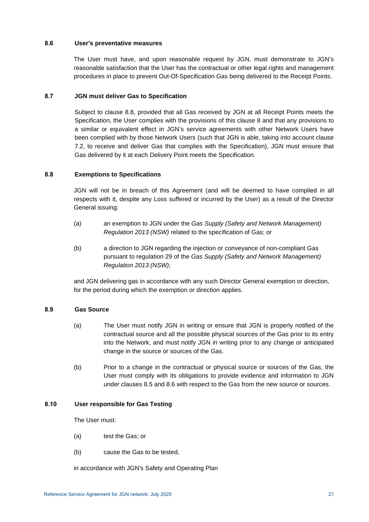#### <span id="page-33-0"></span>**8.6 User's preventative measures**

The User must have, and upon reasonable request by JGN, must demonstrate to JGN's reasonable satisfaction that the User has the contractual or other legal rights and management procedures in place to prevent Out-Of-Specification Gas being delivered to the Receipt Points.

### <span id="page-33-1"></span>**8.7 JGN must deliver Gas to Specification**

Subject to clause [8.8,](#page-33-2) provided that all Gas received by JGN at all Receipt Points meets the Specification, the User complies with the provisions of this clause [8](#page-30-0) and that any provisions to a similar or equivalent effect in JGN's service agreements with other Network Users have been complied with by those Network Users (such that JGN is able, taking into account clause [7.2,](#page-28-0) to receive and deliver Gas that complies with the Specification), JGN must ensure that Gas delivered by it at each Delivery Point meets the Specification.

#### <span id="page-33-2"></span>**8.8 Exemptions to Specifications**

JGN will not be in breach of this Agreement (and will be deemed to have complied in all respects with it, despite any Loss suffered or incurred by the User) as a result of the Director General issuing:

- (a) an exemption to JGN under the *Gas Supply (Safety and Network Management) Regulation 2013 (NSW)* related to the specification of Gas; or
- (b) a direction to JGN regarding the injection or conveyance of non-compliant Gas pursuant to regulation 29 of the *Gas Supply (Safety and Network Management) Regulation 2013 (NSW);*

and JGN delivering gas in accordance with any such Director General exemption or direction, for the period during which the exemption or direction applies.

### <span id="page-33-3"></span>**8.9 Gas Source**

- (a) The User must notify JGN in writing or ensure that JGN is properly notified of the contractual source and all the possible physical sources of the Gas prior to its entry into the Network, and must notify JGN in writing prior to any change or anticipated change in the source or sources of the Gas.
- (b) Prior to a change in the contractual or physical source or sources of the Gas, the User must comply with its obligations to provide evidence and information to JGN under clauses [8.5](#page-32-1) and [8.6](#page-33-0) with respect to the Gas from the new source or sources.

### <span id="page-33-4"></span>**8.10 User responsible for Gas Testing**

The User must:

- (a) test the Gas; or
- (b) cause the Gas to be tested,

in accordance with JGN's Safety and Operating Plan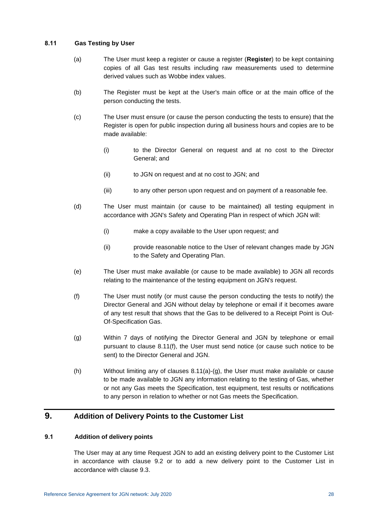### <span id="page-34-4"></span><span id="page-34-0"></span>**8.11 Gas Testing by User**

- (a) The User must keep a register or cause a register (**Register**) to be kept containing copies of all Gas test results including raw measurements used to determine derived values such as Wobbe index values.
- (b) The Register must be kept at the User's main office or at the main office of the person conducting the tests.
- (c) The User must ensure (or cause the person conducting the tests to ensure) that the Register is open for public inspection during all business hours and copies are to be made available:
	- (i) to the Director General on request and at no cost to the Director General; and
	- (ii) to JGN on request and at no cost to JGN; and
	- (iii) to any other person upon request and on payment of a reasonable fee.
- (d) The User must maintain (or cause to be maintained) all testing equipment in accordance with JGN's Safety and Operating Plan in respect of which JGN will:
	- (i) make a copy available to the User upon request; and
	- (ii) provide reasonable notice to the User of relevant changes made by JGN to the Safety and Operating Plan.
- (e) The User must make available (or cause to be made available) to JGN all records relating to the maintenance of the testing equipment on JGN's request.
- <span id="page-34-3"></span>(f) The User must notify (or must cause the person conducting the tests to notify) the Director General and JGN without delay by telephone or email if it becomes aware of any test result that shows that the Gas to be delivered to a Receipt Point is Out-Of-Specification Gas.
- <span id="page-34-5"></span>(g) Within 7 days of notifying the Director General and JGN by telephone or email pursuant to clause [8.11\(f\),](#page-34-3) the User must send notice (or cause such notice to be sent) to the Director General and JGN.
- (h) Without limiting any of clauses [8.11\(a\)-](#page-34-4)[\(g\),](#page-34-5) the User must make available or cause to be made available to JGN any information relating to the testing of Gas, whether or not any Gas meets the Specification, test equipment, test results or notifications to any person in relation to whether or not Gas meets the Specification.

# <span id="page-34-2"></span><span id="page-34-1"></span>**9. Addition of Delivery Points to the Customer List**

# **9.1 Addition of delivery points**

The User may at any time Request JGN to add an existing delivery point to the Customer List in accordance with clause [9.2](#page-35-0) or to add a new delivery point to the Customer List in accordance with clause [9.3.](#page-36-0)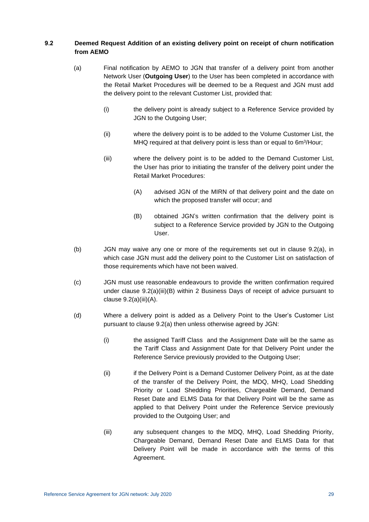# <span id="page-35-2"></span><span id="page-35-0"></span>**9.2 Deemed Request Addition of an existing delivery point on receipt of churn notification from AEMO**

- (a) Final notification by AEMO to JGN that transfer of a delivery point from another Network User (**Outgoing User**) to the User has been completed in accordance with the Retail Market Procedures will be deemed to be a Request and JGN must add the delivery point to the relevant Customer List, provided that:
	- (i) the delivery point is already subject to a Reference Service provided by JGN to the Outgoing User;
	- (ii) where the delivery point is to be added to the Volume Customer List, the MHQ required at that delivery point is less than or equal to 6m<sup>3</sup>/Hour;
	- (iii) where the delivery point is to be added to the Demand Customer List, the User has prior to initiating the transfer of the delivery point under the Retail Market Procedures:
		- (A) advised JGN of the MIRN of that delivery point and the date on which the proposed transfer will occur; and
		- (B) obtained JGN's written confirmation that the delivery point is subject to a Reference Service provided by JGN to the Outgoing User.
- <span id="page-35-4"></span><span id="page-35-3"></span>(b) JGN may waive any one or more of the requirements set out in clause [9.2\(a\),](#page-35-2) in which case JGN must add the delivery point to the Customer List on satisfaction of those requirements which have not been waived.
- (c) JGN must use reasonable endeavours to provide the written confirmation required under clause [9.2\(a\)\(iii\)\(B\)](#page-35-3) within 2 Business Days of receipt of advice pursuant to clause [9.2\(a\)\(iii\)\(A\).](#page-35-4)
- <span id="page-35-1"></span>(d) Where a delivery point is added as a Delivery Point to the User's Customer List pursuant to clause [9.2\(a\)](#page-35-2) then unless otherwise agreed by JGN:
	- (i) the assigned Tariff Class and the Assignment Date will be the same as the Tariff Class and Assignment Date for that Delivery Point under the Reference Service previously provided to the Outgoing User;
	- (ii) if the Delivery Point is a Demand Customer Delivery Point, as at the date of the transfer of the Delivery Point, the MDQ, MHQ, Load Shedding Priority or Load Shedding Priorities, Chargeable Demand, Demand Reset Date and ELMS Data for that Delivery Point will be the same as applied to that Delivery Point under the Reference Service previously provided to the Outgoing User; and
	- (iii) any subsequent changes to the MDQ, MHQ, Load Shedding Priority, Chargeable Demand, Demand Reset Date and ELMS Data for that Delivery Point will be made in accordance with the terms of this Agreement.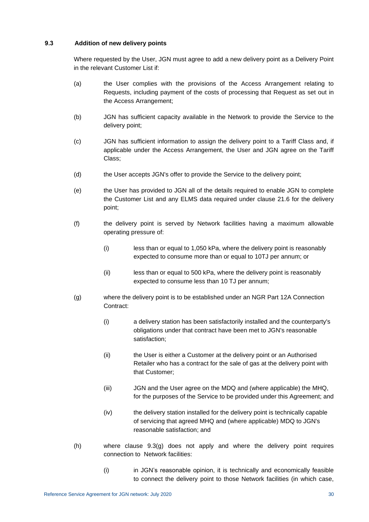## <span id="page-36-1"></span>**9.3 Addition of new delivery points**

Where requested by the User, JGN must agree to add a new delivery point as a Delivery Point in the relevant Customer List if:

- (a) the User complies with the provisions of the Access Arrangement relating to Requests, including payment of the costs of processing that Request as set out in the Access Arrangement;
- (b) JGN has sufficient capacity available in the Network to provide the Service to the delivery point;
- (c) JGN has sufficient information to assign the delivery point to a Tariff Class and, if applicable under the Access Arrangement, the User and JGN agree on the Tariff Class;
- (d) the User accepts JGN's offer to provide the Service to the delivery point;
- (e) the User has provided to JGN all of the details required to enable JGN to complete the Customer List and any ELMS data required under clause [21.6](#page-59-0) for the delivery point;
- (f) the delivery point is served by Network facilities having a maximum allowable operating pressure of:
	- (i) less than or equal to 1,050 kPa, where the delivery point is reasonably expected to consume more than or equal to 10TJ per annum; or
	- (ii) less than or equal to 500 kPa, where the delivery point is reasonably expected to consume less than 10 TJ per annum;
- <span id="page-36-0"></span>(g) where the delivery point is to be established under an NGR Part 12A Connection Contract:
	- (i) a delivery station has been satisfactorily installed and the counterparty's obligations under that contract have been met to JGN's reasonable satisfaction;
	- (ii) the User is either a Customer at the delivery point or an Authorised Retailer who has a contract for the sale of gas at the delivery point with that Customer;
	- (iii) JGN and the User agree on the MDQ and (where applicable) the MHQ, for the purposes of the Service to be provided under this Agreement; and
	- (iv) the delivery station installed for the delivery point is technically capable of servicing that agreed MHQ and (where applicable) MDQ to JGN's reasonable satisfaction; and
- (h) where clause [9.3\(g\)](#page-36-0) does not apply and where the delivery point requires connection to Network facilities:
	- (i) in JGN's reasonable opinion, it is technically and economically feasible to connect the delivery point to those Network facilities (in which case,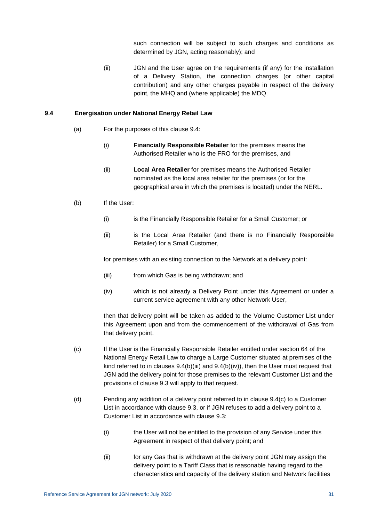such connection will be subject to such charges and conditions as determined by JGN, acting reasonably); and

(ii) JGN and the User agree on the requirements (if any) for the installation of a Delivery Station, the connection charges (or other capital contribution) and any other charges payable in respect of the delivery point, the MHQ and (where applicable) the MDQ.

#### <span id="page-37-0"></span>**9.4 Energisation under National Energy Retail Law**

- (a) For the purposes of this clause [9.4:](#page-37-0)
	- (i) **Financially Responsible Retailer** for the premises means the Authorised Retailer who is the FRO for the premises, and
	- (ii) **Local Area Retailer** for premises means the Authorised Retailer nominated as the local area retailer for the premises (or for the geographical area in which the premises is located) under the NERL.
- (b) If the User:
	- (i) is the Financially Responsible Retailer for a Small Customer; or
	- (ii) is the Local Area Retailer (and there is no Financially Responsible Retailer) for a Small Customer,

<span id="page-37-1"></span>for premises with an existing connection to the Network at a delivery point:

- (iii) from which Gas is being withdrawn; and
- <span id="page-37-2"></span>(iv) which is not already a Delivery Point under this Agreement or under a current service agreement with any other Network User,

then that delivery point will be taken as added to the Volume Customer List under this Agreement upon and from the commencement of the withdrawal of Gas from that delivery point.

- <span id="page-37-3"></span>(c) If the User is the Financially Responsible Retailer entitled under section 64 of the National Energy Retail Law to charge a Large Customer situated at premises of the kind referred to in clauses  $9.4(b)$ (iii) and  $9.4(b)$ (iv)), then the User must request that JGN add the delivery point for those premises to the relevant Customer List and the provisions of clause [9.3](#page-36-1) will apply to that request.
- (d) Pending any addition of a delivery point referred to in clause [9.4\(c\)](#page-37-3) to a Customer List in accordance with clause [9.3,](#page-36-1) or if JGN refuses to add a delivery point to a Customer List in accordance with clause [9.3:](#page-36-1)
	- (i) the User will not be entitled to the provision of any Service under this Agreement in respect of that delivery point; and
	- (ii) for any Gas that is withdrawn at the delivery point JGN may assign the delivery point to a Tariff Class that is reasonable having regard to the characteristics and capacity of the delivery station and Network facilities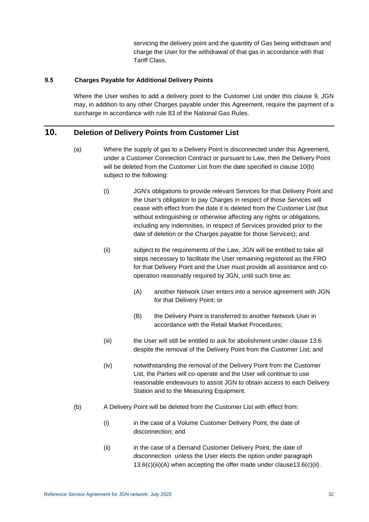servicing the delivery point and the quantity of Gas being withdrawn and charge the User for the withdrawal of that gas in accordance with that Tariff Class.

### **9.5 Charges Payable for Additional Delivery Points**

Where the User wishes to add a delivery point to the Customer List under this clause [9,](#page-34-0) JGN may, in addition to any other Charges payable under this Agreement, require the payment of a surcharge in accordance with rule 83 of the National Gas Rules.

## <span id="page-38-2"></span>**10. Deletion of Delivery Points from Customer List**

- <span id="page-38-1"></span>(a) Where the supply of gas to a Delivery Point is disconnected under this Agreement, under a Customer Connection Contract or pursuant to Law, then the Delivery Point will be deleted from the Customer List from the date specified in clause [10\(b\)](#page-38-0) subject to the following:
	- (i) JGN's obligations to provide relevant Services for that Delivery Point and the User's obligation to pay Charges in respect of those Services will cease with effect from the date it is deleted from the Customer List (but without extinguishing or otherwise affecting any rights or obligations, including any indemnities, in respect of Services provided prior to the date of deletion or the Charges payable for those Services); and
	- (ii) subject to the requirements of the Law, JGN will be entitled to take all steps necessary to facilitate the User remaining registered as the FRO for that Delivery Point and the User must provide all assistance and cooperation reasonably required by JGN, until such time as:
		- (A) another Network User enters into a service agreement with JGN for that Delivery Point; or
		- (B) the Delivery Point is transferred to another Network User in accordance with the Retail Market Procedures;
	- (iii) the User will still be entitled to ask for abolishment under clause [13.6](#page-42-0) despite the removal of the Delivery Point from the Customer List; and
	- (iv) notwithstanding the removal of the Delivery Point from the Customer List, the Parties will co-operate and the User will continue to use reasonable endeavours to assist JGN to obtain access to each Delivery Station and to the Measuring Equipment.
- <span id="page-38-0"></span>(b) A Delivery Point will be deleted from the Customer List with effect from:
	- (i) in the case of a Volume Customer Delivery Point, the date of disconnection; and
	- (ii) in the case of a Demand Customer Delivery Point, the date of disconnection unless the User elects the option under paragraph [13.6\(c\)\(iii\)\(A\)](#page-43-0) when accepting the offer made under claus[e13.6\(c\)\(ii\).](#page-43-1)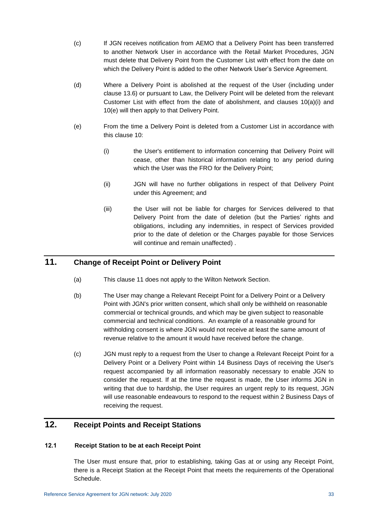- (c) If JGN receives notification from AEMO that a Delivery Point has been transferred to another Network User in accordance with the Retail Market Procedures, JGN must delete that Delivery Point from the Customer List with effect from the date on which the Delivery Point is added to the other Network User's Service Agreement.
- (d) Where a Delivery Point is abolished at the request of the User (including under clause [13.6\)](#page-42-0) or pursuant to Law, the Delivery Point will be deleted from the relevant Customer List with effect from the date of abolishment, and clauses [10\(a\)\(i\)](#page-38-1) and [10\(e\)](#page-39-0) will then apply to that Delivery Point.
- <span id="page-39-0"></span>(e) From the time a Delivery Point is deleted from a Customer List in accordance with this clause [10:](#page-38-2)
	- (i) the User's entitlement to information concerning that Delivery Point will cease, other than historical information relating to any period during which the User was the FRO for the Delivery Point;
	- (ii) JGN will have no further obligations in respect of that Delivery Point under this Agreement; and
	- (iii) the User will not be liable for charges for Services delivered to that Delivery Point from the date of deletion (but the Parties' rights and obligations, including any indemnities, in respect of Services provided prior to the date of deletion or the Charges payable for those Services will continue and remain unaffected) .

# <span id="page-39-1"></span>**11. Change of Receipt Point or Delivery Point**

- (a) This clause [11](#page-39-1) does not apply to the Wilton Network Section.
- (b) The User may change a Relevant Receipt Point for a Delivery Point or a Delivery Point with JGN's prior written consent, which shall only be withheld on reasonable commercial or technical grounds, and which may be given subject to reasonable commercial and technical conditions. An example of a reasonable ground for withholding consent is where JGN would not receive at least the same amount of revenue relative to the amount it would have received before the change.
- (c) JGN must reply to a request from the User to change a Relevant Receipt Point for a Delivery Point or a Delivery Point within 14 Business Days of receiving the User's request accompanied by all information reasonably necessary to enable JGN to consider the request. If at the time the request is made, the User informs JGN in writing that due to hardship, the User requires an urgent reply to its request, JGN will use reasonable endeavours to respond to the request within 2 Business Days of receiving the request.

# **12. Receipt Points and Receipt Stations**

## **12.1 Receipt Station to be at each Receipt Point**

The User must ensure that, prior to establishing, taking Gas at or using any Receipt Point, there is a Receipt Station at the Receipt Point that meets the requirements of the Operational Schedule.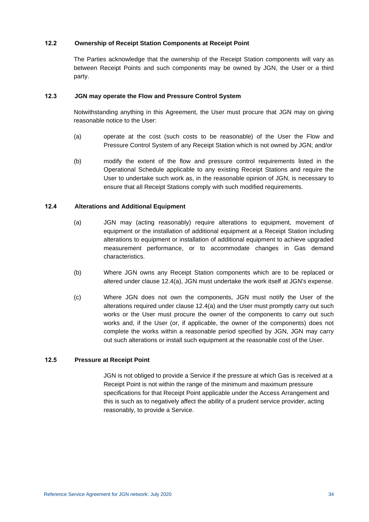## **12.2 Ownership of Receipt Station Components at Receipt Point**

The Parties acknowledge that the ownership of the Receipt Station components will vary as between Receipt Points and such components may be owned by JGN, the User or a third party.

#### **12.3 JGN may operate the Flow and Pressure Control System**

Notwithstanding anything in this Agreement, the User must procure that JGN may on giving reasonable notice to the User:

- (a) operate at the cost (such costs to be reasonable) of the User the Flow and Pressure Control System of any Receipt Station which is not owned by JGN; and/or
- (b) modify the extent of the flow and pressure control requirements listed in the Operational Schedule applicable to any existing Receipt Stations and require the User to undertake such work as, in the reasonable opinion of JGN, is necessary to ensure that all Receipt Stations comply with such modified requirements.

## <span id="page-40-0"></span>**12.4 Alterations and Additional Equipment**

- (a) JGN may (acting reasonably) require alterations to equipment, movement of equipment or the installation of additional equipment at a Receipt Station including alterations to equipment or installation of additional equipment to achieve upgraded measurement performance, or to accommodate changes in Gas demand characteristics.
- (b) Where JGN owns any Receipt Station components which are to be replaced or altered under clause [12.4\(a\),](#page-40-0) JGN must undertake the work itself at JGN's expense.
- (c) Where JGN does not own the components, JGN must notify the User of the alterations required under clause [12.4\(a\)](#page-40-0) and the User must promptly carry out such works or the User must procure the owner of the components to carry out such works and, if the User (or, if applicable, the owner of the components) does not complete the works within a reasonable period specified by JGN, JGN may carry out such alterations or install such equipment at the reasonable cost of the User.

## **12.5 Pressure at Receipt Point**

JGN is not obliged to provide a Service if the pressure at which Gas is received at a Receipt Point is not within the range of the minimum and maximum pressure specifications for that Receipt Point applicable under the Access Arrangement and this is such as to negatively affect the ability of a prudent service provider, acting reasonably, to provide a Service.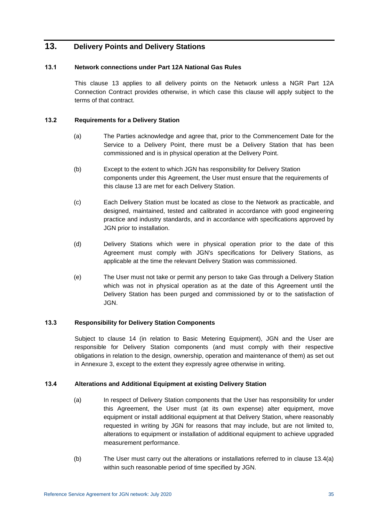# <span id="page-41-0"></span>**13. Delivery Points and Delivery Stations**

## **13.1 Network connections under Part 12A National Gas Rules**

This clause [13](#page-41-0) applies to all delivery points on the Network unless a NGR Part 12A Connection Contract provides otherwise, in which case this clause will apply subject to the terms of that contract.

## **13.2 Requirements for a Delivery Station**

- (a) The Parties acknowledge and agree that, prior to the Commencement Date for the Service to a Delivery Point, there must be a Delivery Station that has been commissioned and is in physical operation at the Delivery Point.
- (b) Except to the extent to which JGN has responsibility for Delivery Station components under this Agreement, the User must ensure that the requirements of this clause [13](#page-41-0) are met for each Delivery Station.
- (c) Each Delivery Station must be located as close to the Network as practicable, and designed, maintained, tested and calibrated in accordance with good engineering practice and industry standards, and in accordance with specifications approved by JGN prior to installation.
- (d) Delivery Stations which were in physical operation prior to the date of this Agreement must comply with JGN's specifications for Delivery Stations, as applicable at the time the relevant Delivery Station was commissioned.
- (e) The User must not take or permit any person to take Gas through a Delivery Station which was not in physical operation as at the date of this Agreement until the Delivery Station has been purged and commissioned by or to the satisfaction of JGN.

## **13.3 Responsibility for Delivery Station Components**

Subject to clause [14](#page-45-0) (in relation to Basic Metering Equipment), JGN and the User are responsible for Delivery Station components (and must comply with their respective obligations in relation to the design, ownership, operation and maintenance of them) as set out in [Annexure 3,](#page-85-0) except to the extent they expressly agree otherwise in writing.

## <span id="page-41-1"></span>**13.4 Alterations and Additional Equipment at existing Delivery Station**

- (a) In respect of Delivery Station components that the User has responsibility for under this Agreement, the User must (at its own expense) alter equipment, move equipment or install additional equipment at that Delivery Station, where reasonably requested in writing by JGN for reasons that may include, but are not limited to, alterations to equipment or installation of additional equipment to achieve upgraded measurement performance.
- <span id="page-41-2"></span>(b) The User must carry out the alterations or installations referred to in clause [13.4\(a\)](#page-41-1) within such reasonable period of time specified by JGN.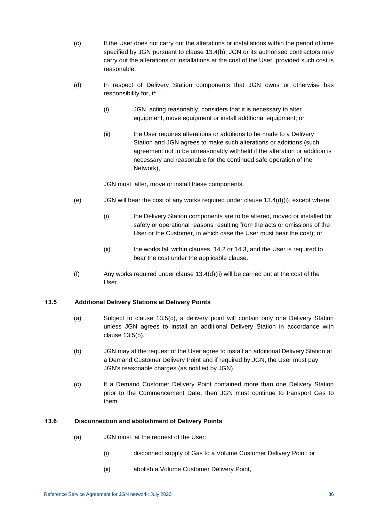- (c) If the User does not carry out the alterations or installations within the period of time specified by JGN pursuant to clause [13.4\(b\),](#page-41-2) JGN or its authorised contractors may carry out the alterations or installations at the cost of the User, provided such cost is reasonable.
- <span id="page-42-2"></span><span id="page-42-1"></span>(d) In respect of Delivery Station components that JGN owns or otherwise has responsibility for, if:
	- (i) JGN, acting reasonably, considers that it is necessary to alter equipment, move equipment or install additional equipment; or
	- (ii) the User requires alterations or additions to be made to a Delivery Station and JGN agrees to make such alterations or additions (such agreement not to be unreasonably withheld if the alteration or addition is necessary and reasonable for the continued safe operation of the Network),

JGN must alter, move or install these components.

- (e)  $JGN$  will bear the cost of any works required under clause  $13.4(d)(i)$ , except where:
	- (i) the Delivery Station components are to be altered, moved or installed for safety or operational reasons resulting from the acts or omissions of the User or the Customer, in which case the User must bear the cost); or
	- (ii) the works fall within clauses, [14.2](#page-45-1) or [14.3,](#page-45-2) and the User is required to bear the cost under the applicable clause.
- (f) Any works required under clause  $13.4(d)(ii)$  will be carried out at the cost of the User.

## **13.5 Additional Delivery Stations at Delivery Points**

- (a) Subject to clause [13.5\(c\),](#page-42-3) a delivery point will contain only one Delivery Station unless JGN agrees to install an additional Delivery Station in accordance with clause [13.5\(b\).](#page-42-4)
- (b) JGN may at the request of the User agree to install an additional Delivery Station at a Demand Customer Delivery Point and if required by JGN, the User must pay JGN's reasonable charges (as notified by JGN).
- <span id="page-42-4"></span><span id="page-42-3"></span>(c) If a Demand Customer Delivery Point contained more than one Delivery Station prior to the Commencement Date, then JGN must continue to transport Gas to them.

#### <span id="page-42-5"></span><span id="page-42-0"></span>**13.6 Disconnection and abolishment of Delivery Points**

- (a) JGN must, at the request of the User:
	- (i) disconnect supply of Gas to a Volume Customer Delivery Point; or
	- (ii) abolish a Volume Customer Delivery Point,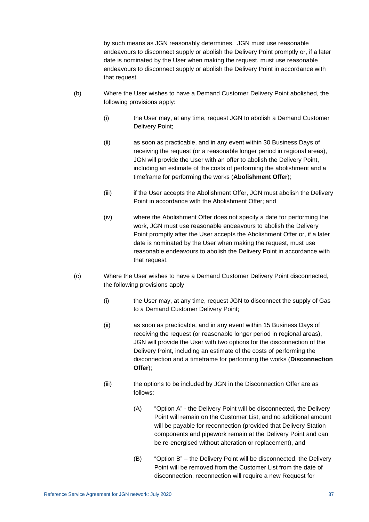by such means as JGN reasonably determines. JGN must use reasonable endeavours to disconnect supply or abolish the Delivery Point promptly or, if a later date is nominated by the User when making the request, must use reasonable endeavours to disconnect supply or abolish the Delivery Point in accordance with that request.

- <span id="page-43-4"></span>(b) Where the User wishes to have a Demand Customer Delivery Point abolished, the following provisions apply:
	- (i) the User may, at any time, request JGN to abolish a Demand Customer Delivery Point;
	- (ii) as soon as practicable, and in any event within 30 Business Days of receiving the request (or a reasonable longer period in regional areas), JGN will provide the User with an offer to abolish the Delivery Point, including an estimate of the costs of performing the abolishment and a timeframe for performing the works (**Abolishment Offer**);
	- (iii) if the User accepts the Abolishment Offer, JGN must abolish the Delivery Point in accordance with the Abolishment Offer; and
	- (iv) where the Abolishment Offer does not specify a date for performing the work, JGN must use reasonable endeavours to abolish the Delivery Point promptly after the User accepts the Abolishment Offer or, if a later date is nominated by the User when making the request, must use reasonable endeavours to abolish the Delivery Point in accordance with that request.
- <span id="page-43-5"></span><span id="page-43-3"></span><span id="page-43-2"></span><span id="page-43-1"></span><span id="page-43-0"></span>(c) Where the User wishes to have a Demand Customer Delivery Point disconnected, the following provisions apply
	- (i) the User may, at any time, request JGN to disconnect the supply of Gas to a Demand Customer Delivery Point;
	- (ii) as soon as practicable, and in any event within 15 Business Days of receiving the request (or reasonable longer period in regional areas), JGN will provide the User with two options for the disconnection of the Delivery Point, including an estimate of the costs of performing the disconnection and a timeframe for performing the works (**Disconnection Offer**);
	- (iii) the options to be included by JGN in the Disconnection Offer are as follows:
		- (A) "Option A" the Delivery Point will be disconnected, the Delivery Point will remain on the Customer List, and no additional amount will be payable for reconnection (provided that Delivery Station components and pipework remain at the Delivery Point and can be re-energised without alteration or replacement), and
		- (B) "Option B" the Delivery Point will be disconnected, the Delivery Point will be removed from the Customer List from the date of disconnection, reconnection will require a new Request for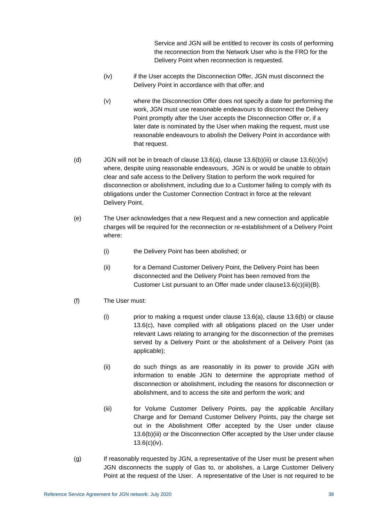Service and JGN will be entitled to recover its costs of performing the reconnection from the Network User who is the FRO for the Delivery Point when reconnection is requested.

- <span id="page-44-0"></span>(iv) if the User accepts the Disconnection Offer, JGN must disconnect the Delivery Point in accordance with that offer; and
- (v) where the Disconnection Offer does not specify a date for performing the work, JGN must use reasonable endeavours to disconnect the Delivery Point promptly after the User accepts the Disconnection Offer or, if a later date is nominated by the User when making the request, must use reasonable endeavours to abolish the Delivery Point in accordance with that request.
- (d) JGN will not be in breach of clause [13.6\(a\),](#page-42-5) clause [13.6\(b\)\(iii\)](#page-43-2) or clause [13.6\(c\)\(iv\)](#page-44-0) where, despite using reasonable endeavours, JGN is or would be unable to obtain clear and safe access to the Delivery Station to perform the work required for disconnection or abolishment, including due to a Customer failing to comply with its obligations under the Customer Connection Contract in force at the relevant Delivery Point.
- (e) The User acknowledges that a new Request and a new connection and applicable charges will be required for the reconnection or re-establishment of a Delivery Point where:
	- (i) the Delivery Point has been abolished; or
	- (ii) for a Demand Customer Delivery Point, the Delivery Point has been disconnected and the Delivery Point has been removed from the Customer List pursuant to an Offer made under claus[e13.6\(c\)\(iii\)\(B\).](#page-43-3)
- (f) The User must:
	- (i) prior to making a request under clause  $13.6(a)$ , clause  $13.6(b)$  or clause [13.6\(c\),](#page-43-5) have complied with all obligations placed on the User under relevant Laws relating to arranging for the disconnection of the premises served by a Delivery Point or the abolishment of a Delivery Point (as applicable);
	- (ii) do such things as are reasonably in its power to provide JGN with information to enable JGN to determine the appropriate method of disconnection or abolishment, including the reasons for disconnection or abolishment, and to access the site and perform the work; and
	- (iii) for Volume Customer Delivery Points, pay the applicable Ancillary Charge and for Demand Customer Delivery Points, pay the charge set out in the Abolishment Offer accepted by the User under clause [13.6\(b\)\(iii\)](#page-43-2) or the Disconnection Offer accepted by the User under clause [13.6\(c\)\(iv\).](#page-44-0)
- <span id="page-44-1"></span>(g) If reasonably requested by JGN, a representative of the User must be present when JGN disconnects the supply of Gas to, or abolishes, a Large Customer Delivery Point at the request of the User. A representative of the User is not required to be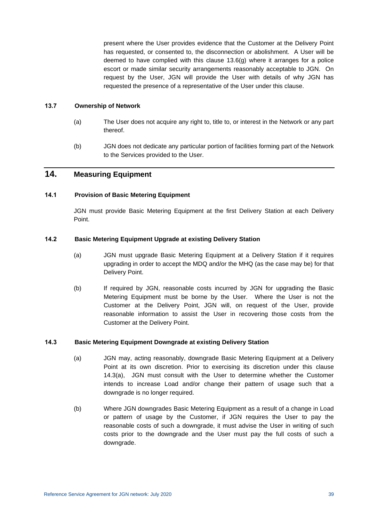present where the User provides evidence that the Customer at the Delivery Point has requested, or consented to, the disconnection or abolishment. A User will be deemed to have complied with this clause  $13.6(q)$  where it arranges for a police escort or made similar security arrangements reasonably acceptable to JGN. On request by the User, JGN will provide the User with details of why JGN has requested the presence of a representative of the User under this clause.

#### **13.7 Ownership of Network**

- (a) The User does not acquire any right to, title to, or interest in the Network or any part thereof.
- (b) JGN does not dedicate any particular portion of facilities forming part of the Network to the Services provided to the User.

# <span id="page-45-0"></span>**14. Measuring Equipment**

### **14.1 Provision of Basic Metering Equipment**

JGN must provide Basic Metering Equipment at the first Delivery Station at each Delivery Point.

## <span id="page-45-1"></span>**14.2 Basic Metering Equipment Upgrade at existing Delivery Station**

- (a) JGN must upgrade Basic Metering Equipment at a Delivery Station if it requires upgrading in order to accept the MDQ and/or the MHQ (as the case may be) for that Delivery Point.
- (b) If required by JGN, reasonable costs incurred by JGN for upgrading the Basic Metering Equipment must be borne by the User. Where the User is not the Customer at the Delivery Point, JGN will, on request of the User, provide reasonable information to assist the User in recovering those costs from the Customer at the Delivery Point.

#### <span id="page-45-3"></span><span id="page-45-2"></span>**14.3 Basic Metering Equipment Downgrade at existing Delivery Station**

- (a) JGN may, acting reasonably, downgrade Basic Metering Equipment at a Delivery Point at its own discretion. Prior to exercising its discretion under this clause [14.3\(a\),](#page-45-3) JGN must consult with the User to determine whether the Customer intends to increase Load and/or change their pattern of usage such that a downgrade is no longer required.
- (b) Where JGN downgrades Basic Metering Equipment as a result of a change in Load or pattern of usage by the Customer, if JGN requires the User to pay the reasonable costs of such a downgrade, it must advise the User in writing of such costs prior to the downgrade and the User must pay the full costs of such a downgrade.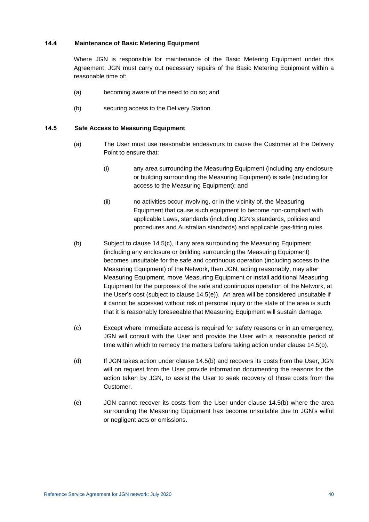## **14.4 Maintenance of Basic Metering Equipment**

Where JGN is responsible for maintenance of the Basic Metering Equipment under this Agreement, JGN must carry out necessary repairs of the Basic Metering Equipment within a reasonable time of:

- (a) becoming aware of the need to do so; and
- (b) securing access to the Delivery Station.

## **14.5 Safe Access to Measuring Equipment**

- (a) The User must use reasonable endeavours to cause the Customer at the Delivery Point to ensure that:
	- (i) any area surrounding the Measuring Equipment (including any enclosure or building surrounding the Measuring Equipment) is safe (including for access to the Measuring Equipment); and
	- (ii) no activities occur involving, or in the vicinity of, the Measuring Equipment that cause such equipment to become non-compliant with applicable Laws, standards (including JGN's standards, policies and procedures and Australian standards) and applicable gas-fitting rules.
- <span id="page-46-2"></span>(b) Subject to clause [14.5\(c\),](#page-46-0) if any area surrounding the Measuring Equipment (including any enclosure or building surrounding the Measuring Equipment) becomes unsuitable for the safe and continuous operation (including access to the Measuring Equipment) of the Network, then JGN, acting reasonably, may alter Measuring Equipment, move Measuring Equipment or install additional Measuring Equipment for the purposes of the safe and continuous operation of the Network, at the User's cost (subject to clause [14.5\(e\)\)](#page-46-1). An area will be considered unsuitable if it cannot be accessed without risk of personal injury or the state of the area is such that it is reasonably foreseeable that Measuring Equipment will sustain damage.
- <span id="page-46-0"></span>(c) Except where immediate access is required for safety reasons or in an emergency, JGN will consult with the User and provide the User with a reasonable period of time within which to remedy the matters before taking action under clause [14.5\(b\).](#page-46-2)
- (d) If JGN takes action under clause [14.5\(b\)](#page-46-2) and recovers its costs from the User, JGN will on request from the User provide information documenting the reasons for the action taken by JGN, to assist the User to seek recovery of those costs from the Customer.
- <span id="page-46-1"></span>(e) JGN cannot recover its costs from the User under clause [14.5\(b\)](#page-46-2) where the area surrounding the Measuring Equipment has become unsuitable due to JGN's wilful or negligent acts or omissions.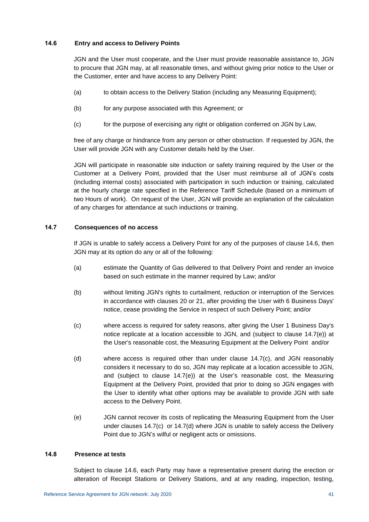## <span id="page-47-0"></span>**14.6 Entry and access to Delivery Points**

JGN and the User must cooperate, and the User must provide reasonable assistance to, JGN to procure that JGN may, at all reasonable times, and without giving prior notice to the User or the Customer, enter and have access to any Delivery Point:

- (a) to obtain access to the Delivery Station (including any Measuring Equipment);
- (b) for any purpose associated with this Agreement; or
- (c) for the purpose of exercising any right or obligation conferred on JGN by Law,

free of any charge or hindrance from any person or other obstruction. If requested by JGN, the User will provide JGN with any Customer details held by the User.

JGN will participate in reasonable site induction or safety training required by the User or the Customer at a Delivery Point, provided that the User must reimburse all of JGN's costs (including internal costs) associated with participation in such induction or training, calculated at the hourly charge rate specified in the Reference Tariff Schedule (based on a minimum of two Hours of work). On request of the User, JGN will provide an explanation of the calculation of any charges for attendance at such inductions or training.

## **14.7 Consequences of no access**

If JGN is unable to safely access a Delivery Point for any of the purposes of clause [14.6,](#page-47-0) then JGN may at its option do any or all of the following:

- <span id="page-47-4"></span>(a) estimate the Quantity of Gas delivered to that Delivery Point and render an invoice based on such estimate in the manner required by Law; and/or
- (b) without limiting JGN's rights to curtailment, reduction or interruption of the Services in accordance with clauses [20](#page-57-0) or [21,](#page-57-1) after providing the User with 6 Business Days' notice, cease providing the Service in respect of such Delivery Point; and/or
- <span id="page-47-2"></span>(c) where access is required for safety reasons, after giving the User 1 Business Day's notice replicate at a location accessible to JGN, and (subject to clause [14.7\(e\)\)](#page-47-1) at the User's reasonable cost, the Measuring Equipment at the Delivery Point and/or
- <span id="page-47-3"></span>(d) where access is required other than under clause [14.7\(c\),](#page-47-2) and JGN reasonably considers it necessary to do so, JGN may replicate at a location accessible to JGN, and (subject to clause [14.7\(e\)\)](#page-47-1) at the User's reasonable cost, the Measuring Equipment at the Delivery Point, provided that prior to doing so JGN engages with the User to identify what other options may be available to provide JGN with safe access to the Delivery Point.
- <span id="page-47-1"></span>(e) JGN cannot recover its costs of replicating the Measuring Equipment from the User under clauses [14.7\(c\)](#page-47-2) or [14.7\(d\)](#page-47-3) where JGN is unable to safely access the Delivery Point due to JGN's wilful or negligent acts or omissions.

## **14.8 Presence at tests**

Subject to clause [14.6,](#page-47-0) each Party may have a representative present during the erection or alteration of Receipt Stations or Delivery Stations, and at any reading, inspection, testing,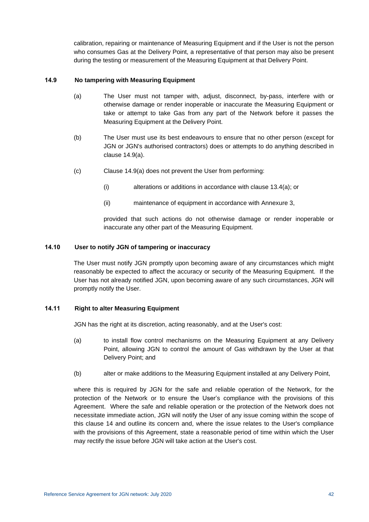calibration, repairing or maintenance of Measuring Equipment and if the User is not the person who consumes Gas at the Delivery Point, a representative of that person may also be present during the testing or measurement of the Measuring Equipment at that Delivery Point.

## <span id="page-48-0"></span>**14.9 No tampering with Measuring Equipment**

- (a) The User must not tamper with, adjust, disconnect, by-pass, interfere with or otherwise damage or render inoperable or inaccurate the Measuring Equipment or take or attempt to take Gas from any part of the Network before it passes the Measuring Equipment at the Delivery Point.
- (b) The User must use its best endeavours to ensure that no other person (except for JGN or JGN's authorised contractors) does or attempts to do anything described in clause [14.9\(a\).](#page-48-0)
- (c) Clause [14.9\(a\)](#page-48-0) does not prevent the User from performing:
	- (i) alterations or additions in accordance with clause [13.4\(a\);](#page-41-1) or
	- (ii) maintenance of equipment in accordance with [Annexure 3,](#page-85-0)

provided that such actions do not otherwise damage or render inoperable or inaccurate any other part of the Measuring Equipment.

#### **14.10 User to notify JGN of tampering or inaccuracy**

The User must notify JGN promptly upon becoming aware of any circumstances which might reasonably be expected to affect the accuracy or security of the Measuring Equipment. If the User has not already notified JGN, upon becoming aware of any such circumstances, JGN will promptly notify the User.

## **14.11 Right to alter Measuring Equipment**

JGN has the right at its discretion, acting reasonably, and at the User's cost:

- (a) to install flow control mechanisms on the Measuring Equipment at any Delivery Point, allowing JGN to control the amount of Gas withdrawn by the User at that Delivery Point; and
- (b) alter or make additions to the Measuring Equipment installed at any Delivery Point,

where this is required by JGN for the safe and reliable operation of the Network, for the protection of the Network or to ensure the User's compliance with the provisions of this Agreement. Where the safe and reliable operation or the protection of the Network does not necessitate immediate action, JGN will notify the User of any issue coming within the scope of this clause [14](#page-45-0) and outline its concern and, where the issue relates to the User's compliance with the provisions of this Agreement, state a reasonable period of time within which the User may rectify the issue before JGN will take action at the User's cost.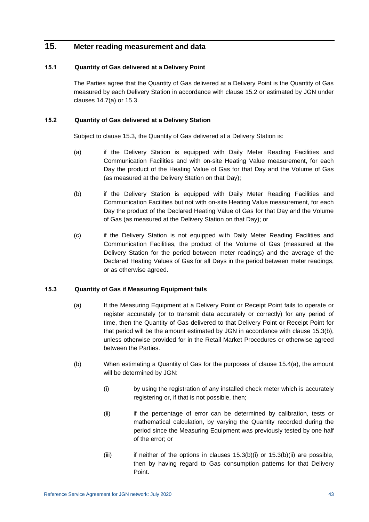# **15. Meter reading measurement and data**

## **15.1 Quantity of Gas delivered at a Delivery Point**

The Parties agree that the Quantity of Gas delivered at a Delivery Point is the Quantity of Gas measured by each Delivery Station in accordance with clause [15.2](#page-49-0) or estimated by JGN under clauses [14.7\(a\)](#page-47-4) or [15.3.](#page-49-1)

## <span id="page-49-0"></span>**15.2 Quantity of Gas delivered at a Delivery Station**

Subject to clause [15.3,](#page-49-1) the Quantity of Gas delivered at a Delivery Station is:

- (a) if the Delivery Station is equipped with Daily Meter Reading Facilities and Communication Facilities and with on-site Heating Value measurement, for each Day the product of the Heating Value of Gas for that Day and the Volume of Gas (as measured at the Delivery Station on that Day);
- (b) if the Delivery Station is equipped with Daily Meter Reading Facilities and Communication Facilities but not with on-site Heating Value measurement, for each Day the product of the Declared Heating Value of Gas for that Day and the Volume of Gas (as measured at the Delivery Station on that Day); or
- (c) if the Delivery Station is not equipped with Daily Meter Reading Facilities and Communication Facilities, the product of the Volume of Gas (measured at the Delivery Station for the period between meter readings) and the average of the Declared Heating Values of Gas for all Days in the period between meter readings, or as otherwise agreed.

## <span id="page-49-1"></span>**15.3 Quantity of Gas if Measuring Equipment fails**

- (a) If the Measuring Equipment at a Delivery Point or Receipt Point fails to operate or register accurately (or to transmit data accurately or correctly) for any period of time, then the Quantity of Gas delivered to that Delivery Point or Receipt Point for that period will be the amount estimated by JGN in accordance with clause [15.3\(b\),](#page-49-2) unless otherwise provided for in the Retail Market Procedures or otherwise agreed between the Parties.
- <span id="page-49-4"></span><span id="page-49-3"></span><span id="page-49-2"></span>(b) When estimating a Quantity of Gas for the purposes of clause [15.4\(a\),](#page-50-0) the amount will be determined by JGN:
	- (i) by using the registration of any installed check meter which is accurately registering or, if that is not possible, then;
	- (ii) if the percentage of error can be determined by calibration, tests or mathematical calculation, by varying the Quantity recorded during the period since the Measuring Equipment was previously tested by one half of the error; or
	- (iii) if neither of the options in clauses  $15.3(b)(i)$  or  $15.3(b)(ii)$  are possible, then by having regard to Gas consumption patterns for that Delivery Point.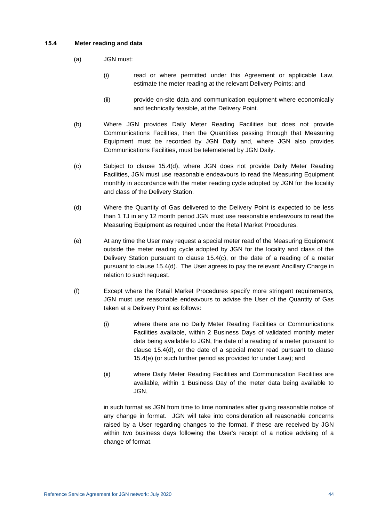### <span id="page-50-0"></span>**15.4 Meter reading and data**

- (a) JGN must:
	- (i) read or where permitted under this Agreement or applicable Law, estimate the meter reading at the relevant Delivery Points; and
	- (ii) provide on-site data and communication equipment where economically and technically feasible, at the Delivery Point.
- (b) Where JGN provides Daily Meter Reading Facilities but does not provide Communications Facilities, then the Quantities passing through that Measuring Equipment must be recorded by JGN Daily and, where JGN also provides Communications Facilities, must be telemetered by JGN Daily.
- <span id="page-50-2"></span>(c) Subject to clause [15.4\(d\),](#page-50-1) where JGN does not provide Daily Meter Reading Facilities, JGN must use reasonable endeavours to read the Measuring Equipment monthly in accordance with the meter reading cycle adopted by JGN for the locality and class of the Delivery Station.
- <span id="page-50-1"></span>(d) Where the Quantity of Gas delivered to the Delivery Point is expected to be less than 1 TJ in any 12 month period JGN must use reasonable endeavours to read the Measuring Equipment as required under the Retail Market Procedures.
- <span id="page-50-3"></span>(e) At any time the User may request a special meter read of the Measuring Equipment outside the meter reading cycle adopted by JGN for the locality and class of the Delivery Station pursuant to clause [15.4\(c\),](#page-50-2) or the date of a reading of a meter pursuant to clause [15.4\(d\).](#page-50-1) The User agrees to pay the relevant Ancillary Charge in relation to such request.
- (f) Except where the Retail Market Procedures specify more stringent requirements, JGN must use reasonable endeavours to advise the User of the Quantity of Gas taken at a Delivery Point as follows:
	- (i) where there are no Daily Meter Reading Facilities or Communications Facilities available, within 2 Business Days of validated monthly meter data being available to JGN, the date of a reading of a meter pursuant to clause [15.4\(d\),](#page-50-1) or the date of a special meter read pursuant to clause [15.4\(e\)](#page-50-3) (or such further period as provided for under Law); and
	- (ii) where Daily Meter Reading Facilities and Communication Facilities are available, within 1 Business Day of the meter data being available to JGN,

in such format as JGN from time to time nominates after giving reasonable notice of any change in format. JGN will take into consideration all reasonable concerns raised by a User regarding changes to the format, if these are received by JGN within two business days following the User's receipt of a notice advising of a change of format.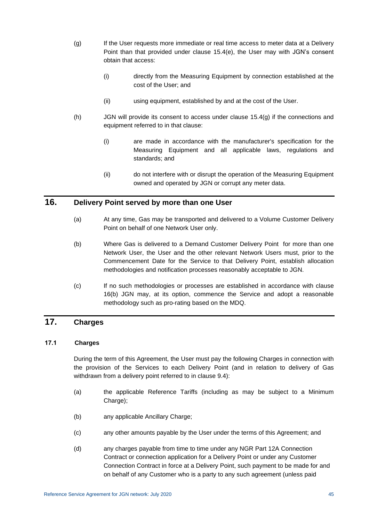- <span id="page-51-0"></span>(g) If the User requests more immediate or real time access to meter data at a Delivery Point than that provided under clause [15.4\(e\),](#page-50-3) the User may with JGN's consent obtain that access:
	- (i) directly from the Measuring Equipment by connection established at the cost of the User; and
	- (ii) using equipment, established by and at the cost of the User.
- (h) JGN will provide its consent to access under clause [15.4\(g\)](#page-51-0) if the connections and equipment referred to in that clause:
	- (i) are made in accordance with the manufacturer's specification for the Measuring Equipment and all applicable laws, regulations and standards; and
	- (ii) do not interfere with or disrupt the operation of the Measuring Equipment owned and operated by JGN or corrupt any meter data.

# **16. Delivery Point served by more than one User**

- (a) At any time, Gas may be transported and delivered to a Volume Customer Delivery Point on behalf of one Network User only.
- <span id="page-51-1"></span>(b) Where Gas is delivered to a Demand Customer Delivery Point for more than one Network User, the User and the other relevant Network Users must, prior to the Commencement Date for the Service to that Delivery Point, establish allocation methodologies and notification processes reasonably acceptable to JGN.
- (c) If no such methodologies or processes are established in accordance with clause [16\(b\)](#page-51-1) JGN may, at its option, commence the Service and adopt a reasonable methodology such as pro-rating based on the MDQ.

# **17. Charges**

## **17.1 Charges**

During the term of this Agreement, the User must pay the following Charges in connection with the provision of the Services to each Delivery Point (and in relation to delivery of Gas withdrawn from a delivery point referred to in clause [9.4\)](#page-37-0):

- <span id="page-51-2"></span>(a) the applicable Reference Tariffs (including as may be subject to a Minimum Charge);
- <span id="page-51-3"></span>(b) any applicable Ancillary Charge;
- (c) any other amounts payable by the User under the terms of this Agreement; and
- <span id="page-51-4"></span>(d) any charges payable from time to time under any NGR Part 12A Connection Contract or connection application for a Delivery Point or under any Customer Connection Contract in force at a Delivery Point, such payment to be made for and on behalf of any Customer who is a party to any such agreement (unless paid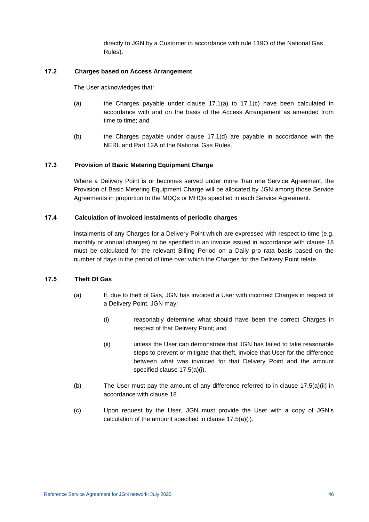directly to JGN by a Customer in accordance with rule 119O of the National Gas Rules).

#### **17.2 Charges based on Access Arrangement**

The User acknowledges that:

- (a) the Charges payable under clause  $17.1(a)$  to  $17.1(c)$  have been calculated in accordance with and on the basis of the Access Arrangement as amended from time to time; and
- (b) the Charges payable under clause [17.1\(d\)](#page-51-4) are payable in accordance with the NERL and Part 12A of the National Gas Rules.

## **17.3 Provision of Basic Metering Equipment Charge**

Where a Delivery Point is or becomes served under more than one Service Agreement, the Provision of Basic Metering Equipment Charge will be allocated by JGN among those Service Agreements in proportion to the MDQs or MHQs specified in each Service Agreement.

#### **17.4 Calculation of invoiced instalments of periodic charges**

Instalments of any Charges for a Delivery Point which are expressed with respect to time (e.g. monthly or annual charges) to be specified in an invoice issued in accordance with clause [18](#page-53-0) must be calculated for the relevant Billing Period on a Daily pro rata basis based on the number of days in the period of time over which the Charges for the Delivery Point relate.

## <span id="page-52-0"></span>**17.5 Theft Of Gas**

- <span id="page-52-1"></span>(a) If, due to theft of Gas, JGN has invoiced a User with incorrect Charges in respect of a Delivery Point, JGN may:
	- (i) reasonably determine what should have been the correct Charges in respect of that Delivery Point; and
	- (ii) unless the User can demonstrate that JGN has failed to take reasonable steps to prevent or mitigate that theft, invoice that User for the difference between what was invoiced for that Delivery Point and the amount specified clause [17.5\(a\)\(i\).](#page-52-0)
- (b) The User must pay the amount of any difference referred to in clause [17.5\(a\)\(ii\)](#page-52-1) in accordance with clause [18.](#page-53-0)
- (c) Upon request by the User, JGN must provide the User with a copy of JGN's calculation of the amount specified in clause [17.5\(a\)\(i\).](#page-52-0)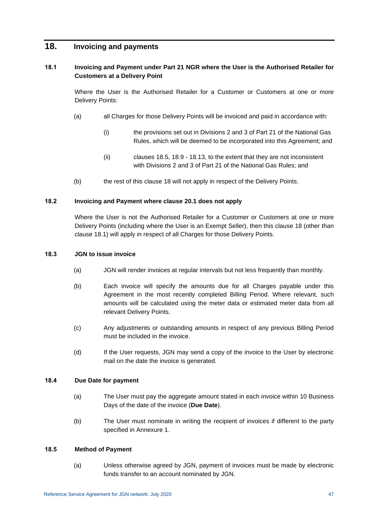## <span id="page-53-2"></span><span id="page-53-0"></span>**18. Invoicing and payments**

## **18.1 Invoicing and Payment under Part 21 NGR where the User is the Authorised Retailer for Customers at a Delivery Point**

Where the User is the Authorised Retailer for a Customer or Customers at one or more Delivery Points:

- (a) all Charges for those Delivery Points will be invoiced and paid in accordance with:
	- (i) the provisions set out in Divisions 2 and 3 of Part 21 of the National Gas Rules, which will be deemed to be incorporated into this Agreement; and
	- (ii) clauses [18.5,](#page-53-1) [18.9](#page-54-0) [18.13,](#page-55-0) to the extent that they are not inconsistent with Divisions 2 and 3 of Part 21 of the National Gas Rules; and
- (b) the rest of this clause [18](#page-53-0) will not apply in respect of the Delivery Points.

## **18.2 Invoicing and Payment where clause 20.1 does not apply**

Where the User is not the Authorised Retailer for a Customer or Customers at one or more Delivery Points (including where the User is an Exempt Seller), then this clause [18](#page-53-0) (other than clause [18.1\)](#page-53-2) will apply in respect of all Charges for those Delivery Points.

## <span id="page-53-3"></span>**18.3 JGN to issue invoice**

- (a) JGN will render invoices at regular intervals but not less frequently than monthly.
- (b) Each invoice will specify the amounts due for all Charges payable under this Agreement in the most recently completed Billing Period. Where relevant, such amounts will be calculated using the meter data or estimated meter data from all relevant Delivery Points.
- (c) Any adjustments or outstanding amounts in respect of any previous Billing Period must be included in the invoice.
- (d) If the User requests, JGN may send a copy of the invoice to the User by electronic mail on the date the invoice is generated.

## **18.4 Due Date for payment**

- (a) The User must pay the aggregate amount stated in each invoice within 10 Business Days of the date of the invoice (**Due Date**).
- (b) The User must nominate in writing the recipient of invoices if different to the party specified in [Annexure 1.](#page-83-0)

## <span id="page-53-1"></span>**18.5 Method of Payment**

(a) Unless otherwise agreed by JGN, payment of invoices must be made by electronic funds transfer to an account nominated by JGN.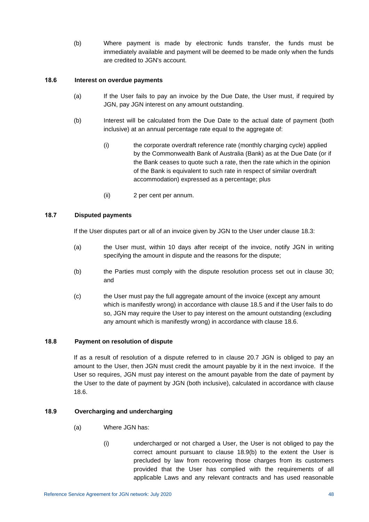(b) Where payment is made by electronic funds transfer, the funds must be immediately available and payment will be deemed to be made only when the funds are credited to JGN's account.

### <span id="page-54-1"></span>**18.6 Interest on overdue payments**

- (a) If the User fails to pay an invoice by the Due Date, the User must, if required by JGN, pay JGN interest on any amount outstanding.
- (b) Interest will be calculated from the Due Date to the actual date of payment (both inclusive) at an annual percentage rate equal to the aggregate of:
	- (i) the corporate overdraft reference rate (monthly charging cycle) applied by the Commonwealth Bank of Australia (Bank) as at the Due Date (or if the Bank ceases to quote such a rate, then the rate which in the opinion of the Bank is equivalent to such rate in respect of similar overdraft accommodation) expressed as a percentage; plus
	- (ii) 2 per cent per annum.

## <span id="page-54-2"></span>**18.7 Disputed payments**

If the User disputes part or all of an invoice given by JGN to the User under clause [18.3:](#page-53-3)

- (a) the User must, within 10 days after receipt of the invoice, notify JGN in writing specifying the amount in dispute and the reasons for the dispute;
- (b) the Parties must comply with the dispute resolution process set out in clause [30;](#page-76-0) and
- (c) the User must pay the full aggregate amount of the invoice (except any amount which is manifestly wrong) in accordance with clause [18.5](#page-53-1) and if the User fails to do so, JGN may require the User to pay interest on the amount outstanding (excluding any amount which is manifestly wrong) in accordance with clause [18.6.](#page-54-1)

## **18.8 Payment on resolution of dispute**

If as a result of resolution of a dispute referred to in clause 20.7 JGN is obliged to pay an amount to the User, then JGN must credit the amount payable by it in the next invoice. If the User so requires, JGN must pay interest on the amount payable from the date of payment by the User to the date of payment by JGN (both inclusive), calculated in accordance with clause [18.6.](#page-54-1)

## <span id="page-54-0"></span>**18.9 Overcharging and undercharging**

- (a) Where JGN has:
	- (i) undercharged or not charged a User, the User is not obliged to pay the correct amount pursuant to clause [18.9\(b\)](#page-55-1) to the extent the User is precluded by law from recovering those charges from its customers provided that the User has complied with the requirements of all applicable Laws and any relevant contracts and has used reasonable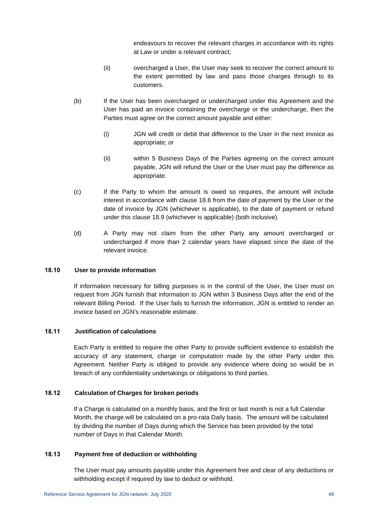endeavours to recover the relevant charges in accordance with its rights at Law or under a relevant contract;

- (ii) overcharged a User, the User may seek to recover the correct amount to the extent permitted by law and pass those charges through to its customers.
- <span id="page-55-1"></span>(b) If the User has been overcharged or undercharged under this Agreement and the User has paid an invoice containing the overcharge or the undercharge, then the Parties must agree on the correct amount payable and either:
	- (i) JGN will credit or debit that difference to the User in the next invoice as appropriate; or
	- (ii) within 5 Business Days of the Parties agreeing on the correct amount payable, JGN will refund the User or the User must pay the difference as appropriate.
- (c) If the Party to whom the amount is owed so requires, the amount will include interest in accordance with clause [18.6](#page-54-1) from the date of payment by the User or the date of invoice by JGN (whichever is applicable), to the date of payment or refund under this clause [18.9](#page-54-0) (whichever is applicable) (both inclusive).
- (d) A Party may not claim from the other Party any amount overcharged or undercharged if more than 2 calendar years have elapsed since the date of the relevant invoice.

## **18.10 User to provide information**

If information necessary for billing purposes is in the control of the User, the User must on request from JGN furnish that information to JGN within 3 Business Days after the end of the relevant Billing Period. If the User fails to furnish the information, JGN is entitled to render an invoice based on JGN's reasonable estimate.

## **18.11 Justification of calculations**

Each Party is entitled to require the other Party to provide sufficient evidence to establish the accuracy of any statement, charge or computation made by the other Party under this Agreement. Neither Party is obliged to provide any evidence where doing so would be in breach of any confidentiality undertakings or obligations to third parties.

## **18.12 Calculation of Charges for broken periods**

If a Charge is calculated on a monthly basis, and the first or last month is not a full Calendar Month, the charge will be calculated on a pro-rata Daily basis. The amount will be calculated by dividing the number of Days during which the Service has been provided by the total number of Days in that Calendar Month.

## <span id="page-55-0"></span>**18.13 Payment free of deduction or withholding**

The User must pay amounts payable under this Agreement free and clear of any deductions or withholding except if required by law to deduct or withhold.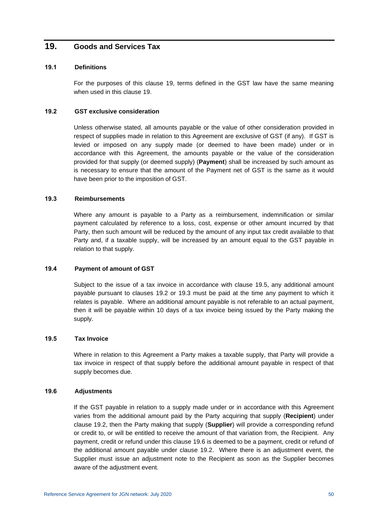## <span id="page-56-0"></span>**19. Goods and Services Tax**

#### **19.1 Definitions**

For the purposes of this clause [19,](#page-56-0) terms defined in the GST law have the same meaning when used in this clause [19.](#page-56-0)

#### <span id="page-56-2"></span>**19.2 GST exclusive consideration**

Unless otherwise stated, all amounts payable or the value of other consideration provided in respect of supplies made in relation to this Agreement are exclusive of GST (if any). If GST is levied or imposed on any supply made (or deemed to have been made) under or in accordance with this Agreement, the amounts payable or the value of the consideration provided for that supply (or deemed supply) (**Payment**) shall be increased by such amount as is necessary to ensure that the amount of the Payment net of GST is the same as it would have been prior to the imposition of GST.

#### <span id="page-56-3"></span>**19.3 Reimbursements**

Where any amount is payable to a Party as a reimbursement, indemnification or similar payment calculated by reference to a loss, cost, expense or other amount incurred by that Party, then such amount will be reduced by the amount of any input tax credit available to that Party and, if a taxable supply, will be increased by an amount equal to the GST payable in relation to that supply.

### **19.4 Payment of amount of GST**

Subject to the issue of a tax invoice in accordance with clause [19.5,](#page-56-1) any additional amount payable pursuant to clauses [19.2](#page-56-2) or [19.3](#page-56-3) must be paid at the time any payment to which it relates is payable. Where an additional amount payable is not referable to an actual payment, then it will be payable within 10 days of a tax invoice being issued by the Party making the supply.

#### <span id="page-56-1"></span>**19.5 Tax Invoice**

Where in relation to this Agreement a Party makes a taxable supply, that Party will provide a tax invoice in respect of that supply before the additional amount payable in respect of that supply becomes due.

#### <span id="page-56-4"></span>**19.6 Adjustments**

If the GST payable in relation to a supply made under or in accordance with this Agreement varies from the additional amount paid by the Party acquiring that supply (**Recipient**) under clause [19.2,](#page-56-2) then the Party making that supply (**Supplier**) will provide a corresponding refund or credit to, or will be entitled to receive the amount of that variation from, the Recipient. Any payment, credit or refund under this clause [19.6](#page-56-4) is deemed to be a payment, credit or refund of the additional amount payable under clause [19.2.](#page-56-2) Where there is an adjustment event, the Supplier must issue an adjustment note to the Recipient as soon as the Supplier becomes aware of the adjustment event.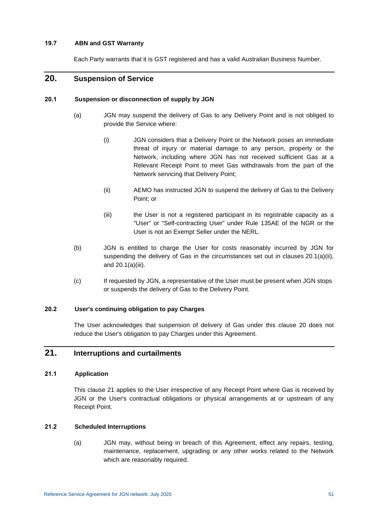### **19.7 ABN and GST Warranty**

Each Party warrants that it is GST registered and has a valid Australian Business Number.

## <span id="page-57-0"></span>**20. Suspension of Service**

## **20.1 Suspension or disconnection of supply by JGN**

- (a) JGN may suspend the delivery of Gas to any Delivery Point and is not obliged to provide the Service where:
	- (i) JGN considers that a Delivery Point or the Network poses an immediate threat of injury or material damage to any person, property or the Network, including where JGN has not received sufficient Gas at a Relevant Receipt Point to meet Gas withdrawals from the part of the Network servicing that Delivery Point;
	- (ii) AEMO has instructed JGN to suspend the delivery of Gas to the Delivery Point; or
	- (iii) the User is not a registered participant in its registrable capacity as a "User" or "Self-contracting User" under Rule 135AE of the NGR or the User is not an Exempt Seller under the NERL.
- <span id="page-57-3"></span><span id="page-57-2"></span>(b) JGN is entitled to charge the User for costs reasonably incurred by JGN for suspending the delivery of Gas in the circumstances set out in clauses [20.1\(a\)\(ii\),](#page-57-2) and [20.1\(a\)\(iii\).](#page-57-3)
- (c) If requested by JGN, a representative of the User must be present when JGN stops or suspends the delivery of Gas to the Delivery Point.

## **20.2 User's continuing obligation to pay Charges**

The User acknowledges that suspension of delivery of Gas under this clause [20](#page-57-0) does not reduce the User's obligation to pay Charges under this Agreement.

## <span id="page-57-1"></span>**21. Interruptions and curtailments**

## **21.1 Application**

This clause [21](#page-57-1) applies to the User irrespective of any Receipt Point where Gas is received by JGN or the User's contractual obligations or physical arrangements at or upstream of any Receipt Point.

## <span id="page-57-5"></span><span id="page-57-4"></span>**21.2 Scheduled Interruptions**

(a) JGN may, without being in breach of this Agreement, effect any repairs, testing, maintenance, replacement, upgrading or any other works related to the Network which are reasonably required.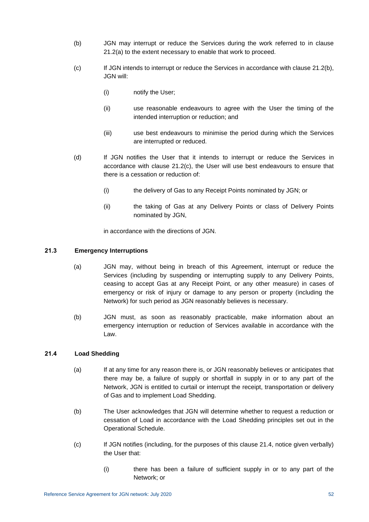- <span id="page-58-0"></span>(b) JGN may interrupt or reduce the Services during the work referred to in clause [21.2\(a\)](#page-57-4) to the extent necessary to enable that work to proceed.
- <span id="page-58-1"></span>(c) If JGN intends to interrupt or reduce the Services in accordance with clause [21.2\(b\),](#page-58-0) JGN will:
	- (i) notify the User;
	- (ii) use reasonable endeavours to agree with the User the timing of the intended interruption or reduction; and
	- (iii) use best endeavours to minimise the period during which the Services are interrupted or reduced.
- (d) If JGN notifies the User that it intends to interrupt or reduce the Services in accordance with clause [21.2\(c\),](#page-58-1) the User will use best endeavours to ensure that there is a cessation or reduction of:
	- (i) the delivery of Gas to any Receipt Points nominated by JGN; or
	- (ii) the taking of Gas at any Delivery Points or class of Delivery Points nominated by JGN,

in accordance with the directions of JGN.

## <span id="page-58-4"></span>**21.3 Emergency Interruptions**

- (a) JGN may, without being in breach of this Agreement, interrupt or reduce the Services (including by suspending or interrupting supply to any Delivery Points, ceasing to accept Gas at any Receipt Point, or any other measure) in cases of emergency or risk of injury or damage to any person or property (including the Network) for such period as JGN reasonably believes is necessary.
- (b) JGN must, as soon as reasonably practicable, make information about an emergency interruption or reduction of Services available in accordance with the Law.

## <span id="page-58-2"></span>**21.4 Load Shedding**

- (a) If at any time for any reason there is, or JGN reasonably believes or anticipates that there may be, a failure of supply or shortfall in supply in or to any part of the Network, JGN is entitled to curtail or interrupt the receipt, transportation or delivery of Gas and to implement Load Shedding.
- (b) The User acknowledges that JGN will determine whether to request a reduction or cessation of Load in accordance with the Load Shedding principles set out in the Operational Schedule.
- <span id="page-58-3"></span>(c) If JGN notifies (including, for the purposes of this clause [21.4,](#page-58-2) notice given verbally) the User that:
	- (i) there has been a failure of sufficient supply in or to any part of the Network; or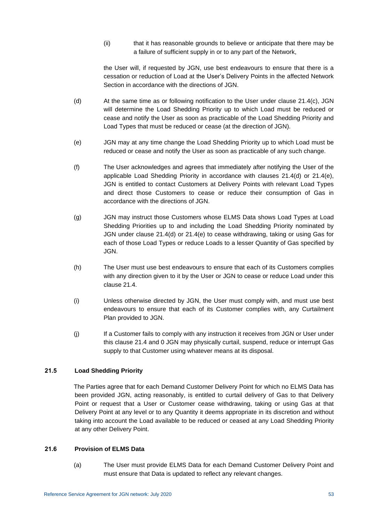(ii) that it has reasonable grounds to believe or anticipate that there may be a failure of sufficient supply in or to any part of the Network,

the User will, if requested by JGN, use best endeavours to ensure that there is a cessation or reduction of Load at the User's Delivery Points in the affected Network Section in accordance with the directions of JGN.

- <span id="page-59-1"></span>(d) At the same time as or following notification to the User under clause [21.4\(c\),](#page-58-3) JGN will determine the Load Shedding Priority up to which Load must be reduced or cease and notify the User as soon as practicable of the Load Shedding Priority and Load Types that must be reduced or cease (at the direction of JGN).
- <span id="page-59-2"></span>(e) JGN may at any time change the Load Shedding Priority up to which Load must be reduced or cease and notify the User as soon as practicable of any such change.
- (f) The User acknowledges and agrees that immediately after notifying the User of the applicable Load Shedding Priority in accordance with clauses [21.4\(d\)](#page-59-1) or [21.4\(e\),](#page-59-2) JGN is entitled to contact Customers at Delivery Points with relevant Load Types and direct those Customers to cease or reduce their consumption of Gas in accordance with the directions of JGN.
- (g) JGN may instruct those Customers whose ELMS Data shows Load Types at Load Shedding Priorities up to and including the Load Shedding Priority nominated by JGN under clause [21.4\(d\)](#page-59-1) or [21.4\(e\)](#page-59-2) to cease withdrawing, taking or using Gas for each of those Load Types or reduce Loads to a lesser Quantity of Gas specified by JGN.
- (h) The User must use best endeavours to ensure that each of its Customers complies with any direction given to it by the User or JGN to cease or reduce Load under this clause [21.4.](#page-58-2)
- (i) Unless otherwise directed by JGN, the User must comply with, and must use best endeavours to ensure that each of its Customer complies with, any Curtailment Plan provided to JGN.
- (j) If a Customer fails to comply with any instruction it receives from JGN or User under this clause [21.4](#page-58-2) and [0](#page-59-3) JGN may physically curtail, suspend, reduce or interrupt Gas supply to that Customer using whatever means at its disposal.

## <span id="page-59-3"></span>**21.5 Load Shedding Priority**

The Parties agree that for each Demand Customer Delivery Point for which no ELMS Data has been provided JGN, acting reasonably, is entitled to curtail delivery of Gas to that Delivery Point or request that a User or Customer cease withdrawing, taking or using Gas at that Delivery Point at any level or to any Quantity it deems appropriate in its discretion and without taking into account the Load available to be reduced or ceased at any Load Shedding Priority at any other Delivery Point.

## <span id="page-59-0"></span>**21.6 Provision of ELMS Data**

(a) The User must provide ELMS Data for each Demand Customer Delivery Point and must ensure that Data is updated to reflect any relevant changes.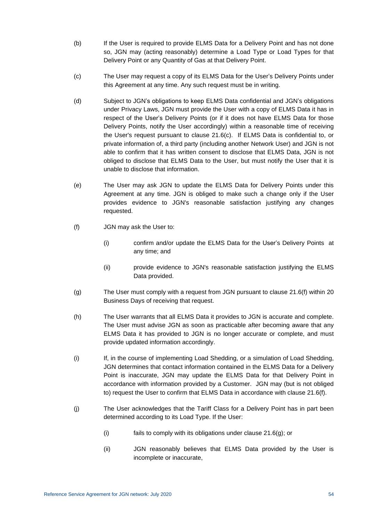- (b) If the User is required to provide ELMS Data for a Delivery Point and has not done so, JGN may (acting reasonably) determine a Load Type or Load Types for that Delivery Point or any Quantity of Gas at that Delivery Point.
- <span id="page-60-0"></span>(c) The User may request a copy of its ELMS Data for the User's Delivery Points under this Agreement at any time. Any such request must be in writing.
- (d) Subject to JGN's obligations to keep ELMS Data confidential and JGN's obligations under Privacy Laws, JGN must provide the User with a copy of ELMS Data it has in respect of the User's Delivery Points (or if it does not have ELMS Data for those Delivery Points, notify the User accordingly) within a reasonable time of receiving the User's request pursuant to clause [21.6\(c\).](#page-60-0) If ELMS Data is confidential to, or private information of, a third party (including another Network User) and JGN is not able to confirm that it has written consent to disclose that ELMS Data, JGN is not obliged to disclose that ELMS Data to the User, but must notify the User that it is unable to disclose that information.
- (e) The User may ask JGN to update the ELMS Data for Delivery Points under this Agreement at any time. JGN is obliged to make such a change only if the User provides evidence to JGN's reasonable satisfaction justifying any changes requested.
- <span id="page-60-1"></span>(f) JGN may ask the User to:
	- (i) confirm and/or update the ELMS Data for the User's Delivery Points at any time; and
	- (ii) provide evidence to JGN's reasonable satisfaction justifying the ELMS Data provided.
- <span id="page-60-2"></span>(g) The User must comply with a request from JGN pursuant to clause [21.6\(f\)](#page-60-1) within 20 Business Days of receiving that request.
- (h) The User warrants that all ELMS Data it provides to JGN is accurate and complete. The User must advise JGN as soon as practicable after becoming aware that any ELMS Data it has provided to JGN is no longer accurate or complete, and must provide updated information accordingly.
- (i) If, in the course of implementing Load Shedding, or a simulation of Load Shedding, JGN determines that contact information contained in the ELMS Data for a Delivery Point is inaccurate, JGN may update the ELMS Data for that Delivery Point in accordance with information provided by a Customer. JGN may (but is not obliged to) request the User to confirm that ELMS Data in accordance with clause [21.6\(f\).](#page-60-1)
- (j) The User acknowledges that the Tariff Class for a Delivery Point has in part been determined according to its Load Type. If the User:
	- (i) fails to comply with its obligations under clause [21.6\(g\);](#page-60-2) or
	- (ii) JGN reasonably believes that ELMS Data provided by the User is incomplete or inaccurate,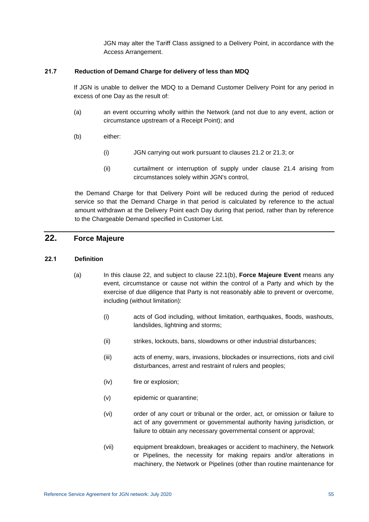JGN may alter the Tariff Class assigned to a Delivery Point, in accordance with the Access Arrangement.

#### **21.7 Reduction of Demand Charge for delivery of less than MDQ**

If JGN is unable to deliver the MDQ to a Demand Customer Delivery Point for any period in excess of one Day as the result of:

- (a) an event occurring wholly within the Network (and not due to any event, action or circumstance upstream of a Receipt Point); and
- (b) either:
	- (i) JGN carrying out work pursuant to clauses [21.2](#page-57-5) or [21.3;](#page-58-4) or
	- (ii) curtailment or interruption of supply under clause [21.4](#page-58-2) arising from circumstances solely within JGN's control,

the Demand Charge for that Delivery Point will be reduced during the period of reduced service so that the Demand Charge in that period is calculated by reference to the actual amount withdrawn at the Delivery Point each Day during that period, rather than by reference to the Chargeable Demand specified in Customer List.

## <span id="page-61-0"></span>**22. Force Majeure**

#### **22.1 Definition**

- (a) In this clause [22,](#page-61-0) and subject to clause [22.1\(b\),](#page-62-0) **Force Majeure Event** means any event, circumstance or cause not within the control of a Party and which by the exercise of due diligence that Party is not reasonably able to prevent or overcome, including (without limitation):
	- (i) acts of God including, without limitation, earthquakes, floods, washouts, landslides, lightning and storms;
	- (ii) strikes, lockouts, bans, slowdowns or other industrial disturbances;
	- (iii) acts of enemy, wars, invasions, blockades or insurrections, riots and civil disturbances, arrest and restraint of rulers and peoples;
	- (iv) fire or explosion;
	- (v) epidemic or quarantine;
	- (vi) order of any court or tribunal or the order, act, or omission or failure to act of any government or governmental authority having jurisdiction, or failure to obtain any necessary governmental consent or approval;
	- (vii) equipment breakdown, breakages or accident to machinery, the Network or Pipelines, the necessity for making repairs and/or alterations in machinery, the Network or Pipelines (other than routine maintenance for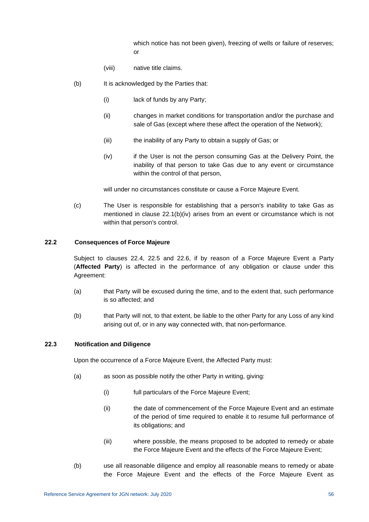which notice has not been given), freezing of wells or failure of reserves; or

- (viii) native title claims.
- <span id="page-62-0"></span>(b) It is acknowledged by the Parties that:
	- (i) lack of funds by any Party;
	- (ii) changes in market conditions for transportation and/or the purchase and sale of Gas (except where these affect the operation of the Network);
	- (iii) the inability of any Party to obtain a supply of Gas; or
	- (iv) if the User is not the person consuming Gas at the Delivery Point, the inability of that person to take Gas due to any event or circumstance within the control of that person,

will under no circumstances constitute or cause a Force Majeure Event.

<span id="page-62-1"></span>(c) The User is responsible for establishing that a person's inability to take Gas as mentioned in clause [22.1\(b\)\(iv\)](#page-62-1) arises from an event or circumstance which is not within that person's control.

## **22.2 Consequences of Force Majeure**

Subject to clauses [22.4,](#page-63-0) [22.5](#page-63-1) and [22.6,](#page-63-2) if by reason of a Force Majeure Event a Party (**Affected Party**) is affected in the performance of any obligation or clause under this Agreement:

- (a) that Party will be excused during the time, and to the extent that, such performance is so affected; and
- (b) that Party will not, to that extent, be liable to the other Party for any Loss of any kind arising out of, or in any way connected with, that non-performance.

#### <span id="page-62-2"></span>**22.3 Notification and Diligence**

Upon the occurrence of a Force Majeure Event, the Affected Party must:

- (a) as soon as possible notify the other Party in writing, giving:
	- (i) full particulars of the Force Majeure Event;
	- (ii) the date of commencement of the Force Majeure Event and an estimate of the period of time required to enable it to resume full performance of its obligations; and
	- (iii) where possible, the means proposed to be adopted to remedy or abate the Force Majeure Event and the effects of the Force Majeure Event;
- (b) use all reasonable diligence and employ all reasonable means to remedy or abate the Force Majeure Event and the effects of the Force Majeure Event as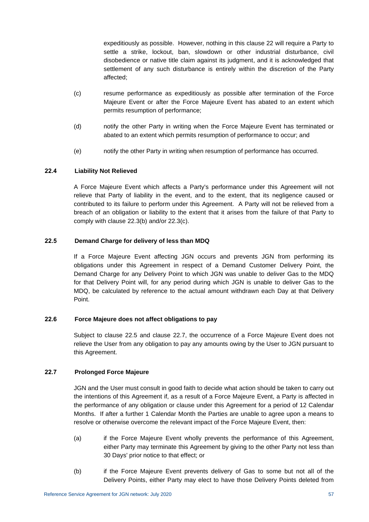expeditiously as possible. However, nothing in this clause [22](#page-61-0) will require a Party to settle a strike, lockout, ban, slowdown or other industrial disturbance, civil disobedience or native title claim against its judgment, and it is acknowledged that settlement of any such disturbance is entirely within the discretion of the Party affected;

- <span id="page-63-3"></span>(c) resume performance as expeditiously as possible after termination of the Force Majeure Event or after the Force Majeure Event has abated to an extent which permits resumption of performance;
- (d) notify the other Party in writing when the Force Majeure Event has terminated or abated to an extent which permits resumption of performance to occur; and
- (e) notify the other Party in writing when resumption of performance has occurred.

## <span id="page-63-0"></span>**22.4 Liability Not Relieved**

A Force Majeure Event which affects a Party's performance under this Agreement will not relieve that Party of liability in the event, and to the extent, that its negligence caused or contributed to its failure to perform under this Agreement. A Party will not be relieved from a breach of an obligation or liability to the extent that it arises from the failure of that Party to comply with clause [22.3\(](#page-62-2)b) and/or [22.3\(c\).](#page-63-3)

## <span id="page-63-1"></span>**22.5 Demand Charge for delivery of less than MDQ**

If a Force Majeure Event affecting JGN occurs and prevents JGN from performing its obligations under this Agreement in respect of a Demand Customer Delivery Point, the Demand Charge for any Delivery Point to which JGN was unable to deliver Gas to the MDQ for that Delivery Point will, for any period during which JGN is unable to deliver Gas to the MDQ, be calculated by reference to the actual amount withdrawn each Day at that Delivery Point.

## <span id="page-63-2"></span>**22.6 Force Majeure does not affect obligations to pay**

Subject to clause [22.5](#page-63-1) and clause [22.7,](#page-63-4) the occurrence of a Force Majeure Event does not relieve the User from any obligation to pay any amounts owing by the User to JGN pursuant to this Agreement.

## <span id="page-63-4"></span>**22.7 Prolonged Force Majeure**

JGN and the User must consult in good faith to decide what action should be taken to carry out the intentions of this Agreement if, as a result of a Force Majeure Event, a Party is affected in the performance of any obligation or clause under this Agreement for a period of 12 Calendar Months. If after a further 1 Calendar Month the Parties are unable to agree upon a means to resolve or otherwise overcome the relevant impact of the Force Majeure Event, then:

- (a) if the Force Majeure Event wholly prevents the performance of this Agreement, either Party may terminate this Agreement by giving to the other Party not less than 30 Days' prior notice to that effect; or
- (b) if the Force Majeure Event prevents delivery of Gas to some but not all of the Delivery Points, either Party may elect to have those Delivery Points deleted from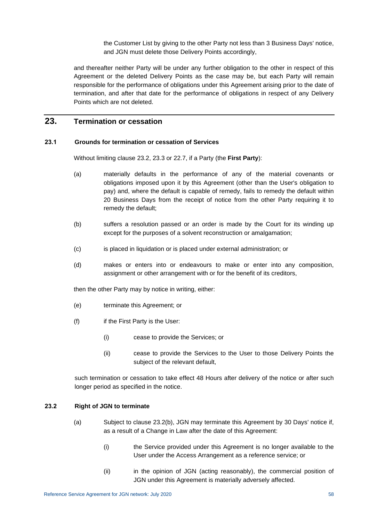the Customer List by giving to the other Party not less than 3 Business Days' notice, and JGN must delete those Delivery Points accordingly,

and thereafter neither Party will be under any further obligation to the other in respect of this Agreement or the deleted Delivery Points as the case may be, but each Party will remain responsible for the performance of obligations under this Agreement arising prior to the date of termination, and after that date for the performance of obligations in respect of any Delivery Points which are not deleted.

## <span id="page-64-2"></span>**23. Termination or cessation**

#### **23.1 Grounds for termination or cessation of Services**

Without limiting clause [23.2,](#page-64-0) [23.3](#page-65-0) or [22.7,](#page-63-4) if a Party (the **First Party**):

- (a) materially defaults in the performance of any of the material covenants or obligations imposed upon it by this Agreement (other than the User's obligation to pay) and, where the default is capable of remedy, fails to remedy the default within 20 Business Days from the receipt of notice from the other Party requiring it to remedy the default;
- (b) suffers a resolution passed or an order is made by the Court for its winding up except for the purposes of a solvent reconstruction or amalgamation;
- (c) is placed in liquidation or is placed under external administration; or
- (d) makes or enters into or endeavours to make or enter into any composition, assignment or other arrangement with or for the benefit of its creditors,

then the other Party may by notice in writing, either:

- (e) terminate this Agreement; or
- (f) if the First Party is the User:
	- (i) cease to provide the Services; or
	- (ii) cease to provide the Services to the User to those Delivery Points the subject of the relevant default,

such termination or cessation to take effect 48 Hours after delivery of the notice or after such longer period as specified in the notice.

#### <span id="page-64-0"></span>**23.2 Right of JGN to terminate**

- <span id="page-64-1"></span>(a) Subject to clause [23.2\(b\),](#page-65-1) JGN may terminate this Agreement by 30 Days' notice if, as a result of a Change in Law after the date of this Agreement:
	- (i) the Service provided under this Agreement is no longer available to the User under the Access Arrangement as a reference service; or
	- (ii) in the opinion of JGN (acting reasonably), the commercial position of JGN under this Agreement is materially adversely affected.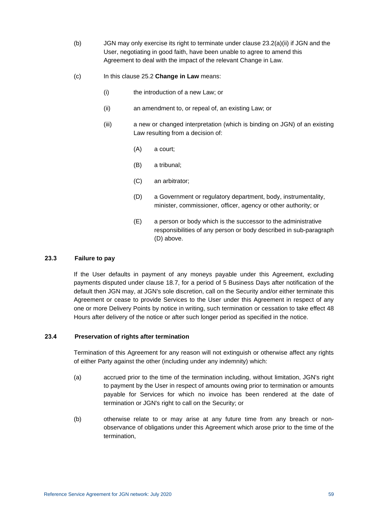- <span id="page-65-1"></span>(b) JGN may only exercise its right to terminate under clause  $23.2(a)(ii)$  if JGN and the User, negotiating in good faith, have been unable to agree to amend this Agreement to deal with the impact of the relevant Change in Law.
- (c) In this clause 25.2 **Change in Law** means:
	- (i) the introduction of a new Law; or
	- (ii) an amendment to, or repeal of, an existing Law; or
	- (iii) a new or changed interpretation (which is binding on JGN) of an existing Law resulting from a decision of:
		- (A) a court;
		- (B) a tribunal;
		- (C) an arbitrator;
		- (D) a Government or regulatory department, body, instrumentality, minister, commissioner, officer, agency or other authority; or
		- (E) a person or body which is the successor to the administrative responsibilities of any person or body described in sub-paragraph (D) above.

#### <span id="page-65-0"></span>**23.3 Failure to pay**

If the User defaults in payment of any moneys payable under this Agreement, excluding payments disputed under clause [18.7,](#page-54-2) for a period of 5 Business Days after notification of the default then JGN may, at JGN's sole discretion, call on the Security and/or either terminate this Agreement or cease to provide Services to the User under this Agreement in respect of any one or more Delivery Points by notice in writing, such termination or cessation to take effect 48 Hours after delivery of the notice or after such longer period as specified in the notice.

#### **23.4 Preservation of rights after termination**

Termination of this Agreement for any reason will not extinguish or otherwise affect any rights of either Party against the other (including under any indemnity) which:

- (a) accrued prior to the time of the termination including, without limitation, JGN's right to payment by the User in respect of amounts owing prior to termination or amounts payable for Services for which no invoice has been rendered at the date of termination or JGN's right to call on the Security; or
- (b) otherwise relate to or may arise at any future time from any breach or nonobservance of obligations under this Agreement which arose prior to the time of the termination,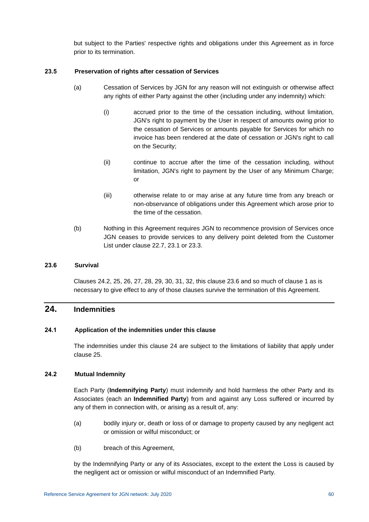but subject to the Parties' respective rights and obligations under this Agreement as in force prior to its termination.

### **23.5 Preservation of rights after cessation of Services**

- (a) Cessation of Services by JGN for any reason will not extinguish or otherwise affect any rights of either Party against the other (including under any indemnity) which:
	- (i) accrued prior to the time of the cessation including, without limitation, JGN's right to payment by the User in respect of amounts owing prior to the cessation of Services or amounts payable for Services for which no invoice has been rendered at the date of cessation or JGN's right to call on the Security;
	- (ii) continue to accrue after the time of the cessation including, without limitation, JGN's right to payment by the User of any Minimum Charge; or
	- (iii) otherwise relate to or may arise at any future time from any breach or non-observance of obligations under this Agreement which arose prior to the time of the cessation.
- (b) Nothing in this Agreement requires JGN to recommence provision of Services once JGN ceases to provide services to any delivery point deleted from the Customer List under clause [22.7,](#page-63-4) [23.1](#page-64-2) or [23.3.](#page-65-0)

#### <span id="page-66-1"></span>**23.6 Survival**

Clauses [24.2,](#page-66-0) [25,](#page-67-0) [26,](#page-70-0) [27,](#page-71-0) [28,](#page-73-0) [29,](#page-74-0) [30,](#page-76-0) [31,](#page-78-0) [32,](#page-79-0) this clause [23.6](#page-66-1) and so much of clause 1 as is necessary to give effect to any of those clauses survive the termination of this Agreement.

## <span id="page-66-2"></span>**24. Indemnities**

## **24.1 Application of the indemnities under this clause**

The indemnities under this clause [24](#page-66-2) are subject to the limitations of liability that apply under clause [25.](#page-67-0)

## <span id="page-66-0"></span>**24.2 Mutual Indemnity**

Each Party (**Indemnifying Party**) must indemnify and hold harmless the other Party and its Associates (each an **Indemnified Party**) from and against any Loss suffered or incurred by any of them in connection with, or arising as a result of, any:

- (a) bodily injury or, death or loss of or damage to property caused by any negligent act or omission or wilful misconduct; or
- (b) breach of this Agreement,

by the Indemnifying Party or any of its Associates, except to the extent the Loss is caused by the negligent act or omission or wilful misconduct of an Indemnified Party.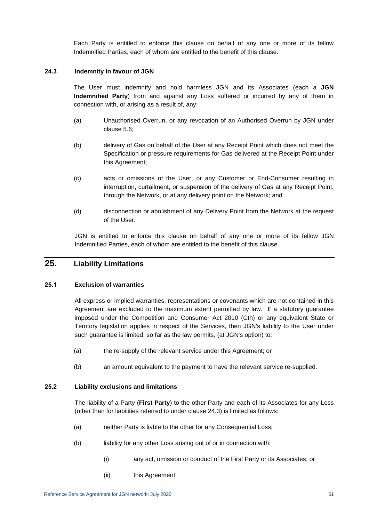Each Party is entitled to enforce this clause on behalf of any one or more of its fellow Indemnified Parties, each of whom are entitled to the benefit of this clause.

#### <span id="page-67-1"></span>**24.3 Indemnity in favour of JGN**

The User must indemnify and hold harmless JGN and its Associates (each a **JGN Indemnified Party**) from and against any Loss suffered or incurred by any of them in connection with, or arising as a result of, any:

- (a) Unauthorised Overrun, or any revocation of an Authorised Overrun by JGN under clause [5.6;](#page-24-0)
- (b) delivery of Gas on behalf of the User at any Receipt Point which does not meet the Specification or pressure requirements for Gas delivered at the Receipt Point under this Agreement;
- (c) acts or omissions of the User, or any Customer or End-Consumer resulting in interruption, curtailment, or suspension of the delivery of Gas at any Receipt Point, through the Network, or at any delivery point on the Network; and
- (d) disconnection or abolishment of any Delivery Point from the Network at the request of the User.

JGN is entitled to enforce this clause on behalf of any one or more of its fellow JGN Indemnified Parties, each of whom are entitled to the benefit of this clause.

# <span id="page-67-0"></span>**25. Liability Limitations**

## **25.1 Exclusion of warranties**

All express or implied warranties, representations or covenants which are not contained in this Agreement are excluded to the maximum extent permitted by law. If a statutory guarantee imposed under the Competition and Consumer Act 2010 (Cth) or any equivalent State or Territory legislation applies in respect of the Services, then JGN's liability to the User under such guarantee is limited, so far as the law permits, (at JGN's option) to:

- (a) the re-supply of the relevant service under this Agreement; or
- (b) an amount equivalent to the payment to have the relevant service re-supplied.

#### <span id="page-67-2"></span>**25.2 Liability exclusions and limitations**

The liability of a Party (**First Party**) to the other Party and each of its Associates for any Loss (other than for liabilities referred to under clause [24.3\)](#page-67-1) is limited as follows:

- (a) neither Party is liable to the other for any Consequential Loss;
- (b) liability for any other Loss arising out of or in connection with:
	- (i) any act, omission or conduct of the First Party or its Associates; or
	- (ii) this Agreement,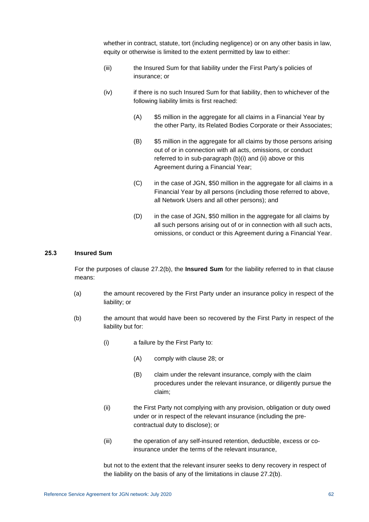whether in contract, statute, tort (including negligence) or on any other basis in law, equity or otherwise is limited to the extent permitted by law to either:

- (iii) the Insured Sum for that liability under the First Party's policies of insurance; or
- (iv) if there is no such Insured Sum for that liability, then to whichever of the following liability limits is first reached:
	- (A) \$5 million in the aggregate for all claims in a Financial Year by the other Party, its Related Bodies Corporate or their Associates;
	- (B) \$5 million in the aggregate for all claims by those persons arising out of or in connection with all acts, omissions, or conduct referred to in sub-paragraph (b)(i) and (ii) above or this Agreement during a Financial Year;
	- (C) in the case of JGN, \$50 million in the aggregate for all claims in a Financial Year by all persons (including those referred to above, all Network Users and all other persons); and
	- (D) in the case of JGN, \$50 million in the aggregate for all claims by all such persons arising out of or in connection with all such acts, omissions, or conduct or this Agreement during a Financial Year.

#### **25.3 Insured Sum**

For the purposes of clause 27.2(b), the **Insured Sum** for the liability referred to in that clause means:

- (a) the amount recovered by the First Party under an insurance policy in respect of the liability; or
- (b) the amount that would have been so recovered by the First Party in respect of the liability but for:
	- (i) a failure by the First Party to:
		- (A) comply with clause 28; or
		- (B) claim under the relevant insurance, comply with the claim procedures under the relevant insurance, or diligently pursue the claim;
	- (ii) the First Party not complying with any provision, obligation or duty owed under or in respect of the relevant insurance (including the precontractual duty to disclose); or
	- (iii) the operation of any self-insured retention, deductible, excess or coinsurance under the terms of the relevant insurance,

but not to the extent that the relevant insurer seeks to deny recovery in respect of the liability on the basis of any of the limitations in clause 27.2(b).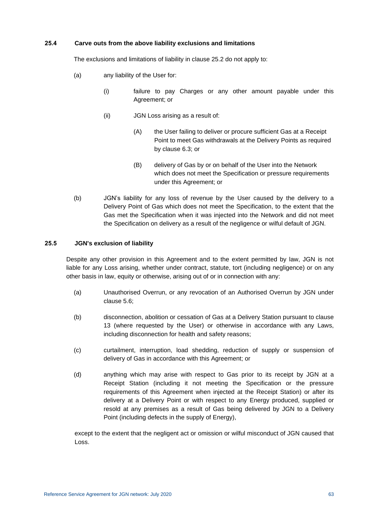#### **25.4 Carve outs from the above liability exclusions and limitations**

The exclusions and limitations of liability in clause [25.2](#page-67-2) do not apply to:

- (a) any liability of the User for:
	- (i) failure to pay Charges or any other amount payable under this Agreement; or
	- (ii) JGN Loss arising as a result of:
		- (A) the User failing to deliver or procure sufficient Gas at a Receipt Point to meet Gas withdrawals at the Delivery Points as required by clause [6.3;](#page-27-0) or
		- (B) delivery of Gas by or on behalf of the User into the Network which does not meet the Specification or pressure requirements under this Agreement; or
- (b) JGN's liability for any loss of revenue by the User caused by the delivery to a Delivery Point of Gas which does not meet the Specification, to the extent that the Gas met the Specification when it was injected into the Network and did not meet the Specification on delivery as a result of the negligence or wilful default of JGN.

## **25.5 JGN's exclusion of liability**

Despite any other provision in this Agreement and to the extent permitted by law, JGN is not liable for any Loss arising, whether under contract, statute, tort (including negligence) or on any other basis in law, equity or otherwise, arising out of or in connection with any:

- (a) Unauthorised Overrun, or any revocation of an Authorised Overrun by JGN under clause [5.6;](#page-24-0)
- (b) disconnection, abolition or cessation of Gas at a Delivery Station pursuant to clause [13](#page-41-0) (where requested by the User) or otherwise in accordance with any Laws, including disconnection for health and safety reasons;
- (c) curtailment, interruption, load shedding, reduction of supply or suspension of delivery of Gas in accordance with this Agreement; or
- (d) anything which may arise with respect to Gas prior to its receipt by JGN at a Receipt Station (including it not meeting the Specification or the pressure requirements of this Agreement when injected at the Receipt Station) or after its delivery at a Delivery Point or with respect to any Energy produced, supplied or resold at any premises as a result of Gas being delivered by JGN to a Delivery Point (including defects in the supply of Energy),

except to the extent that the negligent act or omission or wilful misconduct of JGN caused that Loss.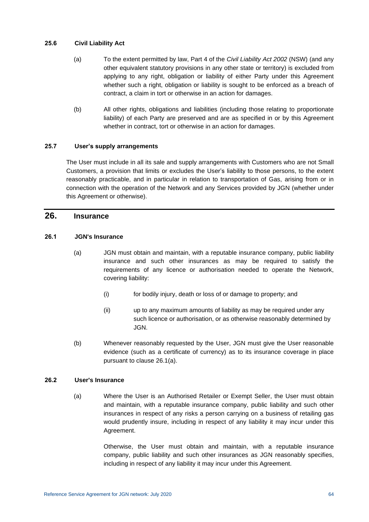## **25.6 Civil Liability Act**

- (a) To the extent permitted by law, Part 4 of the *Civil Liability Act 2002* (NSW) (and any other equivalent statutory provisions in any other state or territory) is excluded from applying to any right, obligation or liability of either Party under this Agreement whether such a right, obligation or liability is sought to be enforced as a breach of contract, a claim in tort or otherwise in an action for damages.
- (b) All other rights, obligations and liabilities (including those relating to proportionate liability) of each Party are preserved and are as specified in or by this Agreement whether in contract, tort or otherwise in an action for damages.

## **25.7 User's supply arrangements**

The User must include in all its sale and supply arrangements with Customers who are not Small Customers, a provision that limits or excludes the User's liability to those persons, to the extent reasonably practicable, and in particular in relation to transportation of Gas, arising from or in connection with the operation of the Network and any Services provided by JGN (whether under this Agreement or otherwise).

# <span id="page-70-0"></span>**26. Insurance**

## <span id="page-70-1"></span>**26.1 JGN's Insurance**

- (a) JGN must obtain and maintain, with a reputable insurance company, public liability insurance and such other insurances as may be required to satisfy the requirements of any licence or authorisation needed to operate the Network, covering liability:
	- (i) for bodily injury, death or loss of or damage to property; and
	- (ii) up to any maximum amounts of liability as may be required under any such licence or authorisation, or as otherwise reasonably determined by JGN.
- (b) Whenever reasonably requested by the User, JGN must give the User reasonable evidence (such as a certificate of currency) as to its insurance coverage in place pursuant to clause [26.1\(a\).](#page-70-1)

## <span id="page-70-2"></span>**26.2 User's Insurance**

(a) Where the User is an Authorised Retailer or Exempt Seller, the User must obtain and maintain, with a reputable insurance company, public liability and such other insurances in respect of any risks a person carrying on a business of retailing gas would prudently insure, including in respect of any liability it may incur under this Agreement.

> Otherwise, the User must obtain and maintain, with a reputable insurance company, public liability and such other insurances as JGN reasonably specifies, including in respect of any liability it may incur under this Agreement.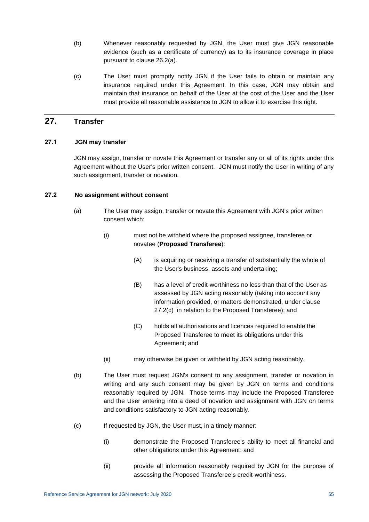- (b) Whenever reasonably requested by JGN, the User must give JGN reasonable evidence (such as a certificate of currency) as to its insurance coverage in place pursuant to clause [26.2\(a\).](#page-70-2)
- (c) The User must promptly notify JGN if the User fails to obtain or maintain any insurance required under this Agreement. In this case, JGN may obtain and maintain that insurance on behalf of the User at the cost of the User and the User must provide all reasonable assistance to JGN to allow it to exercise this right.

## <span id="page-71-0"></span>**27. Transfer**

#### **27.1 JGN may transfer**

JGN may assign, transfer or novate this Agreement or transfer any or all of its rights under this Agreement without the User's prior written consent. JGN must notify the User in writing of any such assignment, transfer or novation.

#### **27.2 No assignment without consent**

- (a) The User may assign, transfer or novate this Agreement with JGN's prior written consent which:
	- (i) must not be withheld where the proposed assignee, transferee or novatee (**Proposed Transferee**):
		- (A) is acquiring or receiving a transfer of substantially the whole of the User's business, assets and undertaking;
		- (B) has a level of credit-worthiness no less than that of the User as assessed by JGN acting reasonably (taking into account any information provided, or matters demonstrated, under clause [27.2\(c\)](#page-71-1) in relation to the Proposed Transferee); and
		- (C) holds all authorisations and licences required to enable the Proposed Transferee to meet its obligations under this Agreement; and
	- (ii) may otherwise be given or withheld by JGN acting reasonably.
- (b) The User must request JGN's consent to any assignment, transfer or novation in writing and any such consent may be given by JGN on terms and conditions reasonably required by JGN. Those terms may include the Proposed Transferee and the User entering into a deed of novation and assignment with JGN on terms and conditions satisfactory to JGN acting reasonably.
- <span id="page-71-1"></span>(c) If requested by JGN, the User must, in a timely manner:
	- (i) demonstrate the Proposed Transferee's ability to meet all financial and other obligations under this Agreement; and
	- (ii) provide all information reasonably required by JGN for the purpose of assessing the Proposed Transferee's credit-worthiness.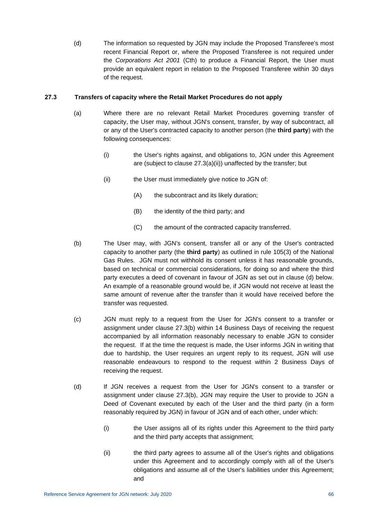(d) The information so requested by JGN may include the Proposed Transferee's most recent Financial Report or, where the Proposed Transferee is not required under the *Corporations Act 2001* (Cth) to produce a Financial Report, the User must provide an equivalent report in relation to the Proposed Transferee within 30 days of the request.

#### **27.3 Transfers of capacity where the Retail Market Procedures do not apply**

- <span id="page-72-0"></span>(a) Where there are no relevant Retail Market Procedures governing transfer of capacity, the User may, without JGN's consent, transfer, by way of subcontract, all or any of the User's contracted capacity to another person (the **third party**) with the following consequences:
	- (i) the User's rights against, and obligations to, JGN under this Agreement are (subject to clause [27.3\(a\)\(ii\)\)](#page-72-0) unaffected by the transfer; but
	- (ii) the User must immediately give notice to JGN of:
		- (A) the subcontract and its likely duration;
		- (B) the identity of the third party; and
		- (C) the amount of the contracted capacity transferred.
- <span id="page-72-1"></span>(b) The User may, with JGN's consent, transfer all or any of the User's contracted capacity to another party (the **third party**) as outlined in rule 105(3) of the National Gas Rules. JGN must not withhold its consent unless it has reasonable grounds, based on technical or commercial considerations, for doing so and where the third party executes a deed of covenant in favour of JGN as set out in clause (d) below. An example of a reasonable ground would be, if JGN would not receive at least the same amount of revenue after the transfer than it would have received before the transfer was requested.
- (c) JGN must reply to a request from the User for JGN's consent to a transfer or assignment under clause [27.3\(b\)](#page-72-1) within 14 Business Days of receiving the request accompanied by all information reasonably necessary to enable JGN to consider the request. If at the time the request is made, the User informs JGN in writing that due to hardship, the User requires an urgent reply to its request, JGN will use reasonable endeavours to respond to the request within 2 Business Days of receiving the request.
- (d) If JGN receives a request from the User for JGN's consent to a transfer or assignment under clause [27.3\(b\),](#page-72-1) JGN may require the User to provide to JGN a Deed of Covenant executed by each of the User and the third party (in a form reasonably required by JGN) in favour of JGN and of each other, under which:
	- (i) the User assigns all of its rights under this Agreement to the third party and the third party accepts that assignment;
	- (ii) the third party agrees to assume all of the User's rights and obligations under this Agreement and to accordingly comply with all of the User's obligations and assume all of the User's liabilities under this Agreement; and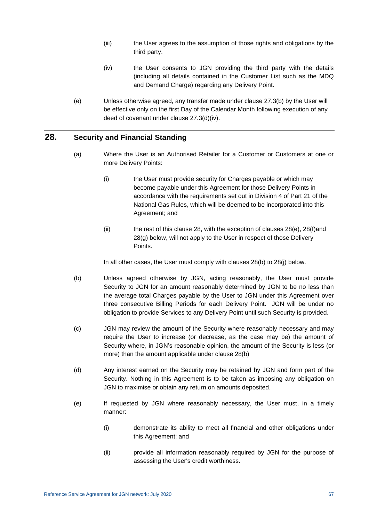- (iii) the User agrees to the assumption of those rights and obligations by the third party.
- (iv) the User consents to JGN providing the third party with the details (including all details contained in the Customer List such as the MDQ and Demand Charge) regarding any Delivery Point.
- <span id="page-73-0"></span>(e) Unless otherwise agreed, any transfer made under clause [27.3\(b\)](#page-72-1) by the User will be effective only on the first Day of the Calendar Month following execution of any deed of covenant under clause [27.3\(d\)\(iv\).](#page-73-0)

## <span id="page-73-1"></span>**28. Security and Financial Standing**

- (a) Where the User is an Authorised Retailer for a Customer or Customers at one or more Delivery Points:
	- (i) the User must provide security for Charges payable or which may become payable under this Agreement for those Delivery Points in accordance with the requirements set out in Division 4 of Part 21 of the National Gas Rules, which will be deemed to be incorporated into this Agreement; and
	- $(i)$  the rest of this clause [28,](#page-73-1) with the exception of clauses 28 $(e)$ , 28 $(f)$ and [28\(g\)](#page-74-1) below, will not apply to the User in respect of those Delivery Points.

In all other cases, the User must comply with clauses [28\(b\)](#page-73-3) to [28\(j\)](#page-74-2) below.

- <span id="page-73-3"></span>(b) Unless agreed otherwise by JGN, acting reasonably, the User must provide Security to JGN for an amount reasonably determined by JGN to be no less than the average total Charges payable by the User to JGN under this Agreement over three consecutive Billing Periods for each Delivery Point. JGN will be under no obligation to provide Services to any Delivery Point until such Security is provided.
- (c) JGN may review the amount of the Security where reasonably necessary and may require the User to increase (or decrease, as the case may be) the amount of Security where, in JGN's reasonable opinion, the amount of the Security is less (or more) than the amount applicable under clause [28\(b\)](#page-73-3)
- (d) Any interest earned on the Security may be retained by JGN and form part of the Security. Nothing in this Agreement is to be taken as imposing any obligation on JGN to maximise or obtain any return on amounts deposited.
- <span id="page-73-2"></span>(e) If requested by JGN where reasonably necessary, the User must, in a timely manner:
	- (i) demonstrate its ability to meet all financial and other obligations under this Agreement; and
	- (ii) provide all information reasonably required by JGN for the purpose of assessing the User's credit worthiness.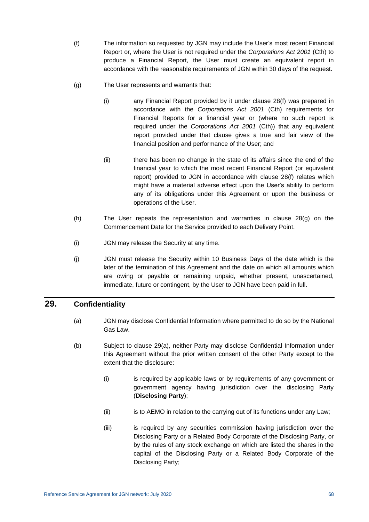- <span id="page-74-0"></span>(f) The information so requested by JGN may include the User's most recent Financial Report or, where the User is not required under the *Corporations Act 2001* (Cth) to produce a Financial Report, the User must create an equivalent report in accordance with the reasonable requirements of JGN within 30 days of the request.
- <span id="page-74-1"></span>(g) The User represents and warrants that:
	- (i) any Financial Report provided by it under clause [28\(f\)](#page-74-0) was prepared in accordance with the *Corporations Act 2001* (Cth) requirements for Financial Reports for a financial year or (where no such report is required under the *Corporations Act 2001* (Cth)) that any equivalent report provided under that clause gives a true and fair view of the financial position and performance of the User; and
	- (ii) there has been no change in the state of its affairs since the end of the financial year to which the most recent Financial Report (or equivalent report) provided to JGN in accordance with clause [28\(f\)](#page-74-0) relates which might have a material adverse effect upon the User's ability to perform any of its obligations under this Agreement or upon the business or operations of the User.
- (h) The User repeats the representation and warranties in clause [28\(g\)](#page-74-1) on the Commencement Date for the Service provided to each Delivery Point.
- (i) JGN may release the Security at any time.
- <span id="page-74-2"></span>(j) JGN must release the Security within 10 Business Days of the date which is the later of the termination of this Agreement and the date on which all amounts which are owing or payable or remaining unpaid, whether present, unascertained, immediate, future or contingent, by the User to JGN have been paid in full.

## <span id="page-74-4"></span><span id="page-74-3"></span>**29. Confidentiality**

- (a) JGN may disclose Confidential Information where permitted to do so by the National Gas Law.
- (b) Subject to clause [29\(a\),](#page-74-3) neither Party may disclose Confidential Information under this Agreement without the prior written consent of the other Party except to the extent that the disclosure:
	- (i) is required by applicable laws or by requirements of any government or government agency having jurisdiction over the disclosing Party (**Disclosing Party**);
	- (ii) is to AEMO in relation to the carrying out of its functions under any Law;
	- (iii) is required by any securities commission having jurisdiction over the Disclosing Party or a Related Body Corporate of the Disclosing Party, or by the rules of any stock exchange on which are listed the shares in the capital of the Disclosing Party or a Related Body Corporate of the Disclosing Party;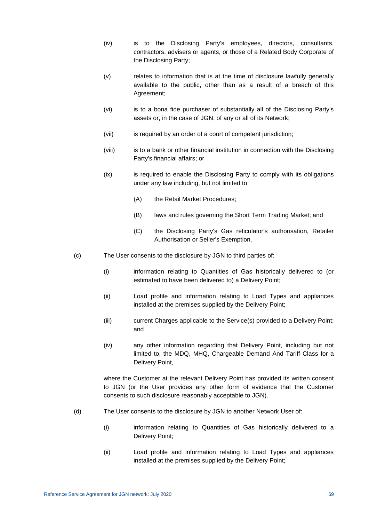- (iv) is to the Disclosing Party's employees, directors, consultants, contractors, advisers or agents, or those of a Related Body Corporate of the Disclosing Party;
- (v) relates to information that is at the time of disclosure lawfully generally available to the public, other than as a result of a breach of this Agreement;
- (vi) is to a bona fide purchaser of substantially all of the Disclosing Party's assets or, in the case of JGN, of any or all of its Network;
- (vii) is required by an order of a court of competent jurisdiction;
- (viii) is to a bank or other financial institution in connection with the Disclosing Party's financial affairs; or
- (ix) is required to enable the Disclosing Party to comply with its obligations under any law including, but not limited to:
	- (A) the Retail Market Procedures;
	- (B) laws and rules governing the Short Term Trading Market; and
	- (C) the Disclosing Party's Gas reticulator's authorisation, Retailer Authorisation or Seller's Exemption.
- (c) The User consents to the disclosure by JGN to third parties of:
	- (i) information relating to Quantities of Gas historically delivered to (or estimated to have been delivered to) a Delivery Point;
	- (ii) Load profile and information relating to Load Types and appliances installed at the premises supplied by the Delivery Point;
	- (iii) current Charges applicable to the Service(s) provided to a Delivery Point; and
	- (iv) any other information regarding that Delivery Point, including but not limited to, the MDQ, MHQ, Chargeable Demand And Tariff Class for a Delivery Point,

where the Customer at the relevant Delivery Point has provided its written consent to JGN (or the User provides any other form of evidence that the Customer consents to such disclosure reasonably acceptable to JGN).

- (d) The User consents to the disclosure by JGN to another Network User of:
	- (i) information relating to Quantities of Gas historically delivered to a Delivery Point;
	- (ii) Load profile and information relating to Load Types and appliances installed at the premises supplied by the Delivery Point;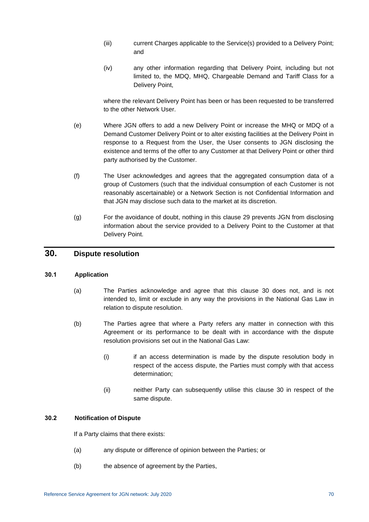- (iii) current Charges applicable to the Service(s) provided to a Delivery Point; and
- (iv) any other information regarding that Delivery Point, including but not limited to, the MDQ, MHQ, Chargeable Demand and Tariff Class for a Delivery Point,

where the relevant Delivery Point has been or has been requested to be transferred to the other Network User.

- (e) Where JGN offers to add a new Delivery Point or increase the MHQ or MDQ of a Demand Customer Delivery Point or to alter existing facilities at the Delivery Point in response to a Request from the User, the User consents to JGN disclosing the existence and terms of the offer to any Customer at that Delivery Point or other third party authorised by the Customer.
- (f) The User acknowledges and agrees that the aggregated consumption data of a group of Customers (such that the individual consumption of each Customer is not reasonably ascertainable) or a Network Section is not Confidential Information and that JGN may disclose such data to the market at its discretion.
- (g) For the avoidance of doubt, nothing in this clause [29](#page-74-4) prevents JGN from disclosing information about the service provided to a Delivery Point to the Customer at that Delivery Point.

### <span id="page-76-0"></span>**30. Dispute resolution**

#### **30.1 Application**

- (a) The Parties acknowledge and agree that this clause [30](#page-76-0) does not, and is not intended to, limit or exclude in any way the provisions in the National Gas Law in relation to dispute resolution.
- (b) The Parties agree that where a Party refers any matter in connection with this Agreement or its performance to be dealt with in accordance with the dispute resolution provisions set out in the National Gas Law:
	- (i) if an access determination is made by the dispute resolution body in respect of the access dispute, the Parties must comply with that access determination;
	- (ii) neither Party can subsequently utilise this clause [30](#page-76-0) in respect of the same dispute.

#### <span id="page-76-1"></span>**30.2 Notification of Dispute**

If a Party claims that there exists:

- (a) any dispute or difference of opinion between the Parties; or
- (b) the absence of agreement by the Parties,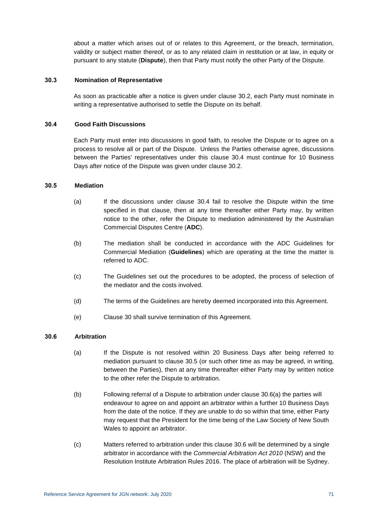about a matter which arises out of or relates to this Agreement, or the breach, termination, validity or subject matter thereof, or as to any related claim in restitution or at law, in equity or pursuant to any statute (**Dispute**), then that Party must notify the other Party of the Dispute.

#### **30.3 Nomination of Representative**

As soon as practicable after a notice is given under clause [30.2,](#page-76-1) each Party must nominate in writing a representative authorised to settle the Dispute on its behalf.

#### <span id="page-77-0"></span>**30.4 Good Faith Discussions**

Each Party must enter into discussions in good faith, to resolve the Dispute or to agree on a process to resolve all or part of the Dispute. Unless the Parties otherwise agree, discussions between the Parties' representatives under this clause [30.4](#page-77-0) must continue for 10 Business Days after notice of the Dispute was given under clause [30.2.](#page-76-1)

#### <span id="page-77-1"></span>**30.5 Mediation**

- (a) If the discussions under clause [30.4](#page-77-0) fail to resolve the Dispute within the time specified in that clause, then at any time thereafter either Party may, by written notice to the other, refer the Dispute to mediation administered by the Australian Commercial Disputes Centre (**ADC**).
- (b) The mediation shall be conducted in accordance with the ADC Guidelines for Commercial Mediation (**Guidelines**) which are operating at the time the matter is referred to ADC.
- (c) The Guidelines set out the procedures to be adopted, the process of selection of the mediator and the costs involved.
- (d) The terms of the Guidelines are hereby deemed incorporated into this Agreement.
- (e) Clause [30](#page-76-0) shall survive termination of this Agreement.

#### <span id="page-77-3"></span><span id="page-77-2"></span>**30.6 Arbitration**

- (a) If the Dispute is not resolved within 20 Business Days after being referred to mediation pursuant to clause [30.5](#page-77-1) (or such other time as may be agreed, in writing, between the Parties), then at any time thereafter either Party may by written notice to the other refer the Dispute to arbitration.
- (b) Following referral of a Dispute to arbitration under clause [30.6\(a\)](#page-77-2) the parties will endeavour to agree on and appoint an arbitrator within a further 10 Business Days from the date of the notice. If they are unable to do so within that time, either Party may request that the President for the time being of the Law Society of New South Wales to appoint an arbitrator.
- (c) Matters referred to arbitration under this clause [30.6](#page-77-3) will be determined by a single arbitrator in accordance with the *Commercial Arbitration Act 2010* (NSW) and the Resolution Institute Arbitration Rules 2016. The place of arbitration will be Sydney.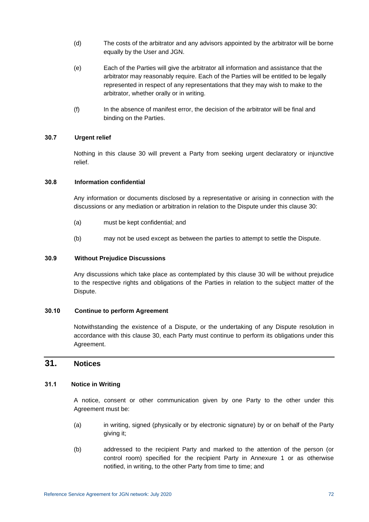- (d) The costs of the arbitrator and any advisors appointed by the arbitrator will be borne equally by the User and JGN.
- (e) Each of the Parties will give the arbitrator all information and assistance that the arbitrator may reasonably require. Each of the Parties will be entitled to be legally represented in respect of any representations that they may wish to make to the arbitrator, whether orally or in writing.
- (f) In the absence of manifest error, the decision of the arbitrator will be final and binding on the Parties.

#### **30.7 Urgent relief**

Nothing in this clause [30](#page-76-0) will prevent a Party from seeking urgent declaratory or injunctive relief.

#### **30.8 Information confidential**

Any information or documents disclosed by a representative or arising in connection with the discussions or any mediation or arbitration in relation to the Dispute under this clause [30:](#page-76-0)

- (a) must be kept confidential; and
- (b) may not be used except as between the parties to attempt to settle the Dispute.

#### **30.9 Without Prejudice Discussions**

Any discussions which take place as contemplated by this clause [30](#page-76-0) will be without prejudice to the respective rights and obligations of the Parties in relation to the subject matter of the Dispute.

#### **30.10 Continue to perform Agreement**

Notwithstanding the existence of a Dispute, or the undertaking of any Dispute resolution in accordance with this clause [30,](#page-76-0) each Party must continue to perform its obligations under this Agreement.

### **31. Notices**

#### <span id="page-78-0"></span>**31.1 Notice in Writing**

A notice, consent or other communication given by one Party to the other under this Agreement must be:

- (a) in writing, signed (physically or by electronic signature) by or on behalf of the Party giving it;
- (b) addressed to the recipient Party and marked to the attention of the person (or control room) specified for the recipient Party in [Annexure 1](#page-83-0) or as otherwise notified, in writing, to the other Party from time to time; and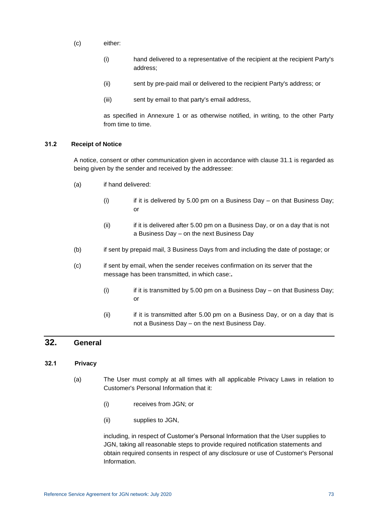- (c) either:
	- (i) hand delivered to a representative of the recipient at the recipient Party's address;
	- (ii) sent by pre-paid mail or delivered to the recipient Party's address; or
	- (iii) sent by email to that party's email address,

as specified in Annexure 1 or as otherwise notified, in writing, to the other Party from time to time.

#### **31.2 Receipt of Notice**

A notice, consent or other communication given in accordance with clause [31.1](#page-78-0) is regarded as being given by the sender and received by the addressee:

- (a) if hand delivered:
	- (i) if it is delivered by 5.00 pm on a Business Day on that Business Day; or
	- (ii) if it is delivered after 5.00 pm on a Business Day, or on a day that is not a Business Day – on the next Business Day
- (b) if sent by prepaid mail, 3 Business Days from and including the date of postage; or
- (c) if sent by email, when the sender receives confirmation on its server that the message has been transmitted, in which case:**.**
	- (i) if it is transmitted by 5.00 pm on a Business Day on that Business Day; or
	- (ii) if it is transmitted after 5.00 pm on a Business Day, or on a day that is not a Business Day – on the next Business Day.

## **32. General**

#### **32.1 Privacy**

- (a) The User must comply at all times with all applicable Privacy Laws in relation to Customer's Personal Information that it:
	- (i) receives from JGN; or
	- (ii) supplies to JGN,

including, in respect of Customer's Personal Information that the User supplies to JGN, taking all reasonable steps to provide required notification statements and obtain required consents in respect of any disclosure or use of Customer's Personal Information.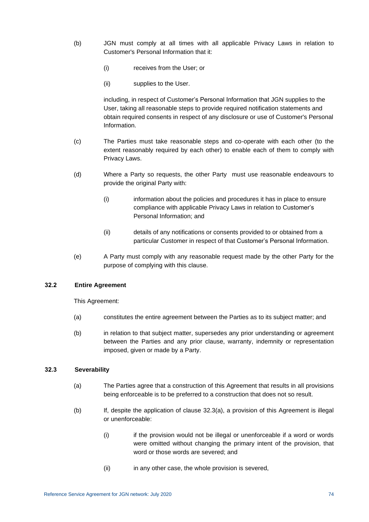- (b) JGN must comply at all times with all applicable Privacy Laws in relation to Customer's Personal Information that it:
	- (i) receives from the User; or
	- (ii) supplies to the User.

including, in respect of Customer's Personal Information that JGN supplies to the User, taking all reasonable steps to provide required notification statements and obtain required consents in respect of any disclosure or use of Customer's Personal Information.

- (c) The Parties must take reasonable steps and co-operate with each other (to the extent reasonably required by each other) to enable each of them to comply with Privacy Laws.
- (d) Where a Party so requests, the other Party must use reasonable endeavours to provide the original Party with:
	- (i) information about the policies and procedures it has in place to ensure compliance with applicable Privacy Laws in relation to Customer's Personal Information; and
	- (ii) details of any notifications or consents provided to or obtained from a particular Customer in respect of that Customer's Personal Information.
- (e) A Party must comply with any reasonable request made by the other Party for the purpose of complying with this clause.

#### **32.2 Entire Agreement**

This Agreement:

- (a) constitutes the entire agreement between the Parties as to its subject matter; and
- (b) in relation to that subject matter, supersedes any prior understanding or agreement between the Parties and any prior clause, warranty, indemnity or representation imposed, given or made by a Party.

#### <span id="page-80-0"></span>**32.3 Severability**

- (a) The Parties agree that a construction of this Agreement that results in all provisions being enforceable is to be preferred to a construction that does not so result.
- (b) If, despite the application of clause [32.3\(a\),](#page-80-0) a provision of this Agreement is illegal or unenforceable:
	- (i) if the provision would not be illegal or unenforceable if a word or words were omitted without changing the primary intent of the provision, that word or those words are severed; and
	- (ii) in any other case, the whole provision is severed,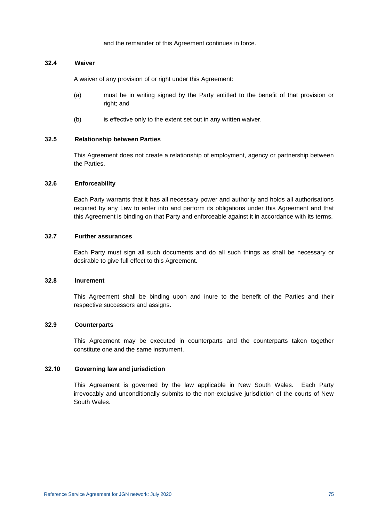and the remainder of this Agreement continues in force.

#### **32.4 Waiver**

A waiver of any provision of or right under this Agreement:

- (a) must be in writing signed by the Party entitled to the benefit of that provision or right; and
- (b) is effective only to the extent set out in any written waiver.

#### **32.5 Relationship between Parties**

This Agreement does not create a relationship of employment, agency or partnership between the Parties.

#### **32.6 Enforceability**

Each Party warrants that it has all necessary power and authority and holds all authorisations required by any Law to enter into and perform its obligations under this Agreement and that this Agreement is binding on that Party and enforceable against it in accordance with its terms.

#### **32.7 Further assurances**

Each Party must sign all such documents and do all such things as shall be necessary or desirable to give full effect to this Agreement.

#### **32.8 Inurement**

This Agreement shall be binding upon and inure to the benefit of the Parties and their respective successors and assigns.

#### **32.9 Counterparts**

This Agreement may be executed in counterparts and the counterparts taken together constitute one and the same instrument.

#### **32.10 Governing law and jurisdiction**

This Agreement is governed by the law applicable in New South Wales. Each Party irrevocably and unconditionally submits to the non-exclusive jurisdiction of the courts of New South Wales.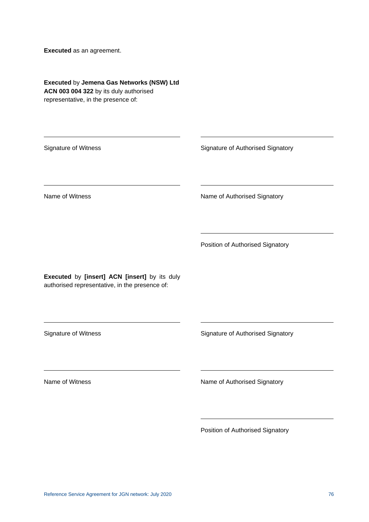**Executed** as an agreement.

**Executed** by **Jemena Gas Networks (NSW) Ltd ACN 003 004 322** by its duly authorised representative, in the presence of:

Signature of Witness Signature of Authorised Signatory

Name of Witness Name of Authorised Signatory

Position of Authorised Signatory

**Executed** by **[insert] ACN [insert]** by its duly authorised representative, in the presence of:

Signature of Witness Signature of Authorised Signatory

Name of Witness Name of Authorised Signatory

Position of Authorised Signatory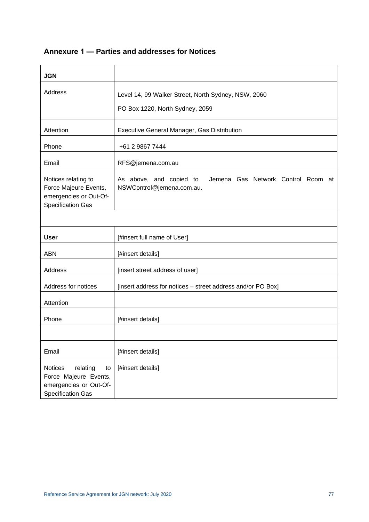# <span id="page-83-0"></span>**Annexure 1 — Parties and addresses for Notices**

| <b>JGN</b>                                                                                               |                                                                                            |  |  |
|----------------------------------------------------------------------------------------------------------|--------------------------------------------------------------------------------------------|--|--|
| Address                                                                                                  | Level 14, 99 Walker Street, North Sydney, NSW, 2060<br>PO Box 1220, North Sydney, 2059     |  |  |
| Attention                                                                                                | Executive General Manager, Gas Distribution                                                |  |  |
| Phone                                                                                                    | +61 2 9867 7444                                                                            |  |  |
| Email                                                                                                    | RFS@jemena.com.au                                                                          |  |  |
| Notices relating to<br>Force Majeure Events,<br>emergencies or Out-Of-<br><b>Specification Gas</b>       | As above, and copied to<br>Jemena Gas Network Control Room at<br>NSWControl@jemena.com.au. |  |  |
|                                                                                                          |                                                                                            |  |  |
| <b>User</b>                                                                                              | [#insert full name of User]                                                                |  |  |
| <b>ABN</b>                                                                                               | [#insert details]                                                                          |  |  |
| Address                                                                                                  | [insert street address of user]                                                            |  |  |
| Address for notices                                                                                      | [insert address for notices - street address and/or PO Box]                                |  |  |
| Attention                                                                                                |                                                                                            |  |  |
| Phone                                                                                                    | [#insert details]                                                                          |  |  |
|                                                                                                          |                                                                                            |  |  |
| Email                                                                                                    | [#insert details]                                                                          |  |  |
| Notices<br>relating<br>to<br>Force Majeure Events,<br>emergencies or Out-Of-<br><b>Specification Gas</b> | [#insert details]                                                                          |  |  |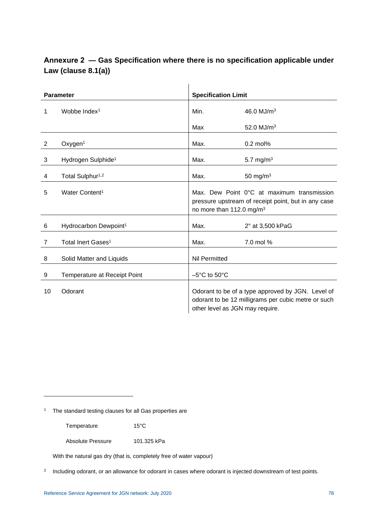## **Annexure 2 — Gas Specification where there is no specification applicable under Law (clause [8.1\(a\)\)](#page-30-0)**

| <b>Parameter</b> |                                     | <b>Specification Limit</b>                                                                                                                  |                  |
|------------------|-------------------------------------|---------------------------------------------------------------------------------------------------------------------------------------------|------------------|
| 1                | Wobbe Index <sup>1</sup>            | Min.                                                                                                                                        | 46.0 $MJ/m3$     |
|                  |                                     | Max                                                                                                                                         | 52.0 $MJ/m3$     |
| 2                | Oxygen <sup>1</sup>                 | Max.                                                                                                                                        | $0.2$ mol%       |
| 3                | Hydrogen Sulphide <sup>1</sup>      | Max.                                                                                                                                        | 5.7 mg/ $m3$     |
| 4                | Total Sulphur <sup>1,2</sup>        | Max.                                                                                                                                        | 50 mg/m $3$      |
| 5                | Water Content <sup>1</sup>          | Max. Dew Point 0°C at maximum transmission<br>pressure upstream of receipt point, but in any case<br>no more than 112.0 mg/m <sup>3</sup>   |                  |
| 6                | Hydrocarbon Dewpoint <sup>1</sup>   | Max.                                                                                                                                        | 2° at 3,500 kPaG |
| 7                | Total Inert Gases <sup>1</sup>      | Max.                                                                                                                                        | 7.0 mol %        |
| 8                | Solid Matter and Liquids            | <b>Nil Permitted</b>                                                                                                                        |                  |
| 9                | <b>Temperature at Receipt Point</b> | $-5^{\circ}$ C to $50^{\circ}$ C                                                                                                            |                  |
| 10               | Odorant                             | Odorant to be of a type approved by JGN. Level of<br>odorant to be 12 milligrams per cubic metre or such<br>other level as JGN may require. |                  |

<sup>1</sup> The standard testing clauses for all Gas properties are

Temperature 15°C

Absolute Pressure 101.325 kPa

With the natural gas dry (that is, completely free of water vapour)

2 Including odorant, or an allowance for odorant in cases where odorant is injected downstream of test points.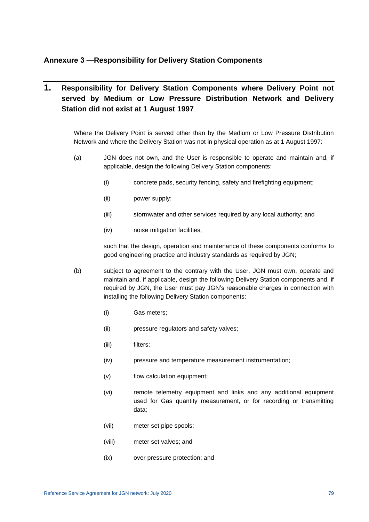### **Annexure 3 —Responsibility for Delivery Station Components**

## **1. Responsibility for Delivery Station Components where Delivery Point not served by Medium or Low Pressure Distribution Network and Delivery Station did not exist at 1 August 1997**

Where the Delivery Point is served other than by the Medium or Low Pressure Distribution Network and where the Delivery Station was not in physical operation as at 1 August 1997:

- <span id="page-85-0"></span>(a) JGN does not own, and the User is responsible to operate and maintain and, if applicable, design the following Delivery Station components:
	- (i) concrete pads, security fencing, safety and firefighting equipment;
	- (ii) power supply;
	- (iii) stormwater and other services required by any local authority; and
	- (iv) noise mitigation facilities,

such that the design, operation and maintenance of these components conforms to good engineering practice and industry standards as required by JGN;

- (b) subject to agreement to the contrary with the User, JGN must own, operate and maintain and, if applicable, design the following Delivery Station components and, if required by JGN, the User must pay JGN's reasonable charges in connection with installing the following Delivery Station components:
	- (i) Gas meters;
	- (ii) pressure regulators and safety valves;
	- (iii) filters;
	- (iv) pressure and temperature measurement instrumentation;
	- (v) flow calculation equipment;
	- (vi) remote telemetry equipment and links and any additional equipment used for Gas quantity measurement, or for recording or transmitting data;
	- (vii) meter set pipe spools;
	- (viii) meter set valves; and
	- (ix) over pressure protection; and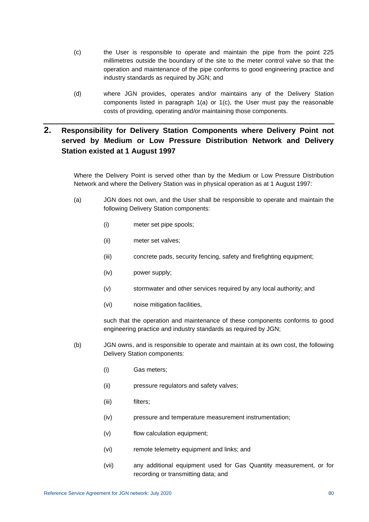- <span id="page-86-0"></span>(c) the User is responsible to operate and maintain the pipe from the point 225 millimetres outside the boundary of the site to the meter control valve so that the operation and maintenance of the pipe conforms to good engineering practice and industry standards as required by JGN; and
- (d) where JGN provides, operates and/or maintains any of the Delivery Station components listed in paragraph [1\(a\)](#page-85-0) or [1\(c\),](#page-86-0) the User must pay the reasonable costs of providing, operating and/or maintaining those components.

## **2. Responsibility for Delivery Station Components where Delivery Point not served by Medium or Low Pressure Distribution Network and Delivery Station existed at 1 August 1997**

Where the Delivery Point is served other than by the Medium or Low Pressure Distribution Network and where the Delivery Station was in physical operation as at 1 August 1997:

- <span id="page-86-1"></span>(a) JGN does not own, and the User shall be responsible to operate and maintain the following Delivery Station components:
	- (i) meter set pipe spools;
	- (ii) meter set valves;
	- (iii) concrete pads, security fencing, safety and firefighting equipment;
	- (iv) power supply;
	- (v) stormwater and other services required by any local authority; and
	- (vi) noise mitigation facilities,

such that the operation and maintenance of these components conforms to good engineering practice and industry standards as required by JGN;

- (b) JGN owns, and is responsible to operate and maintain at its own cost, the following Delivery Station components:
	- (i) Gas meters;
	- (ii) pressure regulators and safety valves;
	- (iii) filters;
	- (iv) pressure and temperature measurement instrumentation;
	- (v) flow calculation equipment;
	- (vi) remote telemetry equipment and links; and
	- (vii) any additional equipment used for Gas Quantity measurement, or for recording or transmitting data; and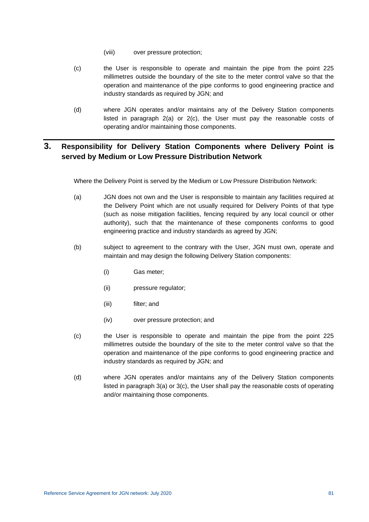- (viii) over pressure protection;
- <span id="page-87-0"></span>(c) the User is responsible to operate and maintain the pipe from the point 225 millimetres outside the boundary of the site to the meter control valve so that the operation and maintenance of the pipe conforms to good engineering practice and industry standards as required by JGN; and
- (d) where JGN operates and/or maintains any of the Delivery Station components listed in paragraph [2\(a\)](#page-86-1) or [2\(c\),](#page-87-0) the User must pay the reasonable costs of operating and/or maintaining those components.

## **3. Responsibility for Delivery Station Components where Delivery Point is served by Medium or Low Pressure Distribution Network**

Where the Delivery Point is served by the Medium or Low Pressure Distribution Network:

- <span id="page-87-1"></span>(a) JGN does not own and the User is responsible to maintain any facilities required at the Delivery Point which are not usually required for Delivery Points of that type (such as noise mitigation facilities, fencing required by any local council or other authority), such that the maintenance of these components conforms to good engineering practice and industry standards as agreed by JGN;
- (b) subject to agreement to the contrary with the User, JGN must own, operate and maintain and may design the following Delivery Station components:
	- (i) Gas meter;
	- (ii) pressure regulator;
	- (iii) filter; and
	- (iv) over pressure protection; and
- <span id="page-87-2"></span>(c) the User is responsible to operate and maintain the pipe from the point 225 millimetres outside the boundary of the site to the meter control valve so that the operation and maintenance of the pipe conforms to good engineering practice and industry standards as required by JGN; and
- (d) where JGN operates and/or maintains any of the Delivery Station components listed in paragraph [3\(a\)](#page-87-1) or [3\(c\),](#page-87-2) the User shall pay the reasonable costs of operating and/or maintaining those components.